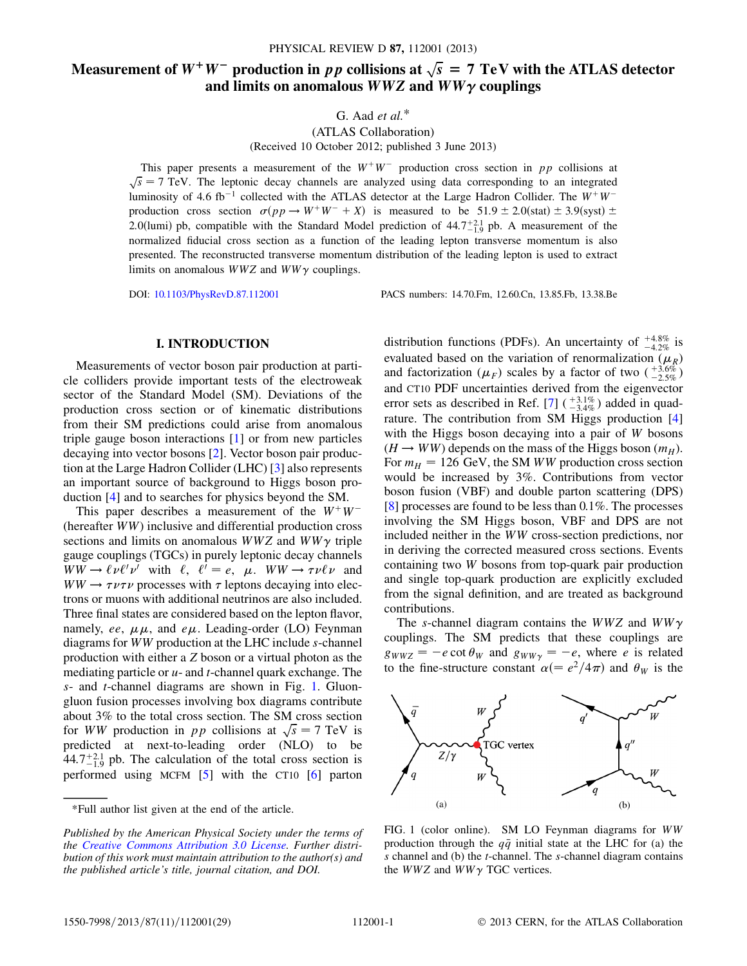# Measurement of  $W^+W^-$  production in pp collisions at  $\sqrt{s} = 7$  TeV with the ATLAS detector and limits on anomalous  $WWZ$  and  $WW\gamma$  couplings

G. Aad  $et$   $al.$ <sup>\*</sup>

(ATLAS Collaboration)

(Received 10 October 2012; published 3 June 2013)

This paper presents a measurement of the  $W^+W^-$  production cross section in pp collisions at  $\sqrt{s}$  = 7 TeV. The leptonic decay channels are analyzed using data corresponding to an integrated luminosity of 4.6 fb<sup>-1</sup> collected with the ATLAS detector at the Large Hadron Collider. The  $W^+W^$ production cross section  $\sigma(pp \to W^+W^- + X)$  is measured to be  $51.9 \pm 2.0$ (stat)  $\pm 3.9$ (syst)  $\pm$ 2.0(lumi) pb, compatible with the Standard Model prediction of  $44.7^{+2.1}_{-1.9}$  pb. A measurement of the normalized fiducial cross section as a function of the leading lepton transverse momentum is also presented. The reconstructed transverse momentum distribution of the leading lepton is used to extract limits on anomalous  $WWZ$  and  $WW\gamma$  couplings.

DOI: [10.1103/PhysRevD.87.112001](http://dx.doi.org/10.1103/PhysRevD.87.112001) PACS numbers: 14.70.Fm, 12.60.Cn, 13.85.Fb, 13.38.Be

#### I. INTRODUCTION

Measurements of vector boson pair production at particle colliders provide important tests of the electroweak sector of the Standard Model (SM). Deviations of the production cross section or of kinematic distributions from their SM predictions could arise from anomalous triple gauge boson interactions [\[1\]](#page-14-0) or from new particles decaying into vector bosons [[2\]](#page-14-1). Vector boson pair production at the Large Hadron Collider (LHC) [[3](#page-14-2)] also represents an important source of background to Higgs boson production [[4](#page-14-3)] and to searches for physics beyond the SM.

This paper describes a measurement of the  $W^+W^-$ (hereafter WW) inclusive and differential production cross sections and limits on anomalous  $WWZ$  and  $WW\gamma$  triple gauge couplings (TGCs) in purely leptonic decay channels  $WW \rightarrow \ell \nu \ell' \nu'$  with  $\ell$ ,  $\ell' = e$ ,  $\mu$ .  $WW \rightarrow \tau \nu \ell \nu$  and  $WW \rightarrow \tau \nu \tau \nu$  processes with  $\tau$  leptons decaying into electrons or muons with additional neutrinos are also included. Three final states are considered based on the lepton flavor, namely, ee,  $\mu\mu$ , and e $\mu$ . Leading-order (LO) Feynman diagrams for WW production at the LHC include s-channel production with either a Z boson or a virtual photon as the mediating particle or  $u$ - and *t*-channel quark exchange. The s- and t-channel diagrams are shown in Fig. [1](#page-0-0). Gluongluon fusion processes involving box diagrams contribute about 3% to the total cross section. The SM cross section for WW production in pp collisions at  $\sqrt{s} = 7$  TeV is predicted at next-to-leading order (NLO) to be  $44.7^{+2.1}_{-1.9}$  pb. The calculation of the total cross section is performed using MCFM [\[5](#page-14-4)] with the CT10 [\[6](#page-14-5)] parton

distribution functions (PDFs). An uncertainty of  $^{+4.8\%}_{-4.2\%}$  is evaluated based on the variation of renormalization ( $\mu_R$ ) and factorization  $(\mu_F)$  scales by a factor of two  $\binom{+3.6\%}{-2.5\%}$ and CT10 PDF uncertainties derived from the eigenvector error sets as described in Ref. [\[7](#page-14-6)]  $\left(\frac{+3.1\%}{-3.4\%}\right)$  added in quadrature. The contribution from SM Higgs production [\[4\]](#page-14-3) with the Higgs boson decaying into a pair of W bosons  $(H \rightarrow WW)$  depends on the mass of the Higgs boson  $(m_H)$ . For  $m_H = 126$  GeV, the SM WW production cross section would be increased by 3%. Contributions from vector boson fusion (VBF) and double parton scattering (DPS) [\[8\]](#page-14-7) processes are found to be less than 0.1%. The processes involving the SM Higgs boson, VBF and DPS are not included neither in the WW cross-section predictions, nor in deriving the corrected measured cross sections. Events containing two W bosons from top-quark pair production and single top-quark production are explicitly excluded from the signal definition, and are treated as background contributions.

The s-channel diagram contains the WWZ and  $WW\gamma$ couplings. The SM predicts that these couplings are  $g_{WWZ} = -e \cot \theta_W$  and  $g_{WW\gamma} = -e$ , where *e* is related to the fine-structure constant  $\alpha (=e^2/4\pi)$  and  $\theta_W$  is the

<span id="page-0-0"></span>

FIG. 1 (color online). SM LO Feynman diagrams for WW production through the  $q\bar{q}$  initial state at the LHC for (a) the s channel and (b) the *t*-channel. The *s*-channel diagram contains the  $WWZ$  and  $WW\gamma$  TGC vertices.

<sup>\*</sup>Full author list given at the end of the article.

Published by the American Physical Society under the terms of the [Creative Commons Attribution 3.0 License.](http://creativecommons.org/licenses/by/3.0/) Further distribution of this work must maintain attribution to the author(s) and the published article's title, journal citation, and DOI.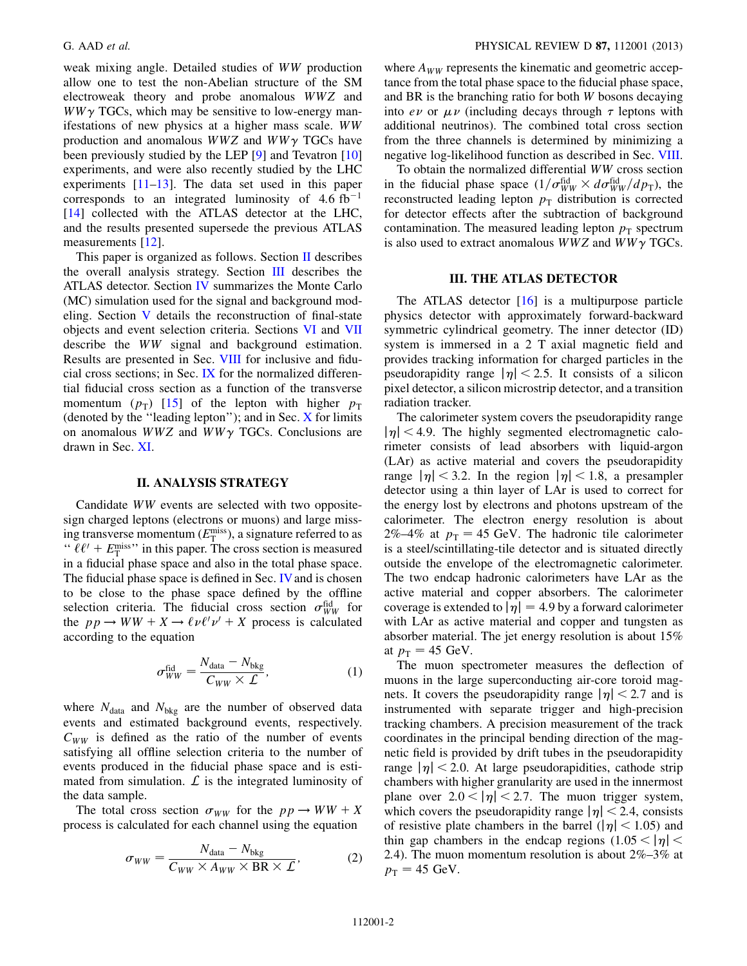weak mixing angle. Detailed studies of WW production allow one to test the non-Abelian structure of the SM electroweak theory and probe anomalous WWZ and  $WW\gamma$  TGCs, which may be sensitive to low-energy manifestations of new physics at a higher mass scale. WW production and anomalous  $WWZ$  and  $WW\gamma$  TGCs have been previously studied by the LEP [[9](#page-14-8)] and Tevatron [\[10\]](#page-14-9) experiments, and were also recently studied by the LHC experiments [\[11](#page-14-10)[–13\]](#page-14-11). The data set used in this paper corresponds to an integrated luminosity of  $4.6 \text{ fb}^{-1}$ [\[14\]](#page-14-12) collected with the ATLAS detector at the LHC, and the results presented supersede the previous ATLAS measurements [\[12\]](#page-14-13).

This paper is organized as follows. Section [II](#page-1-0) describes the overall analysis strategy. Section [III](#page-1-1) describes the ATLAS detector. Section [IV](#page-2-0) summarizes the Monte Carlo (MC) simulation used for the signal and background modeling. Section [V](#page-2-1) details the reconstruction of final-state objects and event selection criteria. Sections [VI](#page-4-0) and [VII](#page-6-0) describe the WW signal and background estimation. Results are presented in Sec. [VIII](#page-8-0) for inclusive and fiducial cross sections; in Sec. [IX](#page-10-0) for the normalized differential fiducial cross section as a function of the transverse momentum  $(p_T)$  [[15](#page-14-14)] of the lepton with higher  $p_T$ (denoted by the ''leading lepton''); and in Sec. [X](#page-10-1) for limits on anomalous  $WWZ$  and  $WW\gamma$  TGCs. Conclusions are drawn in Sec. [XI.](#page-13-0)

## II. ANALYSIS STRATEGY

<span id="page-1-0"></span>Candidate WW events are selected with two oppositesign charged leptons (electrons or muons) and large missing transverse momentum ( $E_{\rm T}^{\rm miss}$ ), a signature referred to as "  $\ell \ell' + E_T^{\text{miss}}$ " in this paper. The cross section is measured in a fiducial phase space and also in the total phase space. The fiducial phase space is defined in Sec. [IV](#page-2-0) and is chosen to be close to the phase space defined by the offline selection criteria. The fiducial cross section  $\sigma_{WW}^{\text{fid}}$  for the  $pp \rightarrow WW + X \rightarrow \ell \nu \ell' \nu' + X$  process is calculated according to the equation

$$
\sigma_{WW}^{\text{fid}} = \frac{N_{\text{data}} - N_{\text{bkg}}}{C_{WW} \times L},\tag{1}
$$

<span id="page-1-2"></span>where  $N_{data}$  and  $N_{bkg}$  are the number of observed data events and estimated background events, respectively.  $C_{WW}$  is defined as the ratio of the number of events satisfying all offline selection criteria to the number of events produced in the fiducial phase space and is estimated from simulation.  $\mathcal L$  is the integrated luminosity of the data sample.

<span id="page-1-3"></span>The total cross section  $\sigma_{WW}$  for the  $pp \rightarrow WW + X$ process is calculated for each channel using the equation

$$
\sigma_{WW} = \frac{N_{\text{data}} - N_{\text{bkg}}}{C_{WW} \times A_{WW} \times \text{BR} \times \mathcal{L}},\tag{2}
$$

where  $A_{WW}$  represents the kinematic and geometric acceptance from the total phase space to the fiducial phase space, and BR is the branching ratio for both W bosons decaying into  $e\nu$  or  $\mu\nu$  (including decays through  $\tau$  leptons with additional neutrinos). The combined total cross section from the three channels is determined by minimizing a negative log-likelihood function as described in Sec. [VIII](#page-8-0).

To obtain the normalized differential WW cross section in the fiducial phase space  $(1/\sigma_{WW}^{\text{fid}} \times d\sigma_{WW}^{\text{fid}}/dp_{\text{T}})$ , the reconstructed leading lepton  $p_T$  distribution is corrected for detector effects after the subtraction of background contamination. The measured leading lepton  $p_T$  spectrum is also used to extract anomalous  $WWZ$  and  $WW\gamma$  TGCs.

## III. THE ATLAS DETECTOR

<span id="page-1-1"></span>The ATLAS detector [\[16](#page-15-0)] is a multipurpose particle physics detector with approximately forward-backward symmetric cylindrical geometry. The inner detector (ID) system is immersed in a 2 T axial magnetic field and provides tracking information for charged particles in the pseudorapidity range  $|\eta|$  < 2.5. It consists of a silicon pixel detector, a silicon microstrip detector, and a transition radiation tracker.

The calorimeter system covers the pseudorapidity range  $|\eta|$  < 4.9. The highly segmented electromagnetic calorimeter consists of lead absorbers with liquid-argon (LAr) as active material and covers the pseudorapidity range  $|\eta|$  < 3.2. In the region  $|\eta|$  < 1.8, a presampler detector using a thin layer of LAr is used to correct for the energy lost by electrons and photons upstream of the calorimeter. The electron energy resolution is about 2%–4% at  $p_T = 45$  GeV. The hadronic tile calorimeter is a steel/scintillating-tile detector and is situated directly outside the envelope of the electromagnetic calorimeter. The two endcap hadronic calorimeters have LAr as the active material and copper absorbers. The calorimeter coverage is extended to  $|\eta| = 4.9$  by a forward calorimeter with LAr as active material and copper and tungsten as absorber material. The jet energy resolution is about 15% at  $p_T = 45$  GeV.

The muon spectrometer measures the deflection of muons in the large superconducting air-core toroid magnets. It covers the pseudorapidity range  $|\eta|$  < 2.7 and is instrumented with separate trigger and high-precision tracking chambers. A precision measurement of the track coordinates in the principal bending direction of the magnetic field is provided by drift tubes in the pseudorapidity range  $|\eta|$  < 2.0. At large pseudorapidities, cathode strip chambers with higher granularity are used in the innermost plane over  $2.0 < |\eta| < 2.7$ . The muon trigger system, which covers the pseudorapidity range  $|\eta|$  < 2.4, consists of resistive plate chambers in the barrel ( $|\eta|$  < 1.05) and thin gap chambers in the endcap regions  $(1.05 < |\eta|$ 2:4). The muon momentum resolution is about 2%–3% at  $p_T = 45 \text{ GeV}.$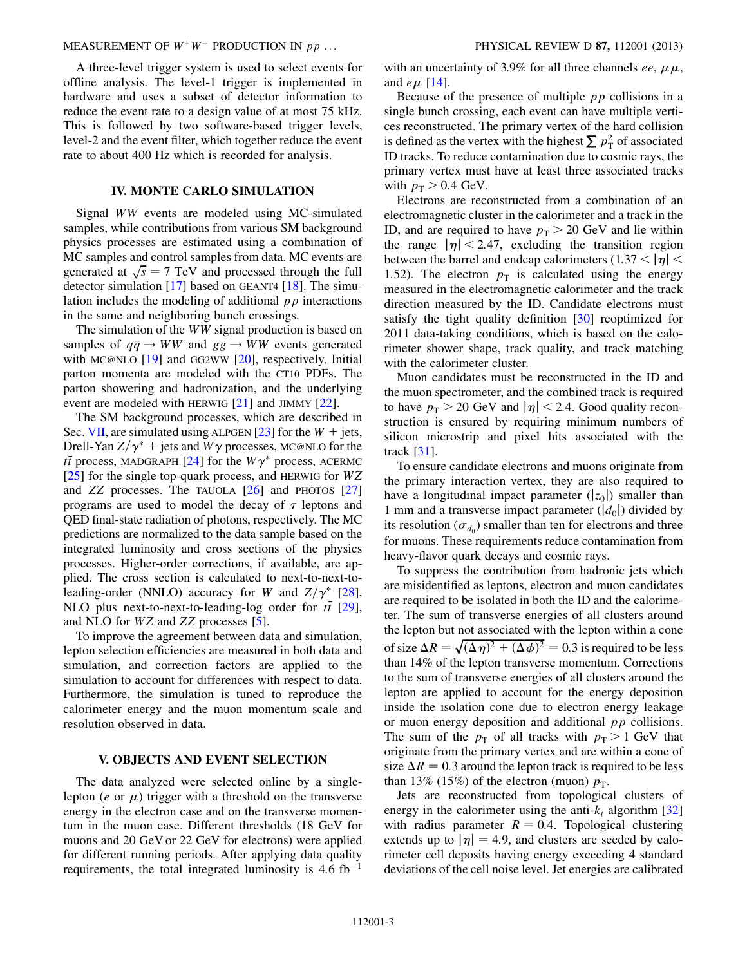#### MEASUREMENT OF  $W^+W^-$  PRODUCTION IN  $pp$  ... PHYSICAL REVIEW D 87, 112001 (2013)

A three-level trigger system is used to select events for offline analysis. The level-1 trigger is implemented in hardware and uses a subset of detector information to reduce the event rate to a design value of at most 75 kHz. This is followed by two software-based trigger levels, level-2 and the event filter, which together reduce the event rate to about 400 Hz which is recorded for analysis.

## IV. MONTE CARLO SIMULATION

<span id="page-2-0"></span>Signal WW events are modeled using MC-simulated samples, while contributions from various SM background physics processes are estimated using a combination of MC samples and control samples from data. MC events are generated at  $\sqrt{s} = 7$  TeV and processed through the full detector simulation  $[17]$  based on GEANT4  $[18]$  $[18]$  $[18]$ . The simulation includes the modeling of additional  $p\bar{p}$  interactions in the same and neighboring bunch crossings.

The simulation of the WW signal production is based on samples of  $q\bar{q} \rightarrow WW$  and  $gg \rightarrow WW$  events generated with MC@NLO [\[19\]](#page-15-3) and GG2WW [\[20\]](#page-15-4), respectively. Initial parton momenta are modeled with the CT10 PDFs. The parton showering and hadronization, and the underlying event are modeled with HERWIG [[21](#page-15-5)] and JIMMY [\[22\]](#page-15-6).

The SM background processes, which are described in Sec. [VII](#page-6-0), are simulated using ALPGEN [[23](#page-15-7)] for the  $W + \text{jets}$ , Drell-Yan  $Z/\gamma^*$  + jets and  $W\gamma$  processes, MC@NLO for the  $t\bar{t}$  process, MADGRAPH [\[24\]](#page-15-8) for the  $W\gamma^*$  process, ACERMC [\[25\]](#page-15-9) for the single top-quark process, and HERWIG for WZ and  $ZZ$  processes. The TAUOLA  $[26]$  $[26]$  and PHOTOS  $[27]$ programs are used to model the decay of  $\tau$  leptons and QED final-state radiation of photons, respectively. The MC predictions are normalized to the data sample based on the integrated luminosity and cross sections of the physics processes. Higher-order corrections, if available, are applied. The cross section is calculated to next-to-next-toleading-order (NNLO) accuracy for W and  $Z/\gamma^*$  [\[28\]](#page-15-12), NLO plus next-to-next-to-leading-log order for  $t\bar{t}$  [\[29\]](#page-15-13), and NLO for WZ and ZZ processes [[5](#page-14-4)].

To improve the agreement between data and simulation, lepton selection efficiencies are measured in both data and simulation, and correction factors are applied to the simulation to account for differences with respect to data. Furthermore, the simulation is tuned to reproduce the calorimeter energy and the muon momentum scale and resolution observed in data.

#### <span id="page-2-1"></span>V. OBJECTS AND EVENT SELECTION

The data analyzed were selected online by a singlelepton (*e* or  $\mu$ ) trigger with a threshold on the transverse energy in the electron case and on the transverse momentum in the muon case. Different thresholds (18 GeV for muons and 20 GeV or 22 GeV for electrons) were applied for different running periods. After applying data quality requirements, the total integrated luminosity is  $4.6 \text{ fb}^{-1}$ 

with an uncertainty of 3.9% for all three channels ee,  $\mu \mu$ , and  $e \mu$  [[14](#page-14-12)].

Because of the presence of multiple  $pp$  collisions in a single bunch crossing, each event can have multiple vertices reconstructed. The primary vertex of the hard collision is defined as the vertex with the highest  $\sum p_{\rm T}^2$  of associated ID tracks. To reduce contamination due to cosmic rays, the primary vertex must have at least three associated tracks with  $p_T > 0.4$  GeV.

Electrons are reconstructed from a combination of an electromagnetic cluster in the calorimeter and a track in the ID, and are required to have  $p_T > 20$  GeV and lie within the range  $|\eta|$  < 2.47, excluding the transition region between the barrel and endcap calorimeters (1.37  $<$   $|\eta|$   $<$ 1.52). The electron  $p<sub>T</sub>$  is calculated using the energy measured in the electromagnetic calorimeter and the track direction measured by the ID. Candidate electrons must satisfy the tight quality definition [\[30\]](#page-15-14) reoptimized for 2011 data-taking conditions, which is based on the calorimeter shower shape, track quality, and track matching with the calorimeter cluster.

Muon candidates must be reconstructed in the ID and the muon spectrometer, and the combined track is required to have  $p_T > 20$  GeV and  $|\eta| < 2.4$ . Good quality reconstruction is ensured by requiring minimum numbers of silicon microstrip and pixel hits associated with the track [\[31\]](#page-15-15).

To ensure candidate electrons and muons originate from the primary interaction vertex, they are also required to have a longitudinal impact parameter  $(|z_0|)$  smaller than 1 mm and a transverse impact parameter  $(|d_0|)$  divided by its resolution ( $\sigma_{d_0}$ ) smaller than ten for electrons and three for muons. These requirements reduce contamination from heavy-flavor quark decays and cosmic rays.

To suppress the contribution from hadronic jets which are misidentified as leptons, electron and muon candidates are required to be isolated in both the ID and the calorimeter. The sum of transverse energies of all clusters around the lepton but not associated with the lepton within a cone of size  $\Delta R = \sqrt{(\Delta \eta)^2 + (\Delta \phi)^2} = 0.3$  is required to be less than 14% of the lepton transverse momentum. Corrections to the sum of transverse energies of all clusters around the lepton are applied to account for the energy deposition inside the isolation cone due to electron energy leakage or muon energy deposition and additional  $pp$  collisions. The sum of the  $p_T$  of all tracks with  $p_T > 1$  GeV that originate from the primary vertex and are within a cone of size  $\Delta R = 0.3$  around the lepton track is required to be less than 13% (15%) of the electron (muon)  $p_T$ .

Jets are reconstructed from topological clusters of energy in the calorimeter using the anti- $k_t$  algorithm [\[32\]](#page-15-16) with radius parameter  $R = 0.4$ . Topological clustering extends up to  $|\eta| = 4.9$ , and clusters are seeded by calorimeter cell deposits having energy exceeding 4 standard deviations of the cell noise level. Jet energies are calibrated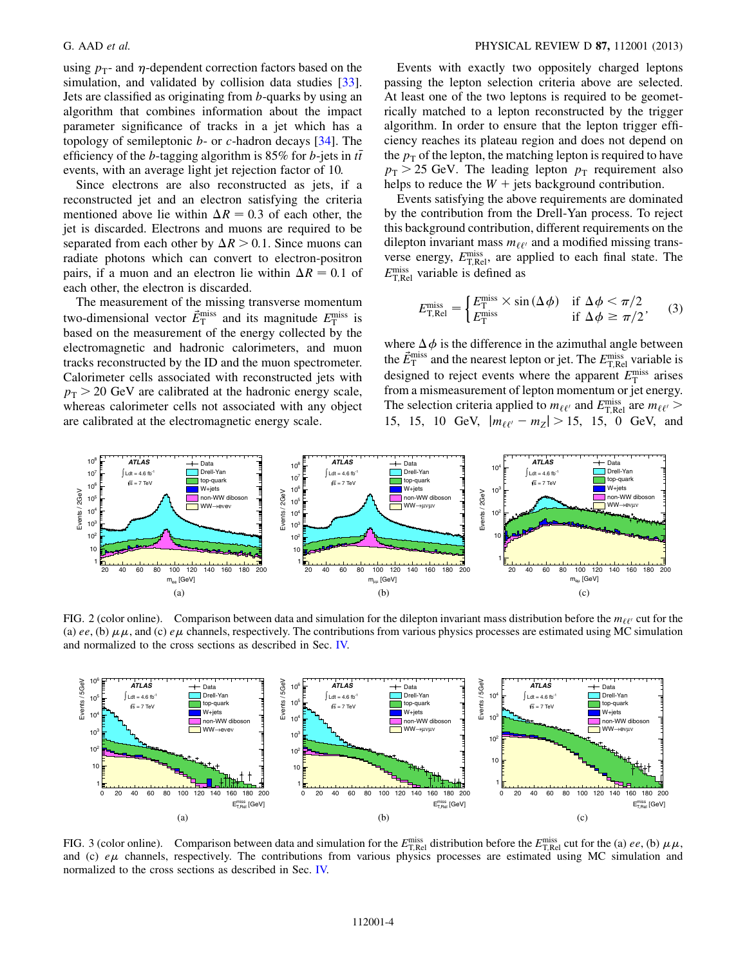using  $p_T$ - and  $\eta$ -dependent correction factors based on the simulation, and validated by collision data studies [[33\]](#page-15-17). Jets are classified as originating from b-quarks by using an algorithm that combines information about the impact parameter significance of tracks in a jet which has a topology of semileptonic  $b$ - or  $c$ -hadron decays [\[34\]](#page-15-18). The efficiency of the *b*-tagging algorithm is 85% for *b*-jets in  $t\bar{t}$ events, with an average light jet rejection factor of 10.

Since electrons are also reconstructed as jets, if a reconstructed jet and an electron satisfying the criteria mentioned above lie within  $\Delta R = 0.3$  of each other, the jet is discarded. Electrons and muons are required to be separated from each other by  $\Delta R > 0.1$ . Since muons can radiate photons which can convert to electron-positron pairs, if a muon and an electron lie within  $\Delta R = 0.1$  of each other, the electron is discarded.

The measurement of the missing transverse momentum two-dimensional vector  $\vec{E}_{\text{T}}^{\text{miss}}$  and its magnitude  $E_{\text{T}}^{\text{miss}}$  is based on the measurement of the energy collected by the electromagnetic and hadronic calorimeters, and muon tracks reconstructed by the ID and the muon spectrometer. Calorimeter cells associated with reconstructed jets with  $p_T > 20$  GeV are calibrated at the hadronic energy scale, whereas calorimeter cells not associated with any object are calibrated at the electromagnetic energy scale.

Events with exactly two oppositely charged leptons passing the lepton selection criteria above are selected. At least one of the two leptons is required to be geometrically matched to a lepton reconstructed by the trigger algorithm. In order to ensure that the lepton trigger efficiency reaches its plateau region and does not depend on the  $p<sub>T</sub>$  of the lepton, the matching lepton is required to have  $p<sub>T</sub> > 25$  GeV. The leading lepton  $p<sub>T</sub>$  requirement also helps to reduce the  $W +$  jets background contribution.

Events satisfying the above requirements are dominated by the contribution from the Drell-Yan process. To reject this background contribution, different requirements on the dilepton invariant mass  $m_{\ell\ell'}$  and a modified missing transverse energy,  $E_{\text{T,Rel}}^{\text{miss}}$ , are applied to each final state. The  $E_{\text{T,Rel}}^{\text{miss}}$  variable is defined as

$$
E_{\text{T,Rel}}^{\text{miss}} = \begin{cases} E_{\text{T}}^{\text{miss}} \times \sin(\Delta \phi) & \text{if } \Delta \phi < \pi/2\\ E_{\text{T}}^{\text{miss}} & \text{if } \Delta \phi \ge \pi/2 \end{cases} \tag{3}
$$

where  $\Delta \phi$  is the difference in the azimuthal angle between the  $\vec{E}_{\text{T}}^{\text{miss}}$  and the nearest lepton or jet. The  $E_{\text{T,Rel}}^{\text{miss}}$  variable is designed to reject events where the apparent  $E_{\rm T}^{\rm miss}$  arises from a mismeasurement of lepton momentum or jet energy. The selection criteria applied to  $m_{\ell \ell'}$  and  $E_{\text{T,Rel}}^{\text{miss}}$  are  $m_{\ell \ell'}$ 15, 15, 10 GeV,  $|m_{\ell\ell'} - m_Z| > 15$ , 15, 0 GeV, and

<span id="page-3-0"></span>

FIG. 2 (color online). Comparison between data and simulation for the dilepton invariant mass distribution before the  $m_{\ell\ell'}$  cut for the (a) ee, (b)  $\mu\mu$ , and (c) e $\mu$  channels, respectively. The contributions from various physics processes are estimated using MC simulation and normalized to the cross sections as described in Sec. [IV.](#page-2-0)



FIG. 3 (color online). Comparison between data and simulation for the  $E_{\text{T,Rel}}^{\text{miss}}$  distribution before the  $E_{\text{T,Rel}}^{\text{miss}}$  cut for the (a) ee, (b)  $\mu \mu$ , and (c)  $e\mu$  channels, respectively. The contributions from various physics processes are estimated using MC simulation and normalized to the cross sections as described in Sec. [IV.](#page-2-0)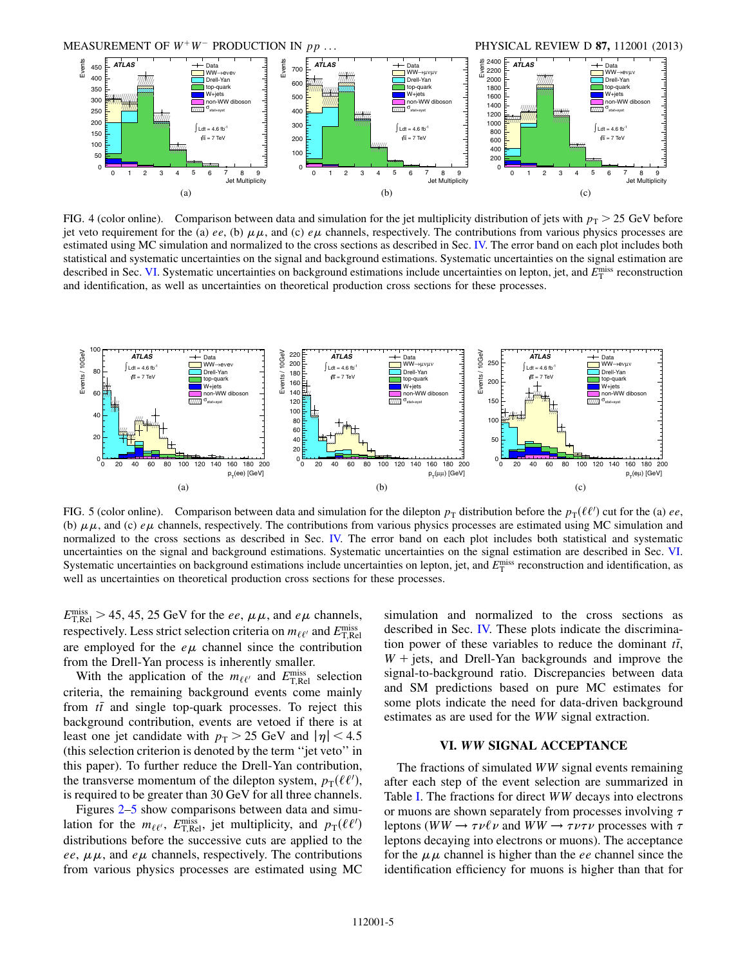

FIG. 4 (color online). Comparison between data and simulation for the jet multiplicity distribution of jets with  $p_T > 25$  GeV before jet veto requirement for the (a) ee, (b)  $\mu\mu$ , and (c) e $\mu$  channels, respectively. The contributions from various physics processes are estimated using MC simulation and normalized to the cross sections as described in Sec. [IV.](#page-2-0) The error band on each plot includes both statistical and systematic uncertainties on the signal and background estimations. Systematic uncertainties on the signal estimation are described in Sec. [VI.](#page-4-0) Systematic uncertainties on background estimations include uncertainties on lepton, jet, and  $E_T^{\text{miss}}$  reconstruction and identification, as well as uncertainties on theoretical production cross sections for these processes.

<span id="page-4-1"></span>

FIG. 5 (color online). Comparison between data and simulation for the dilepton  $p_T$  distribution before the  $p_T(\ell\ell')$  cut for the (a) ee, (b)  $\mu\mu$ , and (c)  $e\mu$  channels, respectively. The contributions from various physics processes are estimated using MC simulation and normalized to the cross sections as described in Sec. [IV.](#page-2-0) The error band on each plot includes both statistical and systematic uncertainties on the signal and background estimations. Systematic uncertainties on the signal estimation are described in Sec. [VI.](#page-4-0) Systematic uncertainties on background estimations include uncertainties on lepton, jet, and  $E_T^{\text{miss}}$  reconstruction and identification, as well as uncertainties on theoretical production cross sections for these processes.

 $E_{\rm T, Rel}^{\rm miss} > 45, 45, 25 \,\text{GeV}$  for the *ee*,  $\mu\mu$ , and  $e\mu$  channels, respectively. Less strict selection criteria on  $m_{\ell \ell'}$  and  $E_{\rm T, Rel}^{\rm miss}$ are employed for the  $e\mu$  channel since the contribution from the Drell-Yan process is inherently smaller.

With the application of the  $m_{\ell\ell'}$  and  $E_{\text{T,Rel}}^{\text{miss}}$  selection criteria, the remaining background events come mainly from  $t\bar{t}$  and single top-quark processes. To reject this background contribution, events are vetoed if there is at least one jet candidate with  $p_T > 25$  GeV and  $|\eta| < 4.5$ (this selection criterion is denoted by the term ''jet veto'' in this paper). To further reduce the Drell-Yan contribution, the transverse momentum of the dilepton system,  $p_T(\ell \ell')$ , is required to be greater than 30 GeV for all three channels.

Figures [2](#page-3-0)[–5](#page-4-1) show comparisons between data and simulation for the  $m_{\ell \ell'}$ ,  $E_{\text{T,Rel}}^{\text{miss}}$ , jet multiplicity, and  $p_{\text{T}}(\ell \ell')$ distributions before the successive cuts are applied to the ee,  $\mu\mu$ , and e $\mu$  channels, respectively. The contributions from various physics processes are estimated using MC simulation and normalized to the cross sections as described in Sec. [IV.](#page-2-0) These plots indicate the discrimination power of these variables to reduce the dominant  $t\bar{t}$ ,  $W +$  jets, and Drell-Yan backgrounds and improve the signal-to-background ratio. Discrepancies between data and SM predictions based on pure MC estimates for some plots indicate the need for data-driven background estimates as are used for the WW signal extraction.

## VI. WW SIGNAL ACCEPTANCE

<span id="page-4-0"></span>The fractions of simulated WW signal events remaining after each step of the event selection are summarized in Table [I](#page-5-0). The fractions for direct WW decays into electrons or muons are shown separately from processes involving  $\tau$ leptons (WW  $\rightarrow \tau \nu \ell \nu$  and WW  $\rightarrow \tau \nu \tau \nu$  processes with  $\tau$ leptons decaying into electrons or muons). The acceptance for the  $\mu\mu$  channel is higher than the ee channel since the identification efficiency for muons is higher than that for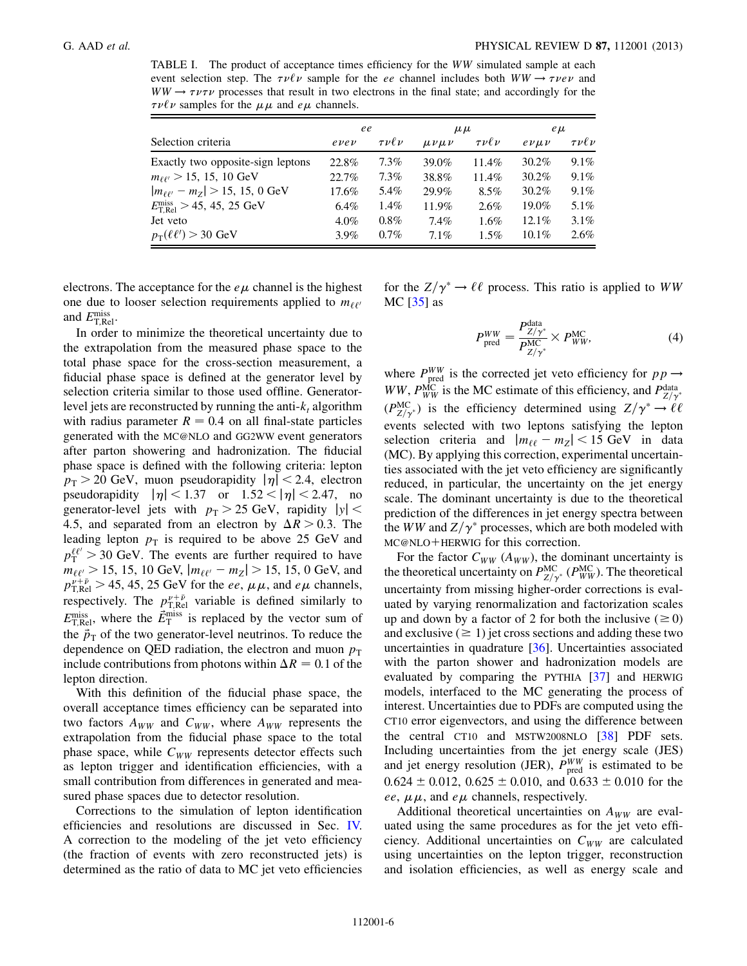<span id="page-5-0"></span>TABLE I. The product of acceptance times efficiency for the WW simulated sample at each event selection step. The  $\tau \nu \ell \nu$  sample for the ee channel includes both  $WW \rightarrow \tau \nu e \nu$  and  $WW \rightarrow \tau \nu \tau \nu$  processes that result in two electrons in the final state; and accordingly for the  $\tau \nu \ell \nu$  samples for the  $\mu \mu$  and  $e \mu$  channels.

|                                                          | ee          |                  | $\mu \mu$      |                  | $e\mu$   |                     |
|----------------------------------------------------------|-------------|------------------|----------------|------------------|----------|---------------------|
| Selection criteria                                       | $e\nu e\nu$ | $\tau\nu\ell\nu$ | $\mu\nu\mu\nu$ | $\tau\nu\ell\nu$ | evuv     | $\tau \nu \ell \nu$ |
| Exactly two opposite-sign leptons                        | 22.8%       | $7.3\%$          | 39.0%          | 11.4%            | $30.2\%$ | $9.1\%$             |
| $m_{\ell\ell'} > 15, 15, 10 \text{ GeV}$                 | 22.7%       | $7.3\%$          | 38.8%          | $11.4\%$         | 30.2%    | $9.1\%$             |
| $ m_{\ell\ell'} - m_Z  > 15, 15, 0$ GeV                  | 17.6%       | 5.4%             | 29.9%          | $8.5\%$          | 30.2%    | $9.1\%$             |
| $E_{\text{TRel}}^{\text{miss}} > 45, 45, 25 \text{ GeV}$ | $6.4\%$     | 1.4%             | 11.9%          | $2.6\%$          | 19.0%    | $5.1\%$             |
| Jet veto                                                 | $4.0\%$     | $0.8\%$          | $7.4\%$        | 1.6%             | $12.1\%$ | $3.1\%$             |
| $p_T(\ell\ell') > 30$ GeV                                | $3.9\%$     | $0.7\%$          | 7.1%           | $1.5\%$          | $10.1\%$ | $2.6\%$             |

electrons. The acceptance for the  $e\mu$  channel is the highest one due to looser selection requirements applied to  $m_{\ell\ell'}$ and  $E_{\text{T,Rel}}^{\text{miss}}$ .

In order to minimize the theoretical uncertainty due to the extrapolation from the measured phase space to the total phase space for the cross-section measurement, a fiducial phase space is defined at the generator level by selection criteria similar to those used offline. Generatorlevel jets are reconstructed by running the anti- $k_t$  algorithm with radius parameter  $R = 0.4$  on all final-state particles generated with the MC@NLO and GG2WW event generators after parton showering and hadronization. The fiducial phase space is defined with the following criteria: lepton  $p_T > 20$  GeV, muon pseudorapidity  $|\eta| < 2.4$ , electron pseudorapidity  $|\eta| < 1.37$  or  $1.52 < |\eta| < 2.47$ , no generator-level jets with  $p_T > 25$  GeV, rapidity  $|y|$  < 4.5, and separated from an electron by  $\Delta R > 0.3$ . The leading lepton  $p<sub>T</sub>$  is required to be above 25 GeV and  $p_{\rm T}^{\ell\ell'}$  > 30 GeV. The events are further required to have  $m_{\ell\ell'} > 15$ , 15, 10 GeV,  $|m_{\ell\ell'} - m_Z| > 15$ , 15, 0 GeV, and  $p_{\text{TRel}}^{\nu+\bar{\nu}} > 45, 45, 25 \text{ GeV}$  for the *ee*,  $\mu\mu$ , and *e* $\mu$  channels, respectively. The  $p_{T,\text{Rel}}^{\nu+\bar{\nu}}$  variable is defined similarly to  $E_{\rm T, Rel}^{\rm miss}$ , where the  $\vec{E}_{\rm T}^{\rm miss}$  is replaced by the vector sum of the  $\vec{p}_T$  of the two generator-level neutrinos. To reduce the dependence on QED radiation, the electron and muon  $p<sub>T</sub>$ include contributions from photons within  $\Delta R = 0.1$  of the lepton direction.

With this definition of the fiducial phase space, the overall acceptance times efficiency can be separated into two factors  $A_{WW}$  and  $C_{WW}$ , where  $A_{WW}$  represents the extrapolation from the fiducial phase space to the total phase space, while  $C_{WW}$  represents detector effects such as lepton trigger and identification efficiencies, with a small contribution from differences in generated and measured phase spaces due to detector resolution.

Corrections to the simulation of lepton identification efficiencies and resolutions are discussed in Sec. [IV.](#page-2-0) A correction to the modeling of the jet veto efficiency (the fraction of events with zero reconstructed jets) is determined as the ratio of data to MC jet veto efficiencies

for the  $Z/\gamma^* \to \ell \ell$  process. This ratio is applied to WW MC  $[35]$  $[35]$  $[35]$  as

$$
P_{\text{pred}}^{WW} = \frac{P_{Z/\gamma^*}^{\text{data}}}{P_{Z/\gamma^*}^{MC}} \times P_{WW}^{\text{MC}},\tag{4}
$$

where  $P_{\text{pred}}^{WW}$  is the corrected jet veto efficiency for  $pp \rightarrow$ WW,  $P_{WW}^{\text{MC}}$  is the MC estimate of this efficiency, and  $P_{Z/\gamma^*}^{\text{data}}$  $(P_{Z/\gamma^*}^{\text{MC}})$  is the efficiency determined using  $Z/\gamma^* \to \ell \ell$ events selected with two leptons satisfying the lepton selection criteria and  $|m_{\ell\ell} - m_Z| < 15$  GeV in data (MC). By applying this correction, experimental uncertainties associated with the jet veto efficiency are significantly reduced, in particular, the uncertainty on the jet energy scale. The dominant uncertainty is due to the theoretical prediction of the differences in jet energy spectra between the *WW* and  $Z/\gamma^*$  processes, which are both modeled with MC@NLO+HERWIG for this correction.

For the factor  $C_{WW}$  ( $A_{WW}$ ), the dominant uncertainty is the theoretical uncertainty on  $P_{Z/\gamma^*}^{\text{MC}}(P_{WW}^{\text{MC}})$ . The theoretical uncertainty from missing higher-order corrections is evaluated by varying renormalization and factorization scales up and down by a factor of 2 for both the inclusive ( $\geq 0$ ) and exclusive  $(\geq 1)$  jet cross sections and adding these two uncertainties in quadrature [[36](#page-15-20)]. Uncertainties associated with the parton shower and hadronization models are evaluated by comparing the PYTHIA [\[37\]](#page-15-21) and HERWIG models, interfaced to the MC generating the process of interest. Uncertainties due to PDFs are computed using the CT10 error eigenvectors, and using the difference between the central CT10 and MSTW2008NLO [[38](#page-15-22)] PDF sets. Including uncertainties from the jet energy scale (JES) and jet energy resolution (JER),  $P_{\text{pred}}^{WW}$  is estimated to be  $0.624 \pm 0.012$ ,  $0.625 \pm 0.010$ , and  $0.633 \pm 0.010$  for the ee,  $\mu\mu$ , and e $\mu$  channels, respectively.

Additional theoretical uncertainties on  $A_{WW}$  are evaluated using the same procedures as for the jet veto efficiency. Additional uncertainties on  $C_{WW}$  are calculated using uncertainties on the lepton trigger, reconstruction and isolation efficiencies, as well as energy scale and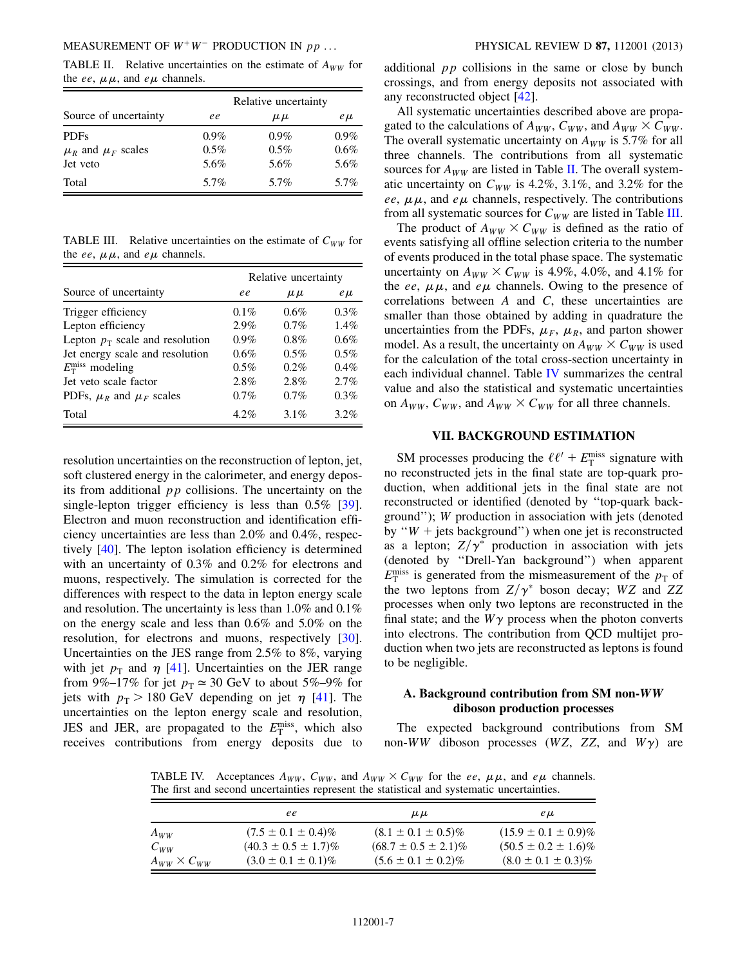<span id="page-6-1"></span>TABLE II. Relative uncertainties on the estimate of  $A_{WW}$  for the ee,  $\mu\mu$ , and e $\mu$  channels.

|                            | Relative uncertainty |           |         |  |
|----------------------------|----------------------|-----------|---------|--|
| Source of uncertainty      | ee                   | $\mu \mu$ | $e\mu$  |  |
| <b>PDFs</b>                | $0.9\%$              | $0.9\%$   | $0.9\%$ |  |
| $\mu_R$ and $\mu_F$ scales | $0.5\%$              | $0.5\%$   | $0.6\%$ |  |
| Jet veto                   | 5.6%                 | 5.6%      | 5.6%    |  |
| Total                      | 5.7%                 | 5.7%      | 5.7%    |  |

<span id="page-6-2"></span>TABLE III. Relative uncertainties on the estimate of  $C_{WW}$  for the ee,  $\mu\mu$ , and e $\mu$  channels.

|                                   | Relative uncertainty |           |         |  |
|-----------------------------------|----------------------|-----------|---------|--|
| Source of uncertainty             | ee                   | $\mu \mu$ | $e\mu$  |  |
| Trigger efficiency                | $0.1\%$              | $0.6\%$   | $0.3\%$ |  |
| Lepton efficiency                 | $2.9\%$              | $0.7\%$   | $1.4\%$ |  |
| Lepton $p_T$ scale and resolution | $0.9\%$              | $0.8\%$   | 0.6%    |  |
| Jet energy scale and resolution   | $0.6\%$              | $0.5\%$   | $0.5\%$ |  |
| $E_{\rm T}^{\rm miss}$ modeling   | $0.5\%$              | $0.2\%$   | $0.4\%$ |  |
| Jet veto scale factor             | $2.8\%$              | 2.8%      | 2.7%    |  |
| PDFs, $\mu_R$ and $\mu_F$ scales  | $0.7\%$              | $0.7\%$   | $0.3\%$ |  |
| Total                             | $4.2\%$              | $3.1\%$   | $3.2\%$ |  |

resolution uncertainties on the reconstruction of lepton, jet, soft clustered energy in the calorimeter, and energy deposits from additional  $pp$  collisions. The uncertainty on the single-lepton trigger efficiency is less than 0.5% [\[39\]](#page-15-23). Electron and muon reconstruction and identification efficiency uncertainties are less than 2.0% and 0.4%, respectively [[40](#page-15-24)]. The lepton isolation efficiency is determined with an uncertainty of 0.3% and 0.2% for electrons and muons, respectively. The simulation is corrected for the differences with respect to the data in lepton energy scale and resolution. The uncertainty is less than 1.0% and 0.1% on the energy scale and less than 0.6% and 5.0% on the resolution, for electrons and muons, respectively [\[30\]](#page-15-14). Uncertainties on the JES range from 2.5% to 8%, varying with jet  $p_T$  and  $\eta$  [\[41\]](#page-15-25). Uncertainties on the JER range from 9%–17% for jet  $p_T \approx 30$  GeV to about 5%–9% for jets with  $p_T > 180$  GeV depending on jet  $\eta$  [\[41\]](#page-15-25). The uncertainties on the lepton energy scale and resolution, JES and JER, are propagated to the  $E_{\rm T}^{\rm miss}$ , which also receives contributions from energy deposits due to additional  $pp$  collisions in the same or close by bunch crossings, and from energy deposits not associated with any reconstructed object [[42](#page-15-26)].

All systematic uncertainties described above are propagated to the calculations of  $A_{WW}$ ,  $C_{WW}$ , and  $A_{WW} \times C_{WW}$ . The overall systematic uncertainty on  $A_{WW}$  is 5.7% for all three channels. The contributions from all systematic sources for  $A_{WW}$  are listed in Table [II.](#page-6-1) The overall systematic uncertainty on  $C_{WW}$  is 4.2%, 3.1%, and 3.2% for the ee,  $\mu\mu$ , and e $\mu$  channels, respectively. The contributions from all systematic sources for  $C_{WW}$  are listed in Table [III](#page-6-2).

The product of  $A_{WW} \times C_{WW}$  is defined as the ratio of events satisfying all offline selection criteria to the number of events produced in the total phase space. The systematic uncertainty on  $A_{WW} \times C_{WW}$  is 4.9%, 4.0%, and 4.1% for the ee,  $\mu\mu$ , and e $\mu$  channels. Owing to the presence of correlations between  $A$  and  $C$ , these uncertainties are smaller than those obtained by adding in quadrature the uncertainties from the PDFs,  $\mu_F$ ,  $\mu_R$ , and parton shower model. As a result, the uncertainty on  $A_{WW} \times C_{WW}$  is used for the calculation of the total cross-section uncertainty in each individual channel. Table [IV](#page-6-3) summarizes the central value and also the statistical and systematic uncertainties on  $A_{WW}$ ,  $C_{WW}$ , and  $A_{WW} \times C_{WW}$  for all three channels.

# VII. BACKGROUND ESTIMATION

<span id="page-6-0"></span>SM processes producing the  $\ell \ell' + E_T^{\text{miss}}$  signature with no reconstructed jets in the final state are top-quark production, when additional jets in the final state are not reconstructed or identified (denoted by ''top-quark background''); W production in association with jets (denoted by " $W$  + jets background") when one jet is reconstructed as a lepton;  $Z/\gamma^*$  production in association with jets (denoted by ''Drell-Yan background'') when apparent  $E_{\rm T}^{\rm miss}$  is generated from the mismeasurement of the  $p_{\rm T}$  of the two leptons from  $Z/\gamma^*$  boson decay; WZ and ZZ processes when only two leptons are reconstructed in the final state; and the  $W\gamma$  process when the photon converts into electrons. The contribution from QCD multijet production when two jets are reconstructed as leptons is found to be negligible.

#### A. Background contribution from SM non-WW diboson production processes

The expected background contributions from SM non-WW diboson processes (WZ, ZZ, and  $W\gamma$ ) are

<span id="page-6-3"></span>TABLE IV. Acceptances  $A_{WW}$ ,  $C_{WW}$ , and  $A_{WW} \times C_{WW}$  for the ee,  $\mu \mu$ , and e $\mu$  channels. The first and second uncertainties represent the statistical and systematic uncertainties.

|                       | ee                         | $\mu \mu$                  | e µ                        |
|-----------------------|----------------------------|----------------------------|----------------------------|
| $A_{WW}$              | $(7.5 \pm 0.1 \pm 0.4)\%$  | $(8.1 \pm 0.1 \pm 0.5)\%$  | $(15.9 \pm 0.1 \pm 0.9)\%$ |
| $C_{WW}$              | $(40.3 \pm 0.5 \pm 1.7)\%$ | $(68.7 \pm 0.5 \pm 2.1)\%$ | $(50.5 \pm 0.2 \pm 1.6)\%$ |
| $A_{WW}\times C_{WW}$ | $(3.0 \pm 0.1 \pm 0.1)\%$  | $(5.6 \pm 0.1 \pm 0.2)\%$  | $(8.0 \pm 0.1 \pm 0.3)\%$  |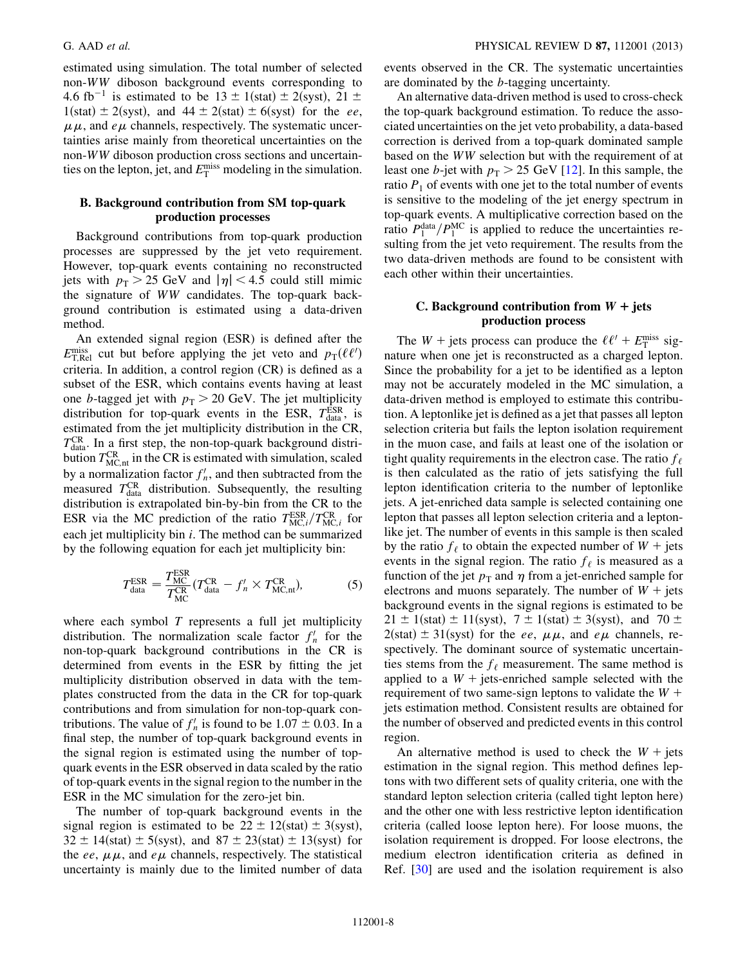estimated using simulation. The total number of selected non-WW diboson background events corresponding to 4.6 fb<sup>-1</sup> is estimated to be  $13 \pm 1$ (stat)  $\pm 2$ (syst), 21  $\pm$  $1(stat) \pm 2(syst)$ , and  $44 \pm 2(stat) \pm 6(syst)$  for the ee,  $\mu\mu$ , and  $e\mu$  channels, respectively. The systematic uncertainties arise mainly from theoretical uncertainties on the non-WW diboson production cross sections and uncertainties on the lepton, jet, and  $E_{\text{T}}^{\text{miss}}$  modeling in the simulation.

# B. Background contribution from SM top-quark production processes

Background contributions from top-quark production processes are suppressed by the jet veto requirement. However, top-quark events containing no reconstructed jets with  $p_T > 25$  GeV and  $|\eta| < 4.5$  could still mimic the signature of WW candidates. The top-quark background contribution is estimated using a data-driven method.

An extended signal region (ESR) is defined after the  $E_{\text{T,Rel}}^{\text{miss}}$  cut but before applying the jet veto and  $p_{\text{T}}(\ell \ell')$ criteria. In addition, a control region (CR) is defined as a subset of the ESR, which contains events having at least one b-tagged jet with  $p_T > 20$  GeV. The jet multiplicity distribution for top-quark events in the ESR,  $T_{data}^{ESR}$ , is estimated from the jet multiplicity distribution in the CR,  $T_{\text{data}}^{\text{CR}}$ . In a first step, the non-top-quark background distribution  $T_{MC,nt}^{CR}$  in the CR is estimated with simulation, scaled by a normalization factor  $f'_n$ , and then subtracted from the measured  $T_{data}^{CR}$  distribution. Subsequently, the resulting distribution is extrapolated bin-by-bin from the CR to the ESR via the MC prediction of the ratio  $T_{MC,i}^{ESR}/T_{MC,i}^{CR}$  for each jet multiplicity bin i. The method can be summarized by the following equation for each jet multiplicity bin:

$$
T_{\text{data}}^{\text{ESR}} = \frac{T_{\text{MC}}^{\text{ESR}}}{T_{\text{MC}}^{\text{CR}}} (T_{\text{data}}^{\text{CR}} - f'_n \times T_{\text{MC,nt}}^{\text{CR}}), \tag{5}
$$

where each symbol  $T$  represents a full jet multiplicity distribution. The normalization scale factor  $f'_n$  for the non-top-quark background contributions in the CR is determined from events in the ESR by fitting the jet multiplicity distribution observed in data with the templates constructed from the data in the CR for top-quark contributions and from simulation for non-top-quark contributions. The value of  $f'_n$  is found to be 1.07  $\pm$  0.03. In a final step, the number of top-quark background events in the signal region is estimated using the number of topquark events in the ESR observed in data scaled by the ratio of top-quark events in the signal region to the number in the ESR in the MC simulation for the zero-jet bin.

The number of top-quark background events in the signal region is estimated to be  $22 \pm 12$ (stat)  $\pm 3$ (syst),  $32 \pm 14$ (stat)  $\pm 5$ (syst), and  $87 \pm 23$ (stat)  $\pm 13$ (syst) for the ee,  $\mu\mu$ , and e $\mu$  channels, respectively. The statistical uncertainty is mainly due to the limited number of data events observed in the CR. The systematic uncertainties are dominated by the b-tagging uncertainty.

An alternative data-driven method is used to cross-check the top-quark background estimation. To reduce the associated uncertainties on the jet veto probability, a data-based correction is derived from a top-quark dominated sample based on the WW selection but with the requirement of at least one b-jet with  $p_T > 25$  GeV [\[12\]](#page-14-13). In this sample, the ratio  $P_1$  of events with one jet to the total number of events is sensitive to the modeling of the jet energy spectrum in top-quark events. A multiplicative correction based on the ratio  $P_1^{\text{data}}/P_1^{\text{MC}}$  is applied to reduce the uncertainties resulting from the jet veto requirement. The results from the two data-driven methods are found to be consistent with each other within their uncertainties.

# C. Background contribution from  $W +$  jets production process

<span id="page-7-0"></span>The  $W$  + jets process can produce the  $\ell \ell' + E_T^{\text{miss}}$  signature when one jet is reconstructed as a charged lepton. Since the probability for a jet to be identified as a lepton may not be accurately modeled in the MC simulation, a data-driven method is employed to estimate this contribution. A leptonlike jet is defined as a jet that passes all lepton selection criteria but fails the lepton isolation requirement in the muon case, and fails at least one of the isolation or tight quality requirements in the electron case. The ratio  $f_{\ell}$ is then calculated as the ratio of jets satisfying the full lepton identification criteria to the number of leptonlike jets. A jet-enriched data sample is selected containing one lepton that passes all lepton selection criteria and a leptonlike jet. The number of events in this sample is then scaled by the ratio  $f_{\ell}$  to obtain the expected number of  $W + \text{jets}$ events in the signal region. The ratio  $f_{\ell}$  is measured as a function of the jet  $p_T$  and  $\eta$  from a jet-enriched sample for electrons and muons separately. The number of  $W +$  jets background events in the signal regions is estimated to be  $21 \pm 1$ (stat)  $\pm 11$ (syst),  $7 \pm 1$ (stat)  $\pm 3$ (syst), and  $70 \pm 1$  $2(stat) \pm 31(syst)$  for the *ee*,  $\mu\mu$ , and  $e\mu$  channels, respectively. The dominant source of systematic uncertainties stems from the  $f_{\ell}$  measurement. The same method is applied to a  $W$  + jets-enriched sample selected with the requirement of two same-sign leptons to validate the  $W +$ jets estimation method. Consistent results are obtained for the number of observed and predicted events in this control region.

An alternative method is used to check the  $W +$  jets estimation in the signal region. This method defines leptons with two different sets of quality criteria, one with the standard lepton selection criteria (called tight lepton here) and the other one with less restrictive lepton identification criteria (called loose lepton here). For loose muons, the isolation requirement is dropped. For loose electrons, the medium electron identification criteria as defined in Ref. [[30\]](#page-15-14) are used and the isolation requirement is also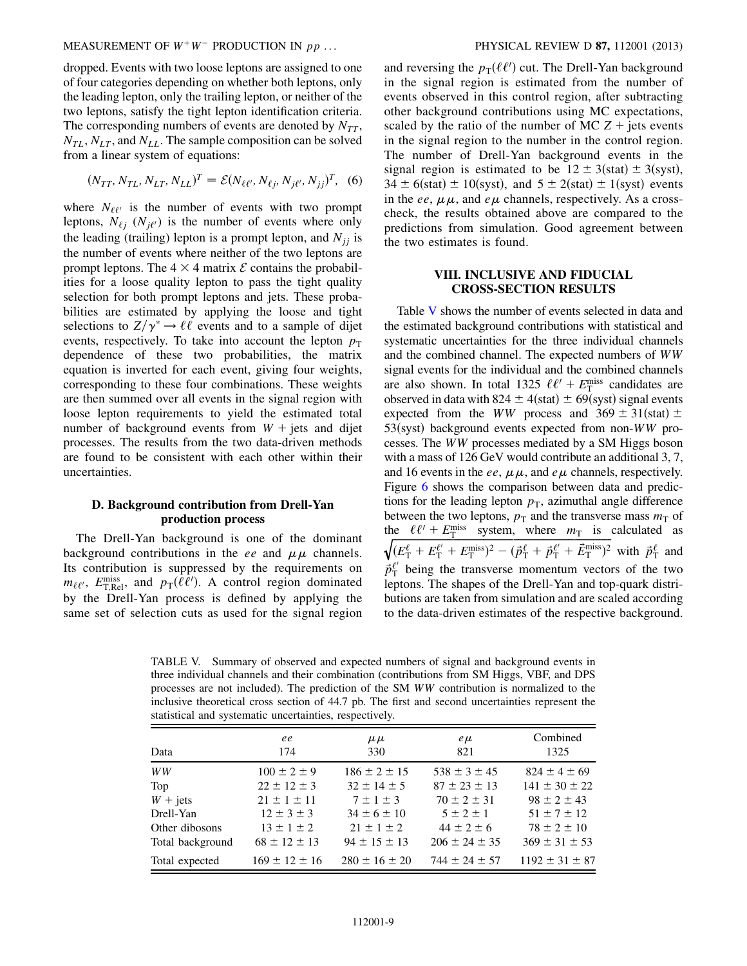MEASUREMENT OF  $W^+W^-$  PRODUCTION IN  $pp$  ... PHYSICAL REVIEW D 87, 112001 (2013)

dropped. Events with two loose leptons are assigned to one of four categories depending on whether both leptons, only the leading lepton, only the trailing lepton, or neither of the two leptons, satisfy the tight lepton identification criteria. The corresponding numbers of events are denoted by  $N_{TT}$ ,  $N_{TL}$ ,  $N_{LT}$ , and  $N_{LL}$ . The sample composition can be solved from a linear system of equations:

$$
(N_{TT}, N_{TL}, N_{LT}, N_{LL})^T = \mathcal{E}(N_{\ell\ell'}, N_{\ell j}, N_{j\ell'}, N_{jj})^T, (6)
$$

where  $N_{\ell\ell'}$  is the number of events with two prompt leptons,  $N_{\ell j}$  ( $N_{j\ell'}$ ) is the number of events where only the leading (trailing) lepton is a prompt lepton, and  $N_{ij}$  is the number of events where neither of the two leptons are prompt leptons. The  $4 \times 4$  matrix  $\mathcal E$  contains the probabilities for a loose quality lepton to pass the tight quality selection for both prompt leptons and jets. These probabilities are estimated by applying the loose and tight selections to  $Z/\gamma^* \rightarrow \ell \ell$  events and to a sample of dijet events, respectively. To take into account the lepton  $p_T$ dependence of these two probabilities, the matrix equation is inverted for each event, giving four weights, corresponding to these four combinations. These weights are then summed over all events in the signal region with loose lepton requirements to yield the estimated total number of background events from  $W +$  jets and dijet processes. The results from the two data-driven methods are found to be consistent with each other within their uncertainties.

## D. Background contribution from Drell-Yan production process

The Drell-Yan background is one of the dominant background contributions in the ee and  $\mu\mu$  channels. Its contribution is suppressed by the requirements on  $m_{\ell\ell'}$ ,  $E_{\text{T,Rel}}^{\text{miss}}$ , and  $p_{\text{T}}(\ell\ell')$ . A control region dominated by the Drell-Yan process is defined by applying the same set of selection cuts as used for the signal region

and reversing the  $p_T(\ell\ell')$  cut. The Drell-Yan background in the signal region is estimated from the number of events observed in this control region, after subtracting other background contributions using MC expectations, scaled by the ratio of the number of MC  $Z +$  jets events in the signal region to the number in the control region. The number of Drell-Yan background events in the signal region is estimated to be  $12 \pm 3$ (stat)  $\pm 3$ (syst),  $34 \pm 6$ (stat)  $\pm 10$ (syst), and  $5 \pm 2$ (stat)  $\pm 1$ (syst) events in the ee,  $\mu \mu$ , and e $\mu$  channels, respectively. As a crosscheck, the results obtained above are compared to the predictions from simulation. Good agreement between the two estimates is found.

# VIII. INCLUSIVE AND FIDUCIAL CROSS-SECTION RESULTS

<span id="page-8-0"></span>Table [V](#page-8-1) shows the number of events selected in data and the estimated background contributions with statistical and systematic uncertainties for the three individual channels and the combined channel. The expected numbers of WW signal events for the individual and the combined channels are also shown. In total 1325  $\ell \ell' + E_{\rm T}^{\rm miss}$  candidates are observed in data with  $824 \pm 4$ (stat)  $\pm 69$ (syst) signal events expected from the *WW* process and  $369 \pm 31$ (stat)  $\pm$  $53$ (syst) background events expected from non-WW processes. The WW processes mediated by a SM Higgs boson with a mass of 126 GeV would contribute an additional 3, 7, and 16 events in the ee,  $\mu\mu$ , and e $\mu$  channels, respectively. Figure [6](#page-9-0) shows the comparison between data and predictions for the leading lepton  $p<sub>T</sub>$ , azimuthal angle difference between the two leptons,  $p_T$  and the transverse mass  $m_T$  of the  $\ell \ell' + E_T^{\text{miss}}$  system, where  $m_T$  is calculated as  $\sqrt{(E_{\rm T}^{\ell}+E_{\rm T}^{\ell'}+E_{\rm T}^{\rm miss})^2-(\vec{p}_{\rm T}^{\ell}+\vec{p}_{\rm T}^{\ell'}+\vec{E}_{\rm T}^{\rm miss})^2}$  with  $\vec{p}_{\rm T}^{\ell}$  and  $\vec{p}_{\text{T}}^{\ell'}$  being the transverse momentum vectors of the two leptons. The shapes of the Drell-Yan and top-quark distributions are taken from simulation and are scaled according to the data-driven estimates of the respective background.

<span id="page-8-1"></span>TABLE V. Summary of observed and expected numbers of signal and background events in three individual channels and their combination (contributions from SM Higgs, VBF, and DPS processes are not included). The prediction of the SM WW contribution is normalized to the inclusive theoretical cross section of 44.7 pb. The first and second uncertainties represent the statistical and systematic uncertainties, respectively.

| Data              | ee<br>174           | $\mu \mu$<br>330    | $e\mu$<br>821       | Combined<br>1325     |
|-------------------|---------------------|---------------------|---------------------|----------------------|
| WW                | $100 \pm 2 \pm 9$   | $186 \pm 2 \pm 15$  | $538 \pm 3 \pm 45$  | $824 \pm 4 \pm 69$   |
| Top               | $22 \pm 12 \pm 3$   | $32 \pm 14 \pm 5$   | $87 \pm 23 \pm 13$  | $141 \pm 30 \pm 22$  |
| $W + \text{jets}$ | $21 \pm 1 \pm 11$   | $7 \pm 1 \pm 3$     | $70 \pm 2 \pm 31$   | $98 \pm 2 \pm 43$    |
| Drell-Yan         | $12 \pm 3 \pm 3$    | $34 \pm 6 \pm 10$   | $5 \pm 2 \pm 1$     | $51 \pm 7 \pm 12$    |
| Other dibosons    | $13 \pm 1 \pm 2$    | $21 \pm 1 \pm 2$    | $44 \pm 2 \pm 6$    | $78 \pm 2 \pm 10$    |
| Total background  | $68 \pm 12 \pm 13$  | $94 \pm 15 \pm 13$  | $206 \pm 24 \pm 35$ | $369 \pm 31 \pm 53$  |
| Total expected    | $169 \pm 12 \pm 16$ | $280 \pm 16 \pm 20$ | $744 \pm 24 \pm 57$ | $1192 \pm 31 \pm 87$ |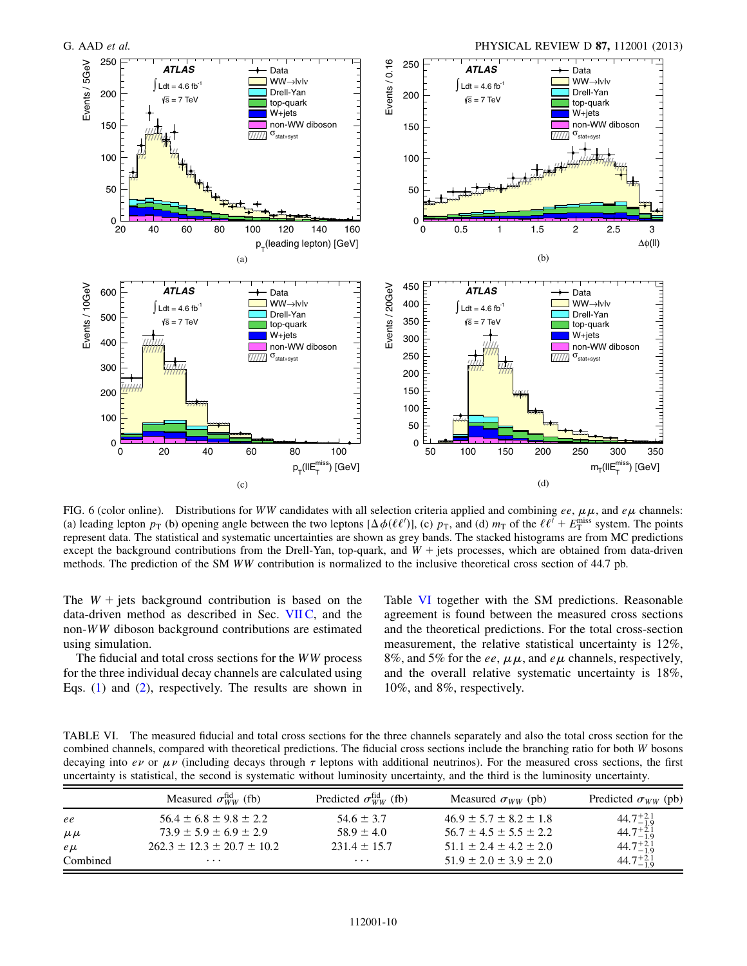<span id="page-9-0"></span>

FIG. 6 (color online). Distributions for WW candidates with all selection criteria applied and combining ee,  $\mu\mu$ , and e $\mu$  channels: (a) leading lepton  $p_T$  (b) opening angle between the two leptons  $[\Delta \phi(\ell \ell')]$ , (c)  $p_T$ , and (d)  $m_T$  of the  $\ell \ell' + E_T^{\text{miss}}$  system. The points represent data. The statistical and systematic uncertainties are shown as grey bands. The stacked histograms are from MC predictions except the background contributions from the Drell-Yan, top-quark, and  $W +$  jets processes, which are obtained from data-driven methods. The prediction of the SM WW contribution is normalized to the inclusive theoretical cross section of 44.7 pb.

The  $W +$  jets background contribution is based on the data-driven method as described in Sec. [VII C](#page-7-0), and the non-WW diboson background contributions are estimated using simulation.

The fiducial and total cross sections for the WW process for the three individual decay channels are calculated using Eqs. [\(1](#page-1-2)) and ([2\)](#page-1-3), respectively. The results are shown in Table [VI](#page-9-1) together with the SM predictions. Reasonable agreement is found between the measured cross sections and the theoretical predictions. For the total cross-section measurement, the relative statistical uncertainty is 12%, 8%, and 5% for the ee,  $\mu \mu$ , and e $\mu$  channels, respectively, and the overall relative systematic uncertainty is 18%, 10%, and 8%, respectively.

<span id="page-9-1"></span>TABLE VI. The measured fiducial and total cross sections for the three channels separately and also the total cross section for the combined channels, compared with theoretical predictions. The fiducial cross sections include the branching ratio for both W bosons decaying into  $e\nu$  or  $\mu\nu$  (including decays through  $\tau$  leptons with additional neutrinos). For the measured cross sections, the first uncertainty is statistical, the second is systematic without luminosity uncertainty, and the third is the luminosity uncertainty.

|           | Measured $\sigma_{WW}^{\text{fid}}$ (fb) | Predicted $\sigma_{WW}^{\text{fid}}$ (fb) | Measured $\sigma_{WW}$ (pb)    | Predicted $\sigma_{WW}$ (pb) |
|-----------|------------------------------------------|-------------------------------------------|--------------------------------|------------------------------|
| ee        | $56.4 \pm 6.8 \pm 9.8 \pm 2.2$           | $54.6 \pm 3.7$                            | $46.9 \pm 5.7 \pm 8.2 \pm 1.8$ | $44.7^{+2.1}_{-1.9}$         |
| $\mu \mu$ | $73.9 \pm 5.9 \pm 6.9 \pm 2.9$           | $58.9 + 4.0$                              | $56.7 \pm 4.5 \pm 5.5 \pm 2.2$ | $44.7^{+2.1}_{-1.9}$         |
| $e\mu$    | $262.3 \pm 12.3 \pm 20.7 \pm 10.2$       | $231.4 \pm 15.7$                          | $51.1 \pm 2.4 \pm 4.2 \pm 2.0$ | $44.7^{+2.1}_{-1.9}$         |
| Combined  | $\cdots$                                 | $\cdots$                                  | $51.9 \pm 2.0 \pm 3.9 \pm 2.0$ | $44.7^{+2.1}_{-1.9}$         |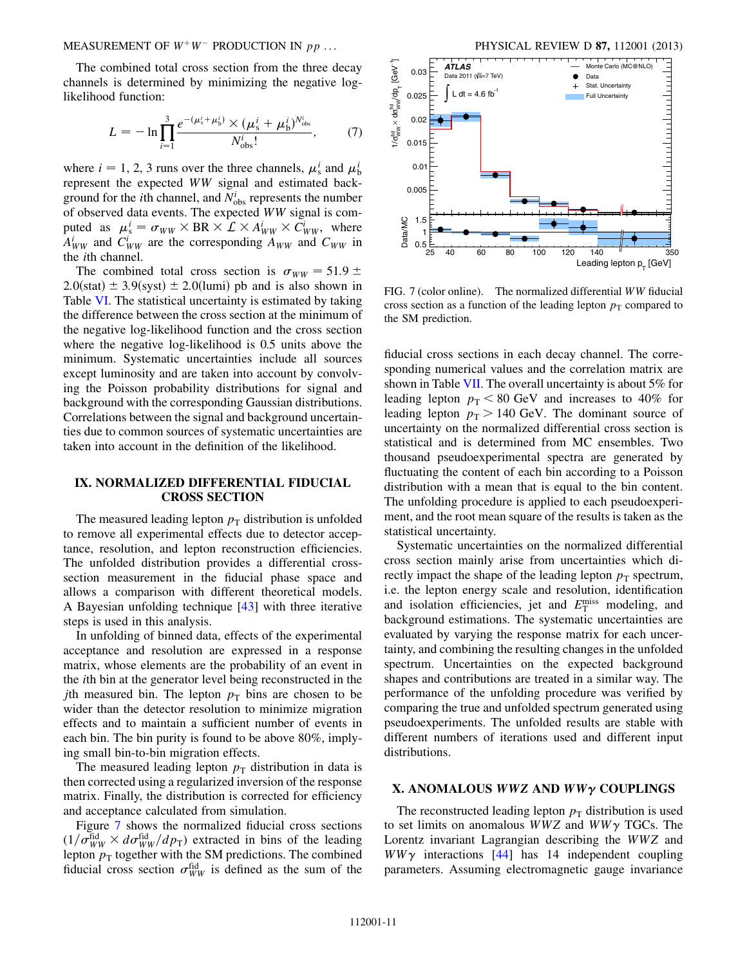MEASUREMENT OF  $W^+W^-$  PRODUCTION IN  $pp$  ... PHYSICAL REVIEW D 87, 112001 (2013)

The combined total cross section from the three decay channels is determined by minimizing the negative loglikelihood function:

$$
L = -\ln \prod_{i=1}^{3} \frac{e^{-(\mu_{\rm s}^{i} + \mu_{\rm b}^{i})} \times (\mu_{\rm s}^{i} + \mu_{\rm b}^{i})^{N_{\rm obs}^{i}}}{N_{\rm obs}^{i}},\tag{7}
$$

where  $i = 1, 2, 3$  runs over the three channels,  $\mu_s^i$  and  $\mu_b^i$ represent the expected WW signal and estimated background for the *i*th channel, and  $N_{\text{obs}}^i$  represents the number of observed data events. The expected WW signal is computed as  $\mu_s^i = \sigma_{WW} \times BR \times L \times A_{WW}^i \times C_{WW}^i$ , where  $A_{WW}^i$  and  $C_{WW}^i$  are the corresponding  $A_{WW}$  and  $C_{WW}$  in the ith channel.

The combined total cross section is  $\sigma_{WW} = 51.9 \pm 0.000$  $2.0$ (stat)  $\pm 3.9$ (syst)  $\pm 2.0$ (lumi) pb and is also shown in Table [VI.](#page-9-1) The statistical uncertainty is estimated by taking the difference between the cross section at the minimum of the negative log-likelihood function and the cross section where the negative log-likelihood is 0.5 units above the minimum. Systematic uncertainties include all sources except luminosity and are taken into account by convolving the Poisson probability distributions for signal and background with the corresponding Gaussian distributions. Correlations between the signal and background uncertainties due to common sources of systematic uncertainties are taken into account in the definition of the likelihood.

# <span id="page-10-0"></span>IX. NORMALIZED DIFFERENTIAL FIDUCIAL CROSS SECTION

The measured leading lepton  $p<sub>T</sub>$  distribution is unfolded to remove all experimental effects due to detector acceptance, resolution, and lepton reconstruction efficiencies. The unfolded distribution provides a differential crosssection measurement in the fiducial phase space and allows a comparison with different theoretical models. A Bayesian unfolding technique [[43](#page-15-27)] with three iterative steps is used in this analysis.

In unfolding of binned data, effects of the experimental acceptance and resolution are expressed in a response matrix, whose elements are the probability of an event in the ith bin at the generator level being reconstructed in the *j*th measured bin. The lepton  $p<sub>T</sub>$  bins are chosen to be wider than the detector resolution to minimize migration effects and to maintain a sufficient number of events in each bin. The bin purity is found to be above 80%, implying small bin-to-bin migration effects.

The measured leading lepton  $p<sub>T</sub>$  distribution in data is then corrected using a regularized inversion of the response matrix. Finally, the distribution is corrected for efficiency and acceptance calculated from simulation.

Figure [7](#page-10-2) shows the normalized fiducial cross sections  $(1/\sigma_{WW}^{\text{fid}} \times d\sigma_{WW}^{\text{fid}}/dp_{\text{T}})$  extracted in bins of the leading lepton  $p_T$  together with the SM predictions. The combined fiducial cross section  $\sigma_{WW}^{\text{fid}}$  is defined as the sum of the

<span id="page-10-2"></span>

FIG. 7 (color online). The normalized differential WW fiducial cross section as a function of the leading lepton  $p<sub>T</sub>$  compared to the SM prediction.

fiducial cross sections in each decay channel. The corresponding numerical values and the correlation matrix are shown in Table [VII](#page-11-0). The overall uncertainty is about 5% for leading lepton  $p_T < 80$  GeV and increases to 40% for leading lepton  $p_T > 140$  GeV. The dominant source of uncertainty on the normalized differential cross section is statistical and is determined from MC ensembles. Two thousand pseudoexperimental spectra are generated by fluctuating the content of each bin according to a Poisson distribution with a mean that is equal to the bin content. The unfolding procedure is applied to each pseudoexperiment, and the root mean square of the results is taken as the statistical uncertainty.

Systematic uncertainties on the normalized differential cross section mainly arise from uncertainties which directly impact the shape of the leading lepton  $p_T$  spectrum, i.e. the lepton energy scale and resolution, identification and isolation efficiencies, jet and  $E_{\text{T}}^{\text{miss}}$  modeling, and background estimations. The systematic uncertainties are evaluated by varying the response matrix for each uncertainty, and combining the resulting changes in the unfolded spectrum. Uncertainties on the expected background shapes and contributions are treated in a similar way. The performance of the unfolding procedure was verified by comparing the true and unfolded spectrum generated using pseudoexperiments. The unfolded results are stable with different numbers of iterations used and different input distributions.

#### <span id="page-10-1"></span>X. ANOMALOUS WWZ AND  $WW\gamma$  COUPLINGS

The reconstructed leading lepton  $p<sub>T</sub>$  distribution is used to set limits on anomalous  $WWZ$  and  $WW\gamma$  TGCs. The Lorentz invariant Lagrangian describing the WWZ and  $WW\gamma$  interactions [[44](#page-15-28)] has 14 independent coupling parameters. Assuming electromagnetic gauge invariance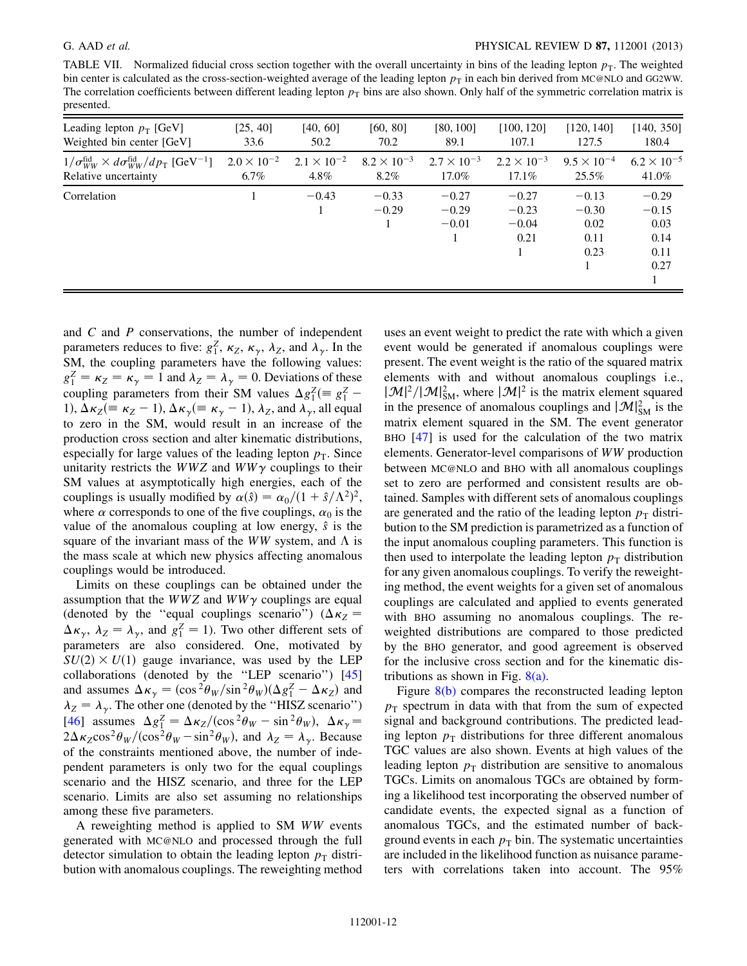<span id="page-11-0"></span>TABLE VII. Normalized fiducial cross section together with the overall uncertainty in bins of the leading lepton  $p<sub>T</sub>$ . The weighted bin center is calculated as the cross-section-weighted average of the leading lepton  $p<sub>T</sub>$  in each bin derived from MC@NLO and GG2WW. The correlation coefficients between different leading lepton  $p<sub>T</sub>$  bins are also shown. Only half of the symmetric correlation matrix is presented.

| Leading lepton $p_T$ [GeV]                                                              | [25, 40]             | [40, 60]             | [60, 80]             | [80, 100]                     | [100, 120]                            | [120, 140]                                 | [140, 350]                                         |
|-----------------------------------------------------------------------------------------|----------------------|----------------------|----------------------|-------------------------------|---------------------------------------|--------------------------------------------|----------------------------------------------------|
| Weighted bin center [GeV]                                                               | 33.6                 | 50.2                 | 70.2                 | 89.1                          | 107.1                                 | 127.5                                      | 180.4                                              |
| $1/\sigma_{WW}^{\text{fid}} \times d\sigma_{WW}^{\text{fid}}/dp_T$ [GeV <sup>-1</sup> ] | $2.0 \times 10^{-2}$ | $2.1 \times 10^{-2}$ | $8.2 \times 10^{-3}$ | $2.7 \times 10^{-3}$          | $2.2 \times 10^{-3}$                  | $9.5 \times 10^{-4}$                       | $6.2 \times 10^{-5}$                               |
| Relative uncertainty                                                                    | $6.7\%$              | $4.8\%$              | 8.2%                 | 17.0%                         | $17.1\%$                              | 25.5%                                      | 41.0%                                              |
| Correlation                                                                             |                      | $-0.43$              | $-0.33$<br>$-0.29$   | $-0.27$<br>$-0.29$<br>$-0.01$ | $-0.27$<br>$-0.23$<br>$-0.04$<br>0.21 | $-0.13$<br>$-0.30$<br>0.02<br>0.11<br>0.23 | $-0.29$<br>$-0.15$<br>0.03<br>0.14<br>0.11<br>0.27 |

and  $C$  and  $P$  conservations, the number of independent parameters reduces to five:  $g_1^Z$ ,  $\kappa_Z$ ,  $\kappa_\gamma$ ,  $\lambda_Z$ , and  $\lambda_\gamma$ . In the SM, the coupling parameters have the following values:  $g_1^Z = \kappa_Z = \kappa_\gamma = 1$  and  $\lambda_Z = \lambda_\gamma = 0$ . Deviations of these coupling parameters from their SM values  $\Delta g_1^Z$  (=  $g_1^Z$  – 1),  $\Delta \kappa_Z (\equiv \kappa_Z - 1)$ ,  $\Delta \kappa_\gamma (\equiv \kappa_\gamma - 1)$ ,  $\lambda_Z$ , and  $\lambda_\gamma$ , all equal to zero in the SM, would result in an increase of the production cross section and alter kinematic distributions, especially for large values of the leading lepton  $p<sub>T</sub>$ . Since unitarity restricts the WWZ and WW $\gamma$  couplings to their SM values at asymptotically high energies, each of the couplings is usually modified by  $\alpha(\hat{s}) = \alpha_0/(1 + \hat{s}/\Lambda^2)^2$ , where  $\alpha$  corresponds to one of the five couplings,  $\alpha_0$  is the value of the anomalous coupling at low energy,  $\hat{s}$  is the square of the invariant mass of the WW system, and  $\Lambda$  is the mass scale at which new physics affecting anomalous couplings would be introduced.

Limits on these couplings can be obtained under the assumption that the WWZ and  $WW\gamma$  couplings are equal (denoted by the "equal couplings scenario") ( $\Delta \kappa_Z$  =  $\Delta \kappa_{\gamma}$ ,  $\lambda_{Z} = \lambda_{\gamma}$ , and  $g_1^Z = 1$ ). Two other different sets of parameters are also considered. One, motivated by  $SU(2) \times U(1)$  gauge invariance, was used by the LEP collaborations (denoted by the ''LEP scenario'') [\[45\]](#page-15-29) and assumes  $\Delta \kappa_{\gamma} = (\cos^2 \theta_W / \sin^2 \theta_W) (\Delta g_1^Z - \Delta \kappa_Z)$  and  $\lambda_Z = \lambda_{\gamma}$ . The other one (denoted by the "HISZ scenario") [\[46\]](#page-15-30) assumes  $\Delta g_1^Z = \Delta \kappa_Z / (\cos^2 \theta_W - \sin^2 \theta_W)$ ,  $\Delta \kappa_\gamma =$  $2\Delta\kappa_Z \cos^2\theta_W/(\cos^2\theta_W - \sin^2\theta_W)$ , and  $\lambda_Z = \lambda_\gamma$ . Because of the constraints mentioned above, the number of independent parameters is only two for the equal couplings scenario and the HISZ scenario, and three for the LEP scenario. Limits are also set assuming no relationships among these five parameters.

A reweighting method is applied to SM WW events generated with MC@NLO and processed through the full detector simulation to obtain the leading lepton  $p<sub>T</sub>$  distribution with anomalous couplings. The reweighting method uses an event weight to predict the rate with which a given event would be generated if anomalous couplings were present. The event weight is the ratio of the squared matrix elements with and without anomalous couplings i.e.,  $|\mathcal{M}|^2/|\mathcal{M}|^2_{SM}$ , where  $|\mathcal{M}|^2$  is the matrix element squared in the presence of anomalous couplings and  $|\mathcal{M}|^2_{SM}$  is the matrix element squared in the SM. The event generator BHO [[47](#page-15-31)] is used for the calculation of the two matrix elements. Generator-level comparisons of WW production between MC@NLO and BHO with all anomalous couplings set to zero are performed and consistent results are obtained. Samples with different sets of anomalous couplings are generated and the ratio of the leading lepton  $p<sub>T</sub>$  distribution to the SM prediction is parametrized as a function of the input anomalous coupling parameters. This function is then used to interpolate the leading lepton  $p<sub>T</sub>$  distribution for any given anomalous couplings. To verify the reweighting method, the event weights for a given set of anomalous couplings are calculated and applied to events generated with BHO assuming no anomalous couplings. The reweighted distributions are compared to those predicted by the BHO generator, and good agreement is observed for the inclusive cross section and for the kinematic distributions as shown in Fig.  $8(a)$ .

Figure [8\(b\)](#page-12-0) compares the reconstructed leading lepton  $p_T$  spectrum in data with that from the sum of expected signal and background contributions. The predicted leading lepton  $p<sub>T</sub>$  distributions for three different anomalous TGC values are also shown. Events at high values of the leading lepton  $p<sub>T</sub>$  distribution are sensitive to anomalous TGCs. Limits on anomalous TGCs are obtained by forming a likelihood test incorporating the observed number of candidate events, the expected signal as a function of anomalous TGCs, and the estimated number of background events in each  $p<sub>T</sub>$  bin. The systematic uncertainties are included in the likelihood function as nuisance parameters with correlations taken into account. The 95%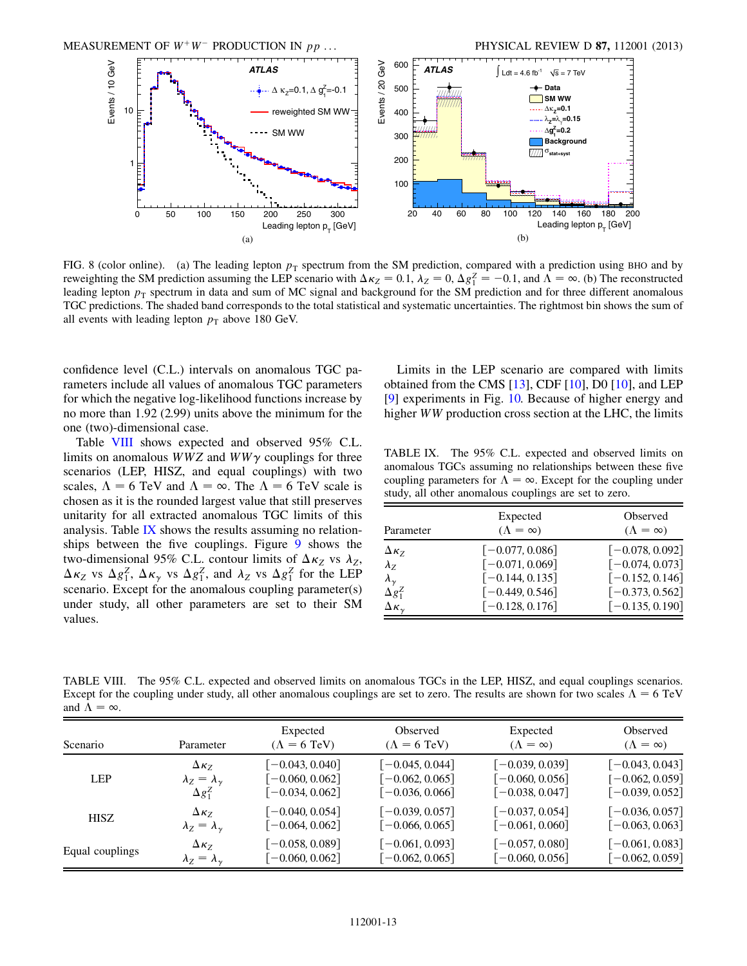

<span id="page-12-0"></span>FIG. 8 (color online). (a) The leading lepton  $p_T$  spectrum from the SM prediction, compared with a prediction using BHO and by reweighting the SM prediction assuming the LEP scenario with  $\Delta \kappa_Z = 0.1$ ,  $\lambda_Z = 0$ ,  $\Delta g_1^Z = -0.1$ , and  $\Lambda = \infty$ . (b) The reconstructed leading lepton  $p<sub>T</sub>$  spectrum in data and sum of MC signal and background for the SM prediction and for three different anomalous TGC predictions. The shaded band corresponds to the total statistical and systematic uncertainties. The rightmost bin shows the sum of all events with leading lepton  $p_T$  above 180 GeV.

confidence level (C.L.) intervals on anomalous TGC parameters include all values of anomalous TGC parameters for which the negative log-likelihood functions increase by no more than 1.92 (2.99) units above the minimum for the one (two)-dimensional case.

Table [VIII](#page-12-1) shows expected and observed 95% C.L. limits on anomalous  $WWZ$  and  $WW\gamma$  couplings for three scenarios (LEP, HISZ, and equal couplings) with two scales,  $\Lambda = 6$  TeV and  $\Lambda = \infty$ . The  $\Lambda = 6$  TeV scale is chosen as it is the rounded largest value that still preserves unitarity for all extracted anomalous TGC limits of this analysis. Table [IX](#page-12-2) shows the results assuming no relation-ships between the five couplings. Figure [9](#page-13-1) shows the two-dimensional 95% C.L. contour limits of  $\Delta \kappa_Z$  vs  $\lambda_Z$ ,  $\Delta \kappa_Z$  vs  $\Delta g_1^Z$ ,  $\Delta \kappa_\gamma$  vs  $\Delta g_1^Z$ , and  $\lambda_Z$  vs  $\Delta g_1^Z$  for the LEP scenario. Except for the anomalous coupling parameter(s) under study, all other parameters are set to their SM values.

Limits in the LEP scenario are compared with limits obtained from the CMS  $[13]$  $[13]$ , CDF  $[10]$ , D0  $[10]$ , and LEP [\[9\]](#page-14-8) experiments in Fig. [10.](#page-14-15) Because of higher energy and higher WW production cross section at the LHC, the limits

<span id="page-12-2"></span>TABLE IX. The 95% C.L. expected and observed limits on anomalous TGCs assuming no relationships between these five coupling parameters for  $\Lambda = \infty$ . Except for the coupling under study, all other anomalous couplings are set to zero.

| Parameter                | Expected<br>$(\Lambda = \infty)$ | Observed<br>$(\Lambda = \infty)$ |
|--------------------------|----------------------------------|----------------------------------|
| $\Delta \kappa_Z$        | $[-0.077, 0.086]$                | $[-0.078, 0.092]$                |
| $\lambda_z$              | $[-0.071, 0.069]$                | $[-0.074, 0.073]$                |
| $\lambda_{\gamma}$       | $[-0.144, 0.135]$                | $[-0.152, 0.146]$                |
| $\Delta g_1^Z$           | $[-0.449, 0.546]$                | $[-0.373, 0.562]$                |
| $\Delta \kappa_{\gamma}$ | $[-0.128, 0.176]$                | $[-0.135, 0.190]$                |

<span id="page-12-1"></span>TABLE VIII. The 95% C.L. expected and observed limits on anomalous TGCs in the LEP, HISZ, and equal couplings scenarios. Except for the coupling under study, all other anomalous couplings are set to zero. The results are shown for two scales  $\Lambda = 6$  TeV and  $\Lambda = \infty$ .

| Scenario        | Parameter                      | Expected<br>$(\Lambda = 6$ TeV) | Observed<br>$(\Lambda = 6$ TeV) | Expected<br>$(\Lambda = \infty)$ | Observed<br>$(\Lambda = \infty)$ |
|-----------------|--------------------------------|---------------------------------|---------------------------------|----------------------------------|----------------------------------|
| <b>LEP</b>      | $\Delta \kappa_7$              | $[-0.043, 0.040]$               | $-0.045, 0.044$                 | $[-0.039, 0.039]$                | $[-0.043, 0.043]$                |
|                 | $\lambda_Z = \lambda_{\gamma}$ | $[-0.060, 0.062]$               | $[-0.062, 0.065]$               | $[-0.060, 0.056]$                | $[-0.062, 0.059]$                |
|                 | $\Delta g_1^Z$                 | $[-0.034, 0.062]$               | $[-0.036, 0.066]$               | $[-0.038, 0.047]$                | $[-0.039, 0.052]$                |
| <b>HISZ</b>     | $\Delta \kappa_7$              | $[-0.040, 0.054]$               | $[-0.039, 0.057]$               | $[-0.037, 0.054]$                | $[-0.036, 0.057]$                |
|                 | $\lambda_Z = \lambda_{\gamma}$ | $[-0.064, 0.062]$               | $-0.066, 0.065$                 | $[-0.061, 0.060]$                | $[-0.063, 0.063]$                |
| Equal couplings | $\Delta \kappa_7$              | $[-0.058, 0.089]$               | $[-0.061, 0.093]$               | $[-0.057, 0.080]$                | $[-0.061, 0.083]$                |
|                 | $\lambda_Z = \lambda_{\gamma}$ | $[-0.060, 0.062]$               | $[-0.062, 0.065]$               | $[-0.060, 0.056]$                | $[-0.062, 0.059]$                |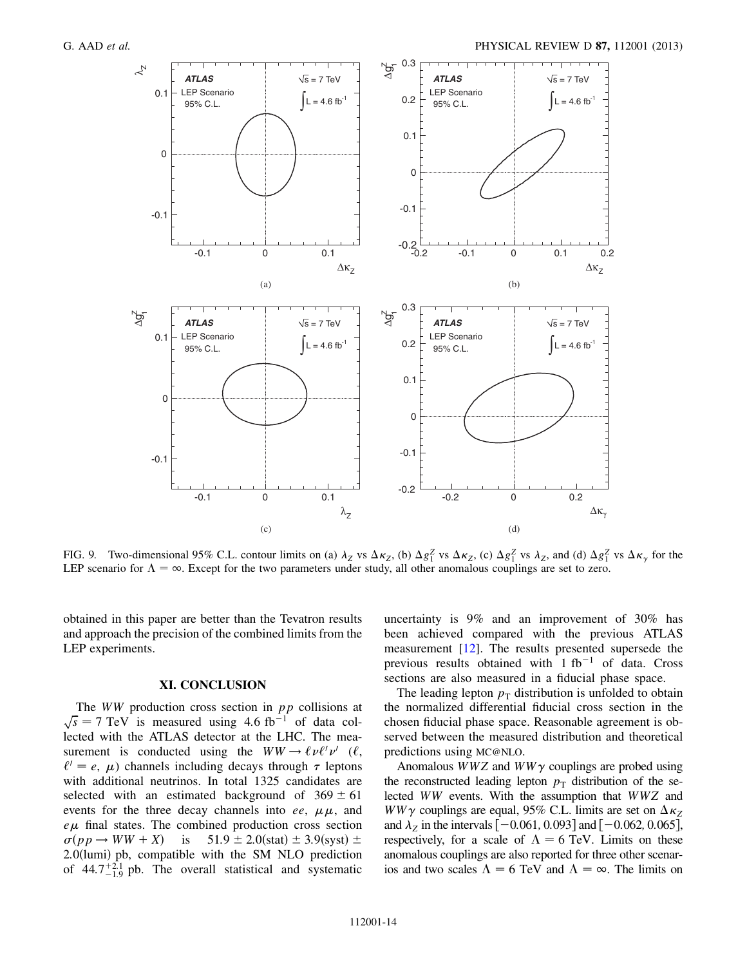<span id="page-13-1"></span>

FIG. 9. Two-dimensional 95% C.L. contour limits on (a)  $\lambda_Z$  vs  $\Delta \kappa_Z$ , (b)  $\Delta g_1^Z$  vs  $\Delta \kappa_Z$ , (c)  $\Delta g_1^Z$  vs  $\lambda_Z$ , and (d)  $\Delta g_1^Z$  vs  $\Delta \kappa_Y$  for the LEP scenario for  $\Lambda = \infty$ . Except for the two parameters under study, all other anomalous couplings are set to zero.

obtained in this paper are better than the Tevatron results and approach the precision of the combined limits from the LEP experiments.

# XI. CONCLUSION

<span id="page-13-0"></span>The  $WW$  production cross section in  $pp$  collisions at  $\sqrt{s}$  = 7 TeV is measured using 4.6 fb<sup>-1</sup> of data collected with the ATLAS detector at the LHC. The measurement is conducted using the  $WW \rightarrow \ell \nu \ell' \nu'$  ( $\ell$ ,  $\ell' = e$ ,  $\mu$ ) channels including decays through  $\tau$  leptons with additional neutrinos. In total 1325 candidates are selected with an estimated background of  $369 \pm 61$ events for the three decay channels into ee,  $\mu\mu$ , and  $e\mu$  final states. The combined production cross section  $\sigma(pp \to WW + X)$  is 51.9  $\pm$  2.0(stat)  $\pm$  3.9(syst)  $\pm$  $2.0$ (lumi) pb, compatible with the SM NLO prediction of  $44.7^{+2.1}_{-1.9}$  pb. The overall statistical and systematic uncertainty is 9% and an improvement of 30% has been achieved compared with the previous ATLAS measurement [[12](#page-14-13)]. The results presented supersede the previous results obtained with  $1 fb^{-1}$  of data. Cross sections are also measured in a fiducial phase space.

The leading lepton  $p<sub>T</sub>$  distribution is unfolded to obtain the normalized differential fiducial cross section in the chosen fiducial phase space. Reasonable agreement is observed between the measured distribution and theoretical predictions using MC@NLO.

Anomalous  $WWZ$  and  $WW\gamma$  couplings are probed using the reconstructed leading lepton  $p<sub>T</sub>$  distribution of the selected WW events. With the assumption that WWZ and  $WW\gamma$  couplings are equal, 95% C.L. limits are set on  $\Delta \kappa_Z$ and  $\lambda_Z$  in the intervals  $[-0.061, 0.093]$  and  $[-0.062, 0.065]$ , respectively, for a scale of  $\Lambda = 6$  TeV. Limits on these anomalous couplings are also reported for three other scenarios and two scales  $\Lambda = 6$  TeV and  $\Lambda = \infty$ . The limits on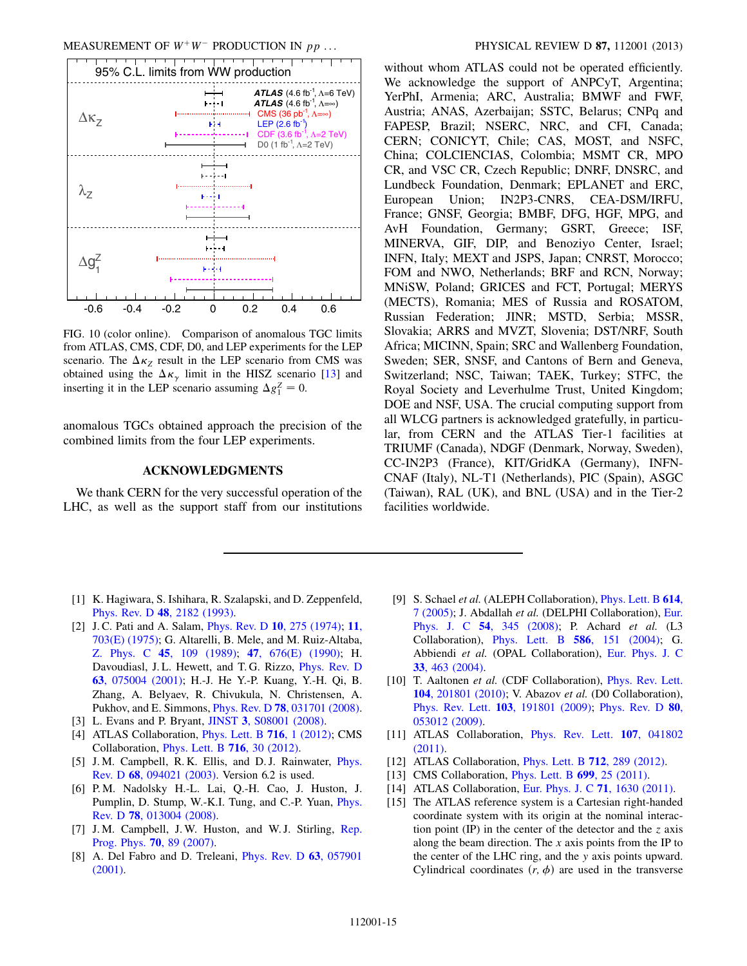<span id="page-14-15"></span>

FIG. 10 (color online). Comparison of anomalous TGC limits from ATLAS, CMS, CDF, D0, and LEP experiments for the LEP scenario. The  $\Delta \kappa_Z$  result in the LEP scenario from CMS was obtained using the  $\Delta \kappa_{\gamma}$  limit in the HISZ scenario [\[13\]](#page-14-11) and inserting it in the LEP scenario assuming  $\Delta g_1^Z = 0$ .

anomalous TGCs obtained approach the precision of the combined limits from the four LEP experiments.

# ACKNOWLEDGMENTS

We thank CERN for the very successful operation of the LHC, as well as the support staff from our institutions without whom ATLAS could not be operated efficiently. We acknowledge the support of ANPCyT, Argentina; YerPhI, Armenia; ARC, Australia; BMWF and FWF, Austria; ANAS, Azerbaijan; SSTC, Belarus; CNPq and FAPESP, Brazil; NSERC, NRC, and CFI, Canada; CERN; CONICYT, Chile; CAS, MOST, and NSFC, China; COLCIENCIAS, Colombia; MSMT CR, MPO CR, and VSC CR, Czech Republic; DNRF, DNSRC, and Lundbeck Foundation, Denmark; EPLANET and ERC, European Union; IN2P3-CNRS, CEA-DSM/IRFU, France; GNSF, Georgia; BMBF, DFG, HGF, MPG, and AvH Foundation, Germany; GSRT, Greece; ISF, MINERVA, GIF, DIP, and Benoziyo Center, Israel; INFN, Italy; MEXT and JSPS, Japan; CNRST, Morocco; FOM and NWO, Netherlands; BRF and RCN, Norway; MNiSW, Poland; GRICES and FCT, Portugal; MERYS (MECTS), Romania; MES of Russia and ROSATOM, Russian Federation; JINR; MSTD, Serbia; MSSR, Slovakia; ARRS and MVZT, Slovenia; DST/NRF, South Africa; MICINN, Spain; SRC and Wallenberg Foundation, Sweden; SER, SNSF, and Cantons of Bern and Geneva, Switzerland; NSC, Taiwan; TAEK, Turkey; STFC, the Royal Society and Leverhulme Trust, United Kingdom; DOE and NSF, USA. The crucial computing support from all WLCG partners is acknowledged gratefully, in particular, from CERN and the ATLAS Tier-1 facilities at TRIUMF (Canada), NDGF (Denmark, Norway, Sweden), CC-IN2P3 (France), KIT/GridKA (Germany), INFN-CNAF (Italy), NL-T1 (Netherlands), PIC (Spain), ASGC (Taiwan), RAL (UK), and BNL (USA) and in the Tier-2 facilities worldwide.

- <span id="page-14-0"></span>[1] K. Hagiwara, S. Ishihara, R. Szalapski, and D. Zeppenfeld, Phys. Rev. D 48[, 2182 \(1993\)](http://dx.doi.org/10.1103/PhysRevD.48.2182).
- <span id="page-14-1"></span>[2] J. C. Pati and A. Salam, *[Phys. Rev. D](http://dx.doi.org/10.1103/PhysRevD.10.275)* **10**, 275 (1974); **[11](http://dx.doi.org/10.1103/PhysRevD.11.703.2)**, [703\(E\) \(1975\);](http://dx.doi.org/10.1103/PhysRevD.11.703.2) G. Altarelli, B. Mele, and M. Ruiz-Altaba, Z. Phys. C 45[, 109 \(1989\);](http://dx.doi.org/10.1007/BF01556677) 47[, 676\(E\) \(1990\);](http://dx.doi.org/10.1007/BF01552335) H. Davoudiasl, J. L. Hewett, and T. G. Rizzo, [Phys. Rev. D](http://dx.doi.org/10.1103/PhysRevD.63.075004) 63[, 075004 \(2001\);](http://dx.doi.org/10.1103/PhysRevD.63.075004) H.-J. He Y.-P. Kuang, Y.-H. Qi, B. Zhang, A. Belyaev, R. Chivukula, N. Christensen, A. Pukhov, and E. Simmons, Phys. Rev. D 78[, 031701 \(2008\).](http://dx.doi.org/10.1103/PhysRevD.78.031701)
- <span id="page-14-3"></span><span id="page-14-2"></span>[3] L. Evans and P. Bryant, **JINST 3**[, S08001 \(2008\).](http://dx.doi.org/10.1088/1748-0221/3/08/S08001)
- [4] ATLAS Collaboration, *[Phys. Lett. B](http://dx.doi.org/10.1016/j.physletb.2012.08.020)* **716**, 1 (2012); CMS Collaboration, [Phys. Lett. B](http://dx.doi.org/10.1016/j.physletb.2012.08.021) 716, 30 (2012).
- <span id="page-14-4"></span>[5] J. M. Campbell, R. K. Ellis, and D. J. Rainwater, *[Phys.](http://dx.doi.org/10.1103/PhysRevD.68.094021)* Rev. D 68[, 094021 \(2003\)](http://dx.doi.org/10.1103/PhysRevD.68.094021). Version 6.2 is used.
- <span id="page-14-5"></span>[6] P. M. Nadolsky H.-L. Lai, Q.-H. Cao, J. Huston, J. Pumplin, D. Stump, W.-K.I. Tung, and C.-P. Yuan, [Phys.](http://dx.doi.org/10.1103/PhysRevD.78.013004) Rev. D 78[, 013004 \(2008\)](http://dx.doi.org/10.1103/PhysRevD.78.013004).
- <span id="page-14-6"></span>[7] J.M. Campbell, J.W. Huston, and W.J. Stirling, [Rep.](http://dx.doi.org/10.1088/0034-4885/70/1/R02) [Prog. Phys.](http://dx.doi.org/10.1088/0034-4885/70/1/R02) 70, 89 (2007).
- <span id="page-14-7"></span>[8] A. Del Fabro and D. Treleani, *[Phys. Rev. D](http://dx.doi.org/10.1103/PhysRevD.63.057901)* 63, 057901 [\(2001\)](http://dx.doi.org/10.1103/PhysRevD.63.057901).
- <span id="page-14-8"></span>[9] S. Schael et al. (ALEPH Collaboration), *[Phys. Lett. B](http://dx.doi.org/10.1016/j.physletb.2005.03.058)* 614, [7 \(2005\)](http://dx.doi.org/10.1016/j.physletb.2005.03.058); J. Abdallah et al. (DELPHI Collaboration), [Eur.](http://dx.doi.org/10.1140/epjc/s10052-008-0528-3) Phys. J. C 54[, 345 \(2008\);](http://dx.doi.org/10.1140/epjc/s10052-008-0528-3) P. Achard et al. (L3 Collaboration), [Phys. Lett. B](http://dx.doi.org/10.1016/j.physletb.2004.02.045) 586, 151 (2004); G. Abbiendi et al. (OPAL Collaboration), [Eur. Phys. J. C](http://dx.doi.org/10.1140/epjc/s2003-01524-6) 33[, 463 \(2004\)](http://dx.doi.org/10.1140/epjc/s2003-01524-6).
- <span id="page-14-9"></span>[10] T. Aaltonen et al. (CDF Collaboration), [Phys. Rev. Lett.](http://dx.doi.org/10.1103/PhysRevLett.104.201801) 104[, 201801 \(2010\);](http://dx.doi.org/10.1103/PhysRevLett.104.201801) V. Abazov et al. (D0 Collaboration), Phys. Rev. Lett. 103[, 191801 \(2009\);](http://dx.doi.org/10.1103/PhysRevLett.103.191801) [Phys. Rev. D](http://dx.doi.org/10.1103/PhysRevD.80.053012) 80, [053012 \(2009\).](http://dx.doi.org/10.1103/PhysRevD.80.053012)
- <span id="page-14-10"></span>[11] ATLAS Collaboration, [Phys. Rev. Lett.](http://dx.doi.org/10.1103/PhysRevLett.107.041802) 107, 041802 [\(2011\)](http://dx.doi.org/10.1103/PhysRevLett.107.041802).
- <span id="page-14-13"></span><span id="page-14-11"></span>[12] ATLAS Collaboration, *[Phys. Lett. B](http://dx.doi.org/10.1016/j.physletb.2012.05.003)* **712**, 289 (2012).
- <span id="page-14-12"></span>[13] CMS Collaboration, *[Phys. Lett. B](http://dx.doi.org/10.1016/j.physletb.2011.03.056)* **699**, 25 (2011).
- <span id="page-14-14"></span>[14] ATLAS Collaboration, [Eur. Phys. J. C](http://dx.doi.org/10.1140/epjc/s10052-011-1630-5) 71, 1630 (2011).
- [15] The ATLAS reference system is a Cartesian right-handed coordinate system with its origin at the nominal interaction point (IP) in the center of the detector and the  $z$  axis along the beam direction. The  $x$  axis points from the IP to the center of the LHC ring, and the y axis points upward. Cylindrical coordinates  $(r, \phi)$  are used in the transverse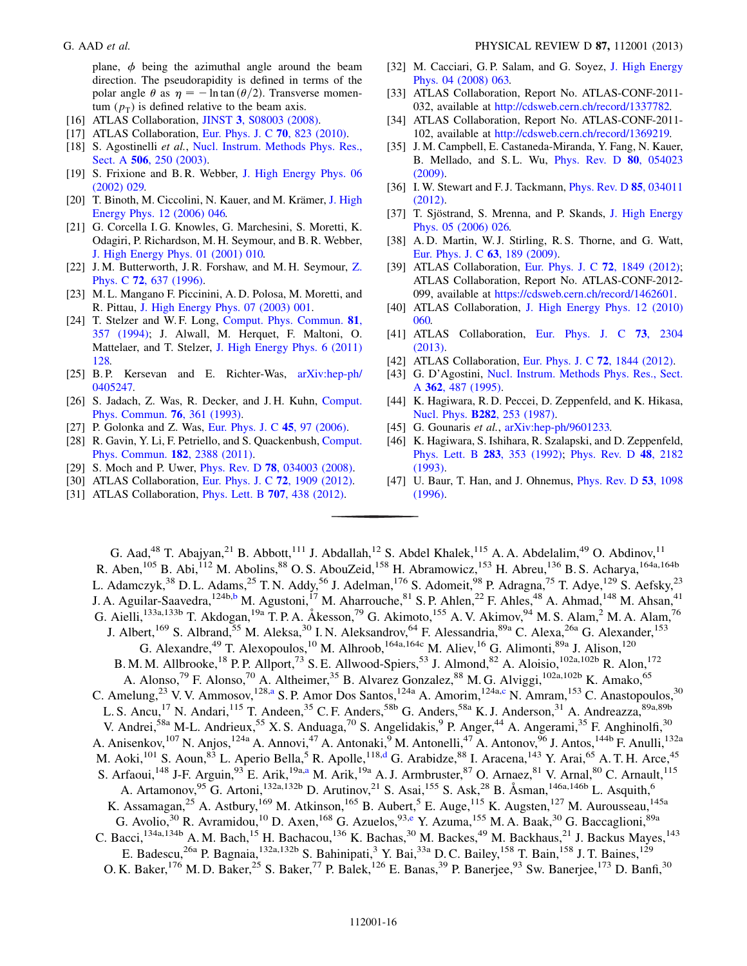plane,  $\phi$  being the azimuthal angle around the beam direction. The pseudorapidity is defined in terms of the polar angle  $\theta$  as  $\eta = -\ln \tan (\theta/2)$ . Transverse momentum  $(p_T)$  is defined relative to the beam axis.

- <span id="page-15-0"></span>[16] ATLAS Collaboration, JINST 3[, S08003 \(2008\).](http://dx.doi.org/10.1088/1748-0221/3/08/S08003)
- <span id="page-15-1"></span>[17] ATLAS Collaboration, [Eur. Phys. J. C](http://dx.doi.org/10.1140/epjc/s10052-010-1429-9) 70, 823 (2010).
- <span id="page-15-2"></span>[18] S. Agostinelli et al., [Nucl. Instrum. Methods Phys. Res.,](http://dx.doi.org/10.1016/S0168-9002(03)01368-8) Sect. A **506**[, 250 \(2003\).](http://dx.doi.org/10.1016/S0168-9002(03)01368-8)
- <span id="page-15-3"></span>[19] S. Frixione and B. R. Webber, [J. High Energy Phys. 06](http://dx.doi.org/10.1088/1126-6708/2002/06/029) [\(2002\) 029.](http://dx.doi.org/10.1088/1126-6708/2002/06/029)
- <span id="page-15-4"></span>[20] T. Binoth, M. Ciccolini, N. Kauer, and M. Krämer, [J. High](http://dx.doi.org/10.1088/1126-6708/2006/12/046) [Energy Phys. 12 \(2006\) 046.](http://dx.doi.org/10.1088/1126-6708/2006/12/046)
- <span id="page-15-5"></span>[21] G. Corcella I. G. Knowles, G. Marchesini, S. Moretti, K. Odagiri, P. Richardson, M. H. Seymour, and B. R. Webber, [J. High Energy Phys. 01 \(2001\) 010.](http://dx.doi.org/10.1088/1126-6708/2001/01/010)
- <span id="page-15-6"></span>[22] J. M. Butterworth, J. R. Forshaw, and M. H. Seymour, [Z.](http://dx.doi.org/10.1007/s002880050286) Phys. C 72[, 637 \(1996\)](http://dx.doi.org/10.1007/s002880050286).
- <span id="page-15-7"></span>[23] M. L. Mangano F. Piccinini, A. D. Polosa, M. Moretti, and R. Pittau, [J. High Energy Phys. 07 \(2003\) 001](http://dx.doi.org/10.1088/1126-6708/2003/07/001).
- <span id="page-15-8"></span>[24] T. Stelzer and W. F. Long, [Comput. Phys. Commun.](http://dx.doi.org/10.1016/0010-4655(94)90084-1) 81, [357 \(1994\);](http://dx.doi.org/10.1016/0010-4655(94)90084-1) J. Alwall, M. Herquet, F. Maltoni, O. Mattelaer, and T. Stelzer, [J. High Energy Phys. 6 \(2011\)](http://dx.doi.org/10.1007/JHEP06(2011)128) [128.](http://dx.doi.org/10.1007/JHEP06(2011)128)
- <span id="page-15-9"></span>[25] B. P. Kersevan and E. Richter-Was, [arXiv:hep-ph/](http://arXiv.org/abs/hep-ph/0405247) [0405247.](http://arXiv.org/abs/hep-ph/0405247)
- <span id="page-15-10"></span>[26] S. Jadach, Z. Was, R. Decker, and J. H. Kuhn, [Comput.](http://dx.doi.org/10.1016/0010-4655(93)90061-G) [Phys. Commun.](http://dx.doi.org/10.1016/0010-4655(93)90061-G) 76, 361 (1993).
- <span id="page-15-11"></span>[27] P. Golonka and Z. Was, [Eur. Phys. J. C](http://dx.doi.org/10.1140/epjc/s2005-02396-4) 45, 97 (2006).
- <span id="page-15-12"></span>[28] R. Gavin, Y. Li, F. Petriello, and S. Quackenbush, [Comput.](http://dx.doi.org/10.1016/j.cpc.2011.06.008) [Phys. Commun.](http://dx.doi.org/10.1016/j.cpc.2011.06.008) 182, 2388 (2011).
- <span id="page-15-13"></span>[29] S. Moch and P. Uwer, *Phys. Rev. D* **78**[, 034003 \(2008\)](http://dx.doi.org/10.1103/PhysRevD.78.034003).
- <span id="page-15-14"></span>[30] ATLAS Collaboration, [Eur. Phys. J. C](http://dx.doi.org/10.1140/epjc/s10052-012-1909-1) 72, 1909 (2012).
- <span id="page-15-15"></span>[31] ATLAS Collaboration, *[Phys. Lett. B](http://dx.doi.org/10.1016/j.physletb.2011.12.054)* **707**, 438 (2012).
- <span id="page-15-16"></span>[32] M. Cacciari, G.P. Salam, and G. Soyez, [J. High Energy](http://dx.doi.org/10.1088/1126-6708/2008/04/063) [Phys. 04 \(2008\) 063.](http://dx.doi.org/10.1088/1126-6708/2008/04/063)
- <span id="page-15-17"></span>[33] ATLAS Collaboration, Report No. ATLAS-CONF-2011-032, available at [http://cdsweb.cern.ch/record/1337782.](http://cdsweb.cern.ch/record/1337782)
- <span id="page-15-18"></span>[34] ATLAS Collaboration, Report No. ATLAS-CONF-2011- 102, available at [http://cdsweb.cern.ch/record/1369219.](http://cdsweb.cern.ch/record/1369219)
- <span id="page-15-19"></span>[35] J. M. Campbell, E. Castaneda-Miranda, Y. Fang, N. Kauer, B. Mellado, and S. L. Wu, [Phys. Rev. D](http://dx.doi.org/10.1103/PhysRevD.80.054023) 80, 054023 [\(2009\)](http://dx.doi.org/10.1103/PhysRevD.80.054023).
- <span id="page-15-20"></span>[36] I. W. Stewart and F. J. Tackmann, *[Phys. Rev. D](http://dx.doi.org/10.1103/PhysRevD.85.034011)* 85, 034011 [\(2012\)](http://dx.doi.org/10.1103/PhysRevD.85.034011).
- <span id="page-15-21"></span>[37] T. Sjöstrand, S. Mrenna, and P. Skands, [J. High Energy](http://dx.doi.org/10.1088/1126-6708/2006/05/026) [Phys. 05 \(2006\) 026.](http://dx.doi.org/10.1088/1126-6708/2006/05/026)
- <span id="page-15-22"></span>[38] A.D. Martin, W.J. Stirling, R.S. Thorne, and G. Watt, [Eur. Phys. J. C](http://dx.doi.org/10.1140/epjc/s10052-009-1072-5) 63, 189 (2009).
- <span id="page-15-23"></span>[39] ATLAS Collaboration, [Eur. Phys. J. C](http://dx.doi.org/10.1140/epjc/s10052-011-1849-1) 72, 1849 (2012); ATLAS Collaboration, Report No. ATLAS-CONF-2012- 099, available at [https://cdsweb.cern.ch/record/1462601.](https://cdsweb.cern.ch/record/1462601)
- <span id="page-15-24"></span>[40] ATLAS Collaboration, [J. High Energy Phys. 12 \(2010\)](http://dx.doi.org/10.1007/JHEP12(2010)060) [060.](http://dx.doi.org/10.1007/JHEP12(2010)060)
- <span id="page-15-25"></span>[41] ATLAS Collaboration, [Eur. Phys. J. C](http://dx.doi.org/10.1140/epjc/s10052-013-2304-2) 73, 2304 [\(2013\)](http://dx.doi.org/10.1140/epjc/s10052-013-2304-2).
- <span id="page-15-26"></span>[42] ATLAS Collaboration, [Eur. Phys. J. C](http://dx.doi.org/10.1140/epjc/s10052-011-1844-6) **72**, 1844 (2012).
- <span id="page-15-27"></span>[43] G. D'Agostini, [Nucl. Instrum. Methods Phys. Res., Sect.](http://dx.doi.org/10.1016/0168-9002(95)00274-X) A 362[, 487 \(1995\).](http://dx.doi.org/10.1016/0168-9002(95)00274-X)
- <span id="page-15-28"></span>[44] K. Hagiwara, R. D. Peccei, D. Zeppenfeld, and K. Hikasa, Nucl. Phys. B282[, 253 \(1987\).](http://dx.doi.org/10.1016/0550-3213(87)90685-7)
- <span id="page-15-29"></span>[45] G. Gounaris et al., [arXiv:hep-ph/9601233.](http://arXiv.org/abs/hep-ph/9601233)
- <span id="page-15-30"></span>[46] K. Hagiwara, S. Ishihara, R. Szalapski, and D. Zeppenfeld, [Phys. Lett. B](http://dx.doi.org/10.1016/0370-2693(92)90031-X) 283, 353 (1992); [Phys. Rev. D](http://dx.doi.org/10.1103/PhysRevD.48.2182) 48, 2182 [\(1993\)](http://dx.doi.org/10.1103/PhysRevD.48.2182).
- <span id="page-15-31"></span>[47] U. Baur, T. Han, and J. Ohnemus, *[Phys. Rev. D](http://dx.doi.org/10.1103/PhysRevD.53.1098)* 53, 1098 [\(1996\)](http://dx.doi.org/10.1103/PhysRevD.53.1098).

<span id="page-15-36"></span><span id="page-15-35"></span><span id="page-15-34"></span><span id="page-15-33"></span><span id="page-15-32"></span>G. Aad,<sup>48</sup> T. Abajyan,<sup>21</sup> B. Abbott,<sup>111</sup> J. Abdallah,<sup>12</sup> S. Abdel Khalek,<sup>115</sup> A. A. Abdelalim,<sup>49</sup> O. Abdinov,<sup>11</sup> R. Aben,<sup>105</sup> B. Abi,<sup>112</sup> M. Abolins,<sup>88</sup> O. S. AbouZeid,<sup>158</sup> H. Abramowicz,<sup>153</sup> H. Abreu,<sup>136</sup> B. S. Acharya,<sup>164a,164b</sup> L. Adamczyk,<sup>38</sup> D. L. Adams,<sup>25</sup> T. N. Addy,<sup>56</sup> J. Adelman,<sup>176</sup> S. Adomeit,<sup>98</sup> P. Adragna,<sup>75</sup> T. Adye,<sup>129</sup> S. Aefsky,<sup>23</sup> J. A. Aguilar-Saavedra, <sup>124[b](#page-27-0),b</sup> M. Agustoni, <sup>17</sup> M. Aharrouche, <sup>81</sup> S. P. Ahlen, <sup>22</sup> F. Ahles, <sup>48</sup> A. Ahmad, <sup>148</sup> M. Ahsan, <sup>41</sup> G. Aielli,<sup>133a,133b</sup> T. Akdogan,<sup>19a</sup> T. P. A. Åkesson,<sup>79</sup> G. Akimoto,<sup>155</sup> A. V. Akimov,<sup>94</sup> M. S. Alam,<sup>2</sup> M. A. Alam,<sup>76</sup> J. Albert,<sup>169</sup> S. Albrand,<sup>55</sup> M. Aleksa,<sup>30</sup> I. N. Aleksandrov,<sup>64</sup> F. Alessandria,<sup>89a</sup> C. Alexa,<sup>26a</sup> G. Alexander,<sup>153</sup> G. Alexandre,<sup>49</sup> T. Alexopoulos,<sup>10</sup> M. Alhroob,<sup>164a,164c</sup> M. Aliev,<sup>16</sup> G. Alimonti,<sup>89a</sup> J. Alison,<sup>120</sup> B. M. M. Allbrooke,<sup>18</sup> P. P. Allport,<sup>73</sup> S. E. Allwood-Spiers,<sup>53</sup> J. Almond,<sup>82</sup> A. Aloisio,<sup>102a,102b</sup> R. Alon,<sup>172</sup> A. Alonso,<sup>79</sup> F. Alonso,<sup>70</sup> A. Altheimer,<sup>35</sup> B. Alvarez Gonzalez,<sup>88</sup> M. G. Alviggi,<sup>102a,102b</sup> K. Amako,<sup>65</sup> C. Amelung,<sup>23</sup> V. V. Ammosov,<sup>128,[a](#page-27-1)</sup> S. P. Amor Dos Santos,<sup>124a</sup> A. Amorim,<sup>124a[,c](#page-27-2)</sup> N. Amram,<sup>153</sup> C. Anastopoulos,<sup>30</sup> L. S. Ancu,<sup>17</sup> N. Andari,<sup>115</sup> T. Andeen,<sup>35</sup> C. F. Anders,<sup>58b</sup> G. Anders,<sup>58a</sup> K. J. Anderson,<sup>31</sup> A. Andreazza,<sup>89a,89b</sup> V. Andrei,<sup>58a</sup> M-L. Andrieux,<sup>55</sup> X. S. Anduaga,<sup>70</sup> S. Angelidakis,<sup>9</sup> P. Anger,<sup>44</sup> A. Angerami,<sup>35</sup> F. Anghinolfi,<sup>30</sup> A. Anisenkov,<sup>107</sup> N. Anjos,<sup>124a</sup> A. Annovi,<sup>47</sup> A. Antonaki,<sup>9</sup> M. Antonelli,<sup>47</sup> A. Antonov,<sup>96</sup> J. Antos,<sup>144b</sup> F. Anulli,<sup>132a</sup> M. Aoki,<sup>101</sup> S. Aoun,<sup>83</sup> L. Aperio Bella,<sup>5</sup> R. Apolle,<sup>118,[d](#page-27-3)</sup> G. Arabidze,<sup>88</sup> I. Aracena,<sup>143</sup> Y. Arai,<sup>65</sup> A. T. H. Arce,<sup>45</sup> S. Arfaoui,<sup>148</sup> J-F. Arguin,<sup>93</sup> E. Arik,<sup>19a[,a](#page-27-1)</sup> M. Arik,<sup>19a</sup> A. J. Armbruster,<sup>87</sup> O. Arnaez,<sup>81</sup> V. Arnal,<sup>80</sup> C. Arnault,<sup>115</sup> A. Artamonov,<sup>95</sup> G. Artoni,<sup>132a,132b</sup> D. Arutinov,<sup>21</sup> S. Asai,<sup>155</sup> S. Ask,<sup>28</sup> B. Åsman,<sup>146a,146b</sup> L. Asquith,<sup>6</sup> K. Assamagan,<sup>25</sup> A. Astbury,<sup>169</sup> M. Atkinson,<sup>165</sup> B. Aubert,<sup>5</sup> E. Auge,<sup>115</sup> K. Augsten,<sup>127</sup> M. Aurousseau,<sup>145a</sup> G. Avolio,<sup>30</sup> R. Avramidou,<sup>10</sup> D. Ax[e](#page-27-4)n,<sup>168</sup> G. Azuelos,<sup>93,e</sup> Y. Azuma,<sup>155</sup> M. A. Baak,<sup>30</sup> G. Baccaglioni,<sup>89a</sup> C. Bacci,<sup>134a,134b</sup> A. M. Bach,<sup>15</sup> H. Bachacou,<sup>136</sup> K. Bachas,<sup>30</sup> M. Backes,<sup>49</sup> M. Backhaus,<sup>21</sup> J. Backus Mayes,<sup>143</sup> E. Badescu,<sup>26a</sup> P. Bagnaia,<sup>132a,132b</sup> S. Bahinipati,<sup>3</sup> Y. Bai,<sup>33a</sup> D. C. Bailey,<sup>158</sup> T. Bain,<sup>158</sup> J. T. Baines,<sup>129</sup> O. K. Baker,<sup>176</sup> M. D. Baker,<sup>25</sup> S. Baker,<sup>77</sup> P. Balek,<sup>126</sup> E. Banas,<sup>39</sup> P. Banerjee,<sup>93</sup> Sw. Banerjee,<sup>173</sup> D. Banfi,<sup>30</sup>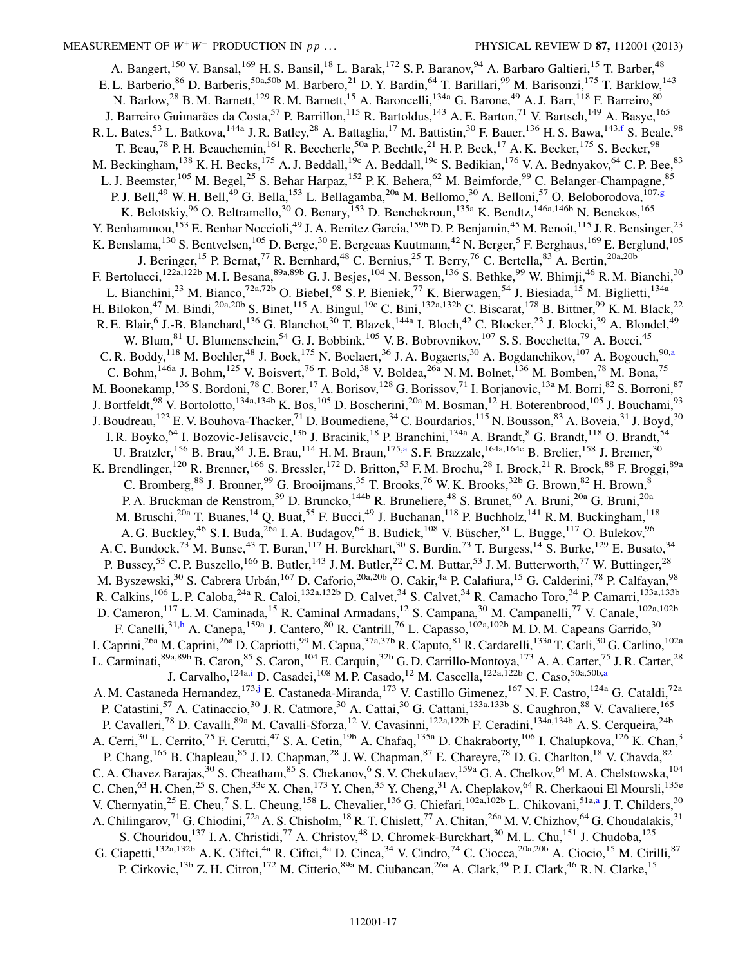<span id="page-16-4"></span><span id="page-16-3"></span><span id="page-16-2"></span><span id="page-16-1"></span><span id="page-16-0"></span>A. Bangert,<sup>150</sup> V. Bansal,<sup>169</sup> H. S. Bansil,<sup>18</sup> L. Barak,<sup>172</sup> S. P. Baranov,<sup>94</sup> A. Barbaro Galtieri,<sup>15</sup> T. Barber,<sup>48</sup> E. L. Barberio, 86 D. Barberis, 50a,50b M. Barbero, 21 D. Y. Bardin, 64 T. Barillari, 99 M. Barisonzi, 175 T. Barklow, 143 N. Barlow,<sup>28</sup> B. M. Barnett,<sup>129</sup> R. M. Barnett,<sup>15</sup> A. Baroncelli,<sup>134a</sup> G. Barone,<sup>49</sup> A. J. Barr,<sup>118</sup> F. Barreiro,<sup>80</sup> J. Barreiro Guimarães da Costa,<sup>57</sup> P. Barrillon,<sup>115</sup> R. Bartoldus,<sup>143</sup> A. E. Barton,<sup>71</sup> V. Bartsch,<sup>149</sup> A. Basye,<sup>165</sup> R. L. Bates,<sup>53</sup> L. Batkova,<sup>144a</sup> J. R. Batley,<sup>28</sup> A. Battaglia,<sup>17</sup> M. Battistin,<sup>30</sup> F. Bauer,<sup>136</sup> H. S. Bawa,<sup>143,[f](#page-27-5)</sup> S. Beale,<sup>98</sup> T. Beau,<sup>78</sup> P. H. Beauchemin,<sup>161</sup> R. Beccherle,<sup>50a</sup> P. Bechtle,<sup>21</sup> H. P. Beck,<sup>17</sup> A. K. Becker,<sup>175</sup> S. Becker,<sup>98</sup> M. Beckingham,<sup>138</sup> K. H. Becks,<sup>175</sup> A. J. Beddall,<sup>19c</sup> A. Beddall,<sup>19c</sup> S. Bedikian,<sup>176</sup> V. A. Bednyakov,<sup>64</sup> C. P. Bee,<sup>83</sup> L. J. Beemster,<sup>105</sup> M. Begel,<sup>25</sup> S. Behar Harpaz,<sup>152</sup> P. K. Behera,<sup>62</sup> M. Beimforde,<sup>99</sup> C. Belanger-Champagne,<sup>85</sup> P. J. Bell,<sup>49</sup> W. H. Bell,<sup>49</sup> G. Bella,<sup>153</sup> L. Bella[g](#page-27-6)amba,<sup>20a</sup> M. Bellomo,<sup>30</sup> A. Belloni,<sup>57</sup> O. Beloborodova,<sup>107,g</sup> K. Belotskiy, <sup>96</sup> O. Beltramello, <sup>30</sup> O. Benary, <sup>153</sup> D. Benchekroun, <sup>135a</sup> K. Bendtz, <sup>146a, 146b</sup> N. Benekos, <sup>165</sup> Y. Benhammou,<sup>153</sup> E. Benhar Noccioli,<sup>49</sup> J. A. Benitez Garcia,<sup>159b</sup> D. P. Benjamin,<sup>45</sup> M. Benoit,<sup>115</sup> J. R. Bensinger,<sup>23</sup> K. Benslama,<sup>130</sup> S. Bentvelsen,<sup>105</sup> D. Berge,<sup>30</sup> E. Bergeaas Kuutmann,<sup>42</sup> N. Berger,<sup>5</sup> F. Berghaus,<sup>169</sup> E. Berglund,<sup>105</sup> J. Beringer,<sup>15</sup> P. Bernat,<sup>77</sup> R. Bernhard,<sup>48</sup> C. Bernius,<sup>25</sup> T. Berry,<sup>76</sup> C. Bertella,<sup>83</sup> A. Bertin,<sup>20a,20b</sup> F. Bertolucci,<sup>122a,122b</sup> M. I. Besana,<sup>89a,89b</sup> G. J. Besjes,<sup>104</sup> N. Besson,<sup>136</sup> S. Bethke,<sup>99</sup> W. Bhimji,<sup>46</sup> R. M. Bianchi,<sup>30</sup> L. Bianchini,<sup>23</sup> M. Bianco,<sup>72a,72b</sup> O. Biebel,<sup>98</sup> S. P. Bieniek,<sup>77</sup> K. Bierwagen,<sup>54</sup> J. Biesiada,<sup>15</sup> M. Biglietti,<sup>134a</sup> H. Bilokon,<sup>47</sup> M. Bindi,<sup>20a,20b</sup> S. Binet,<sup>115</sup> A. Bingul,<sup>19c</sup> C. Bini,<sup>132a,132b</sup> C. Biscarat,<sup>178</sup> B. Bittner,<sup>99</sup> K. M. Black,<sup>22</sup> R. E. Blair, <sup>6</sup> J.-B. Blanchard, <sup>136</sup> G. Blanchot, <sup>30</sup> T. Blazek, <sup>144a</sup> I. Bloch, <sup>42</sup> C. Blocker, <sup>23</sup> J. Blocki, <sup>39</sup> A. Blondel, <sup>49</sup> W. Blum,<sup>81</sup> U. Blumenschein,<sup>54</sup> G. J. Bobbink,<sup>105</sup> V. B. Bobrovnikov,<sup>107</sup> S. S. Bocchetta,<sup>79</sup> A. Bocci,<sup>45</sup> C. R. Boddy,<sup>118</sup> M. Boehler,<sup>48</sup> J. Boek,<sup>175</sup> N. Boelaert,<sup>36</sup> J. A. Bogaerts,<sup>30</sup> A. Bogdanchikov,<sup>107</sup> A. Bogouch,<sup>90[,a](#page-27-1)</sup> C. Bohm,<sup>146a</sup> J. Bohm,<sup>125</sup> V. Boisvert,<sup>76</sup> T. Bold,<sup>38</sup> V. Boldea,<sup>26a</sup> N. M. Bolnet,<sup>136</sup> M. Bomben,<sup>78</sup> M. Bona,<sup>75</sup> M. Boonekamp,<sup>136</sup> S. Bordoni,<sup>78</sup> C. Borer,<sup>17</sup> A. Borisov,<sup>128</sup> G. Borissov,<sup>71</sup> I. Borjanovic,<sup>13a</sup> M. Borri,<sup>82</sup> S. Borroni,<sup>87</sup> J. Bortfeldt,<sup>98</sup> V. Bortolotto,<sup>134a,134b</sup> K. Bos,<sup>105</sup> D. Boscherini,<sup>20a</sup> M. Bosman,<sup>12</sup> H. Boterenbrood,<sup>105</sup> J. Bouchami,<sup>93</sup> J. Boudreau,<sup>123</sup> E. V. Bouhova-Thacker,<sup>71</sup> D. Boumediene,<sup>34</sup> C. Bourdarios,<sup>115</sup> N. Bousson,<sup>83</sup> A. Boveia,<sup>31</sup> J. Boyd,<sup>30</sup> I. R. Boyko,<sup>64</sup> I. Bozovic-Jelisavcic,<sup>13b</sup> J. Bracinik,<sup>18</sup> P. Branchini,<sup>134a</sup> A. Brandt,<sup>8</sup> G. Brandt,<sup>118</sup> O. Brandt,<sup>54</sup> U. Bratzler,<sup>156</sup> B. Brau,<sup>84</sup> J. E. Brau,<sup>114</sup> H. M. Braun,<sup>175[,a](#page-27-1)</sup> S. F. Brazzale,<sup>164a,164c</sup> B. Brelier,<sup>158</sup> J. Bremer,<sup>30</sup> K. Brendlinger,<sup>120</sup> R. Brenner,<sup>166</sup> S. Bressler,<sup>172</sup> D. Britton,<sup>53</sup> F. M. Brochu,<sup>28</sup> I. Brock,<sup>21</sup> R. Brock,<sup>88</sup> F. Broggi,<sup>89a</sup> C. Bromberg,  $88$  J. Bronner,  $99$  G. Brooijmans,  $35$  T. Brooks,  $76$  W. K. Brooks,  $32b$  G. Brown,  $82$  H. Brown,  $8\frac{8}{3}$ P. A. Bruckman de Renstrom,<sup>39</sup> D. Bruncko,<sup>144b</sup> R. Bruneliere,<sup>48</sup> S. Brunet,<sup>60</sup> A. Bruni,<sup>20a</sup> G. Bruni,<sup>20a</sup> M. Bruschi,<sup>20a</sup> T. Buanes,<sup>14</sup> Q. Buat,<sup>55</sup> F. Bucci,<sup>49</sup> J. Buchanan,<sup>118</sup> P. Buchholz,<sup>141</sup> R.M. Buckingham,<sup>118</sup> A. G. Buckley, <sup>46</sup> S. I. Buda, <sup>26a</sup> I. A. Budagov, <sup>64</sup> B. Budick, <sup>108</sup> V. Büscher, <sup>81</sup> L. Bugge, <sup>117</sup> O. Bulekov, <sup>96</sup> A. C. Bundock,<sup>73</sup> M. Bunse,<sup>43</sup> T. Buran,<sup>117</sup> H. Burckhart,<sup>30</sup> S. Burdin,<sup>73</sup> T. Burgess,<sup>14</sup> S. Burke,<sup>129</sup> E. Busato,<sup>34</sup> P. Bussey,<sup>53</sup> C. P. Buszello,<sup>166</sup> B. Butler,<sup>143</sup> J. M. Butler,<sup>22</sup> C. M. Buttar,<sup>53</sup> J. M. Butterworth,<sup>77</sup> W. Buttinger,<sup>28</sup> M. Byszewski,<sup>30</sup> S. Cabrera Urbán,<sup>167</sup> D. Caforio,<sup>20a,20b</sup> O. Cakir,<sup>4a</sup> P. Calafiura,<sup>15</sup> G. Calderini,<sup>78</sup> P. Calfayan,<sup>98</sup> R. Calkins,<sup>106</sup> L. P. Caloba,<sup>24a</sup> R. Caloi,<sup>132a,132b</sup> D. Calvet,<sup>34</sup> S. Calvet,<sup>34</sup> R. Camacho Toro,<sup>34</sup> P. Camarri,<sup>133a,133b</sup> D. Cameron,<sup>117</sup> L. M. Caminada,<sup>15</sup> R. Caminal Armadans,<sup>12</sup> S. Campana,<sup>30</sup> M. Campanelli,<sup>77</sup> V. Canale,<sup>102a,102b</sup> F. Canelli,<sup>31[,h](#page-27-7)</sup> A. Canepa,<sup>159a</sup> J. Cantero,<sup>80</sup> R. Cantrill,<sup>76</sup> L. Capasso,<sup>102a,102b</sup> M. D. M. Capeans Garrido,<sup>30</sup> I. Caprini,<sup>26a</sup> M. Caprini,<sup>26a</sup> D. Capriotti,<sup>99</sup> M. Capua,<sup>37a,37b</sup> R. Caputo,<sup>81</sup> R. Cardarelli,<sup>133a</sup> T. Carli,<sup>30</sup> G. Carlino,<sup>102a</sup> L. Carminati,  $^{89a,89b}$  B. Caron,  $^{85}$  S. Caron,  $^{104}$  E. Carquin,  $^{32b}$  G. D. Carrillo-Montoya,  $^{173}$  A. A. Carter,  $^{75}$  J. R. Carter,  $^{28}$ J. Carvalho, <sup>124a[,i](#page-27-8)</sup> D. C[a](#page-27-1)sadei, <sup>108</sup> M. P. Casado, <sup>12</sup> M. Cascella, <sup>122a, 122b</sup> C. Caso, <sup>50a, 50b, a</sup> A. M. Castaneda Hernandez, <sup>173[,j](#page-27-9)</sup> E. Castaneda-Miranda, <sup>173</sup> V. Castillo Gimenez, <sup>167</sup> N. F. Castro, <sup>124a</sup> G. Cataldi, <sup>72a</sup> P. Catastini,<sup>57</sup> A. Catinaccio,<sup>30</sup> J. R. Catmore,<sup>30</sup> A. Cattai,<sup>30</sup> G. Cattani,<sup>133a,133b</sup> S. Caughron,<sup>88</sup> V. Cavaliere,<sup>165</sup> P. Cavalleri,<sup>78</sup> D. Cavalli,<sup>89a</sup> M. Cavalli-Sforza,<sup>12</sup> V. Cavasinni,<sup>122a,122b</sup> F. Ceradini,<sup>134a,134b</sup> A. S. Cerqueira,<sup>24b</sup> A. Cerri,<sup>30</sup> L. Cerrito,<sup>75</sup> F. Cerutti,<sup>47</sup> S. A. Cetin,<sup>19b</sup> A. Chafaq,<sup>135a</sup> D. Chakraborty,<sup>106</sup> I. Chalupkova,<sup>126</sup> K. Chan,<sup>3</sup> P. Chang, <sup>165</sup> B. Chapleau, <sup>85</sup> J. D. Chapman, <sup>28</sup> J. W. Chapman, <sup>87</sup> E. Chareyre, <sup>78</sup> D. G. Charlton, <sup>18</sup> V. Chavda, <sup>82</sup> C. A. Chavez Barajas,  $30$  S. Cheatham,  $85$  S. Chekanov, <sup>6</sup> S. V. Chekulaev,  $159a$  G. A. Chelkov, <sup>64</sup> M. A. Chelstowska,  $104$ C. Chen,<sup>63</sup> H. Chen,<sup>25</sup> S. Chen,<sup>33c</sup> X. Chen,<sup>173</sup> Y. Chen,<sup>35</sup> Y. Cheng,<sup>31</sup> A. Cheplakov,<sup>64</sup> R. Cherkaoui El Moursli,<sup>135e</sup> V. Chernyatin,<sup>25</sup> E. Cheu,<sup>7</sup> S. L. Cheung,<sup>158</sup> L. Chevalier,<sup>136</sup> G. Chiefari,<sup>102a,102b</sup> L. Chikovani,<sup>51a[,a](#page-27-1)</sup> J. T. Childers,<sup>30</sup> A. Chilingarov,<sup>71</sup> G. Chiodini,<sup>72a</sup> A. S. Chisholm,<sup>18</sup> R. T. Chislett,<sup>77</sup> A. Chitan,<sup>26a</sup> M. V. Chizhov,<sup>64</sup> G. Choudalakis,<sup>31</sup> S. Chouridou,<sup>137</sup> I. A. Christidi,<sup>77</sup> A. Christov,<sup>48</sup> D. Chromek-Burckhart,<sup>30</sup> M. L. Chu,<sup>151</sup> J. Chudoba,<sup>125</sup> G. Ciapetti,<sup>132a,132b</sup> A. K. Ciftci,<sup>4a</sup> R. Ciftci,<sup>4a</sup> D. Cinca,<sup>34</sup> V. Cindro,<sup>74</sup> C. Ciocca,<sup>20a,20b</sup> A. Ciocio,<sup>15</sup> M. Cirilli,<sup>87</sup> P. Cirkovic, <sup>13b</sup> Z. H. Citron, <sup>172</sup> M. Citterio, <sup>89a</sup> M. Ciubancan, <sup>26a</sup> A. Clark, <sup>49</sup> P. J. Clark, <sup>46</sup> R. N. Clarke, <sup>15</sup>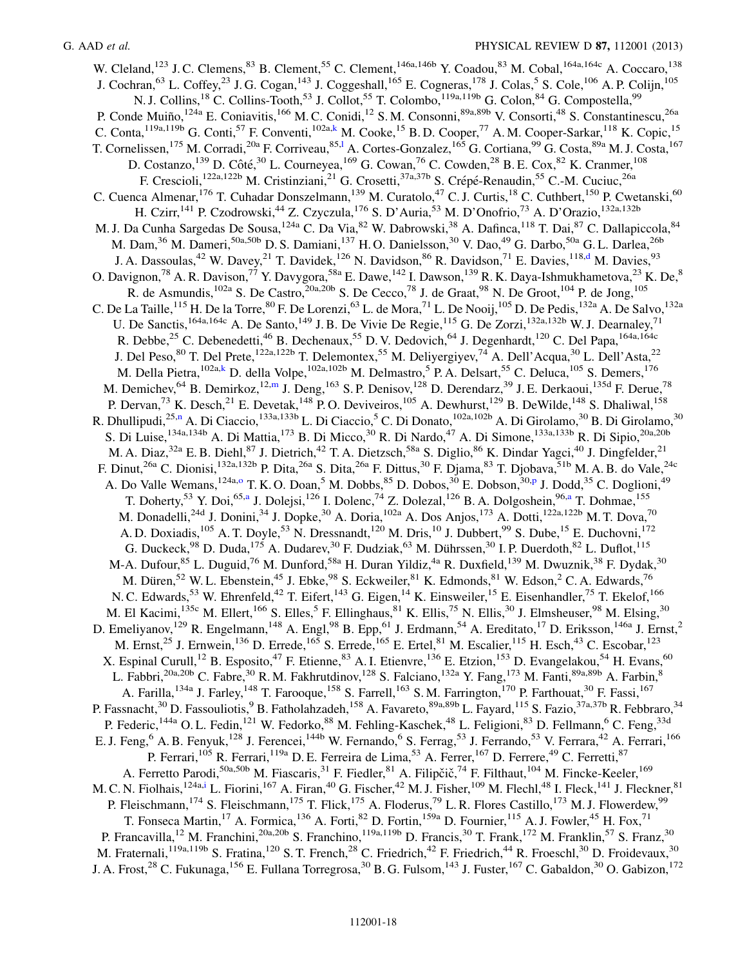<span id="page-17-4"></span><span id="page-17-3"></span><span id="page-17-2"></span><span id="page-17-1"></span><span id="page-17-0"></span>W. Cleland,<sup>123</sup> J. C. Clemens,<sup>83</sup> B. Clement,<sup>55</sup> C. Clement,<sup>146a,146b</sup> Y. Coadou,<sup>83</sup> M. Cobal,<sup>164a,164c</sup> A. Coccaro,<sup>138</sup> J. Cochran,<sup>63</sup> L. Coffey,<sup>23</sup> J. G. Cogan,<sup>143</sup> J. Coggeshall,<sup>165</sup> E. Cogneras,<sup>178</sup> J. Colas,<sup>5</sup> S. Cole,<sup>106</sup> A. P. Colijn,<sup>105</sup> N. J. Collins,<sup>18</sup> C. Collins-Tooth,<sup>53</sup> J. Collot,<sup>55</sup> T. Colombo,<sup>119a,119b</sup> G. Colon,<sup>84</sup> G. Compostella,<sup>99</sup> P. Conde Muiño, <sup>124a</sup> E. Coniavitis, <sup>166</sup> M. C. Conidi, <sup>12</sup> S. M. Consonni, <sup>89a, 89b</sup> V. Consorti, <sup>48</sup> S. Constantinescu, <sup>26a</sup> C. Conta,<sup>119a,119b</sup> G. Conti,<sup>57</sup> F. Conventi,<sup>102a,[k](#page-27-10)</sup> M. Cooke,<sup>15</sup> B.D. Cooper,<sup>77</sup> A.M. Cooper-Sarkar,<sup>118</sup> K. Copic,<sup>15</sup> T. Corne[l](#page-27-11)issen, <sup>175</sup> M. Corradi, <sup>20a</sup> F. Corriveau, <sup>85,1</sup> A. Cortes-Gonzalez, <sup>165</sup> G. Cortiana, <sup>99</sup> G. Costa, <sup>89a</sup> M. J. Costa, <sup>167</sup> D. Costanzo,<sup>139</sup> D. Côté,<sup>30</sup> L. Courneyea,<sup>169</sup> G. Cowan,<sup>76</sup> C. Cowden,<sup>28</sup> B. E. Cox,<sup>82</sup> K. Cranmer,<sup>108</sup> F. Crescioli,<sup>122a,122b</sup> M. Cristinziani,<sup>21</sup> G. Crosetti,<sup>37a,37b</sup> S. Crépé-Renaudin,<sup>55</sup> C.-M. Cuciuc,<sup>26a</sup> C. Cuenca Almenar,<sup>176</sup> T. Cuhadar Donszelmann,<sup>139</sup> M. Curatolo,<sup>47</sup> C. J. Curtis,<sup>18</sup> C. Cuthbert,<sup>150</sup> P. Cwetanski,<sup>60</sup> H. Czirr,<sup>141</sup> P. Czodrowski,<sup>44</sup> Z. Czyczula,<sup>176</sup> S. D'Auria,<sup>53</sup> M. D'Onofrio,<sup>73</sup> A. D'Orazio,<sup>132a,132b</sup> M. J. Da Cunha Sargedas De Sousa,<sup>124a</sup> C. Da Via, <sup>82</sup> W. Dabrowski, <sup>38</sup> A. Dafinca, <sup>118</sup> T. Dai, <sup>87</sup> C. Dallapiccola, <sup>84</sup> M. Dam,<sup>36</sup> M. Dameri,<sup>50a,50b</sup> D. S. Damiani,<sup>137</sup> H. O. Danielsson,<sup>30</sup> V. Dao,<sup>49</sup> G. Darbo,<sup>50a</sup> G. L. Darlea,<sup>26b</sup> J. A. Dassoulas,<sup>42</sup> W. Davey,<sup>21</sup> T. Davidek,<sup>126</sup> N. Davidson,<sup>86</sup> R. Davidson,<sup>71</sup> E. Davies,<sup>118[,d](#page-27-3)</sup> M. Davies,<sup>93</sup> O. Davignon,<sup>78</sup> A. R. Davison,<sup>77</sup> Y. Davygora,<sup>58a</sup> E. Dawe,<sup>142</sup> I. Dawson,<sup>139</sup> R. K. Daya-Ishmukhametova,<sup>23</sup> K. De,<sup>8</sup> R. de Asmundis,<sup>102a</sup> S. De Castro,<sup>20a,20b</sup> S. De Cecco,<sup>78</sup> J. de Graat,<sup>98</sup> N. De Groot,<sup>104</sup> P. de Jong,<sup>105</sup> C. De La Taille,<sup>115</sup> H. De la Torre,<sup>80</sup> F. De Lorenzi,<sup>63</sup> L. de Mora,<sup>71</sup> L. De Nooij,<sup>105</sup> D. De Pedis,<sup>132a</sup> A. De Salvo,<sup>132a</sup> U. De Sanctis,<sup>164a,164c</sup> A. De Santo,<sup>149</sup> J. B. De Vivie De Regie,<sup>115</sup> G. De Zorzi,<sup>132a,132b</sup> W. J. Dearnaley,<sup>71</sup> R. Debbe,<sup>25</sup> C. Debenedetti,<sup>46</sup> B. Dechenaux,<sup>55</sup> D. V. Dedovich,<sup>64</sup> J. Degenhardt,<sup>120</sup> C. Del Papa,<sup>164a,164c</sup> J. Del Peso, <sup>80</sup> T. Del Prete,<sup>122a,122b</sup> T. Delemontex, <sup>55</sup> M. Deliyergiyev, <sup>74</sup> A. Dell'Acqua, <sup>30</sup> L. Dell'Asta, <sup>22</sup> M. Della Pietra,<sup>102a[,k](#page-27-10)</sup> D. della Volpe,<sup>102a,102b</sup> M. Delmastro,<sup>5</sup> P. A. Delsart,<sup>55</sup> C. Deluca,<sup>105</sup> S. Demers,<sup>176</sup> M. Demichev,  $^{64}$  B. Demirkoz,<sup>12[,m](#page-27-12)</sup> J. Deng,<sup>163</sup> S. P. Denisov,<sup>128</sup> D. Derendarz,<sup>39</sup> J. E. Derkaoui,<sup>135d</sup> F. Derue,<sup>78</sup> M. Demichev,<sup>64</sup> B. Demirkoz,<sup>12,m</sup> J. Deng,<sup>163</sup> S. P. Denisov,<sup>128</sup> D. Derendarz,<sup>39</sup> J. E. P. Dervan,<sup>73</sup> K. Desch,<sup>21</sup> E. Devetak,<sup>148</sup> P.O. Deviveiros,<sup>105</sup> A. Dewhurst,<sup>129</sup> B. DeWilde,<sup>148</sup> S. Dhaliwal,<sup>158</sup> R. Dhullipudi,<sup>25,[n](#page-27-13)</sup> A. Di Ciaccio,<sup>133a,133b</sup> L. Di Ciaccio,<sup>5</sup> C. Di Donato,<sup>102a,102b</sup> A. Di Girolamo,<sup>30</sup> B. Di Girolamo,<sup>30</sup> S. Di Luise,<sup>134a,134b</sup> A. Di Mattia,<sup>173</sup> B. Di Micco,<sup>30</sup> R. Di Nardo,<sup>47</sup> A. Di Simone,<sup>133a,133b</sup> R. Di Sipio,<sup>20a,20b</sup> M. A. Diaz,<sup>32a</sup> E. B. Diehl,<sup>87</sup> J. Dietrich,<sup>42</sup> T. A. Dietzsch,<sup>58a</sup> S. Diglio,<sup>86</sup> K. Dindar Yagci,<sup>40</sup> J. Dingfelder,<sup>21</sup> F. Dinut,<sup>26a</sup> C. Dionisi,<sup>132a,132b</sup> P. Dita,<sup>26a</sup> S. Dita,<sup>26a</sup> F. Dittus,<sup>30</sup> F. Djama,<sup>83</sup> T. Djobava,<sup>51b</sup> M. A. B. do Vale,<sup>24c</sup> A. D[o](#page-27-14) Valle Wemans, <sup>124a,o</sup> T. K. O. Doan,<sup>5</sup> M. Dobbs, <sup>85</sup> D. Dobos, <sup>30</sup> E. Dobson, <sup>30[,p](#page-27-15)</sup> J. Dodd, <sup>35</sup> C. Doglioni, <sup>49</sup> T. Doherty,<sup>53</sup> Y. Doi,<sup>65[,a](#page-27-1)</sup> J. Dolejsi,<sup>126</sup> I. Dolenc,<sup>74</sup> Z. Dolezal,<sup>126</sup> B. A. Dolgoshein,<sup>96,a</sup> T. Dohmae,<sup>155</sup> M. Donadelli,<sup>24d</sup> J. Donini,<sup>34</sup> J. Dopke,<sup>30</sup> A. Doria,<sup>102a</sup> A. Dos Anjos,<sup>173</sup> A. Dotti,<sup>122a,122b</sup> M. T. Dova,<sup>70</sup> A. D. Doxiadis,  $^{105}$  A. T. Doyle,  $^{53}$  N. Dressnandt,  $^{120}$  M. Dris,  $^{10}$  J. Dubbert,  $^{99}$  S. Dube,  $^{15}$  E. Duchovni,  $^{172}$ G. Duckeck,<sup>98</sup> D. Duda,<sup>175</sup> A. Dudarev,<sup>30</sup> F. Dudziak,<sup>63</sup> M. Dührssen,<sup>30</sup> I. P. Duerdoth,<sup>82</sup> L. Duflot,<sup>115</sup> M-A. Dufour,<sup>85</sup> L. Duguid,<sup>76</sup> M. Dunford,<sup>58a</sup> H. Duran Yildiz,<sup>4a</sup> R. Duxfield,<sup>139</sup> M. Dwuznik,<sup>38</sup> F. Dydak,<sup>30</sup> M. Düren,<sup>52</sup> W. L. Ebenstein,<sup>45</sup> J. Ebke,<sup>98</sup> S. Eckweiler,<sup>81</sup> K. Edmonds,<sup>81</sup> W. Edson,<sup>2</sup> C. A. Edwards,<sup>76</sup> N. C. Edwards,<sup>53</sup> W. Ehrenfeld,<sup>42</sup> T. Eifert,<sup>143</sup> G. Eigen,<sup>14</sup> K. Einsweiler,<sup>15</sup> E. Eisenhandler,<sup>75</sup> T. Ekelof,<sup>166</sup> M. El Kacimi, $135c$  M. Ellert,  $166$  S. Elles,  $5$  F. Ellinghaus,  $81$  K. Ellis,  $75$  N. Ellis,  $30$  J. Elmsheuser,  $98$  M. Elsing,  $30$ D. Emeliyanov,<sup>129</sup> R. Engelmann,<sup>148</sup> A. Engl,<sup>98</sup> B. Epp,<sup>61</sup> J. Erdmann,<sup>54</sup> A. Ereditato,<sup>17</sup> D. Eriksson,<sup>146a</sup> J. Ernst,<sup>2</sup> M. Ernst,<sup>25</sup> J. Ernwein,<sup>136</sup> D. Errede,<sup>165</sup> S. Errede,<sup>165</sup> E. Ertel,<sup>81</sup> M. Escalier,<sup>115</sup> H. Esch,<sup>43</sup> C. Escobar,<sup>123</sup> X. Espinal Curull,<sup>12</sup> B. Esposito,<sup>47</sup> F. Etienne,<sup>83</sup> A. I. Etienvre,<sup>136</sup> E. Etzion,<sup>153</sup> D. Evangelakou,<sup>54</sup> H. Evans,<sup>60</sup> L. Fabbri,<sup>20a,20b</sup> C. Fabre,<sup>30</sup> R. M. Fakhrutdinov,<sup>128</sup> S. Falciano,<sup>132a</sup> Y. Fang,<sup>173</sup> M. Fanti,<sup>89a,89b</sup> A. Farbin,<sup>8</sup> A. Farilla,<sup>134a</sup> J. Farley,<sup>148</sup> T. Farooque,<sup>158</sup> S. Farrell,<sup>163</sup> S. M. Farrington,<sup>170</sup> P. Farthouat,<sup>30</sup> F. Fassi,<sup>167</sup> P. Fassnacht,<sup>30</sup> D. Fassouliotis,<sup>9</sup> B. Fatholahzadeh,<sup>158</sup> A. Favareto,<sup>89a,89b</sup> L. Fayard,<sup>115</sup> S. Fazio,<sup>37a,37b</sup> R. Febbraro,<sup>34</sup> P. Federic,<sup>144a</sup> O. L. Fedin,<sup>121</sup> W. Fedorko,<sup>88</sup> M. Fehling-Kaschek,<sup>48</sup> L. Feligioni,<sup>83</sup> D. Fellmann,<sup>6</sup> C. Feng,<sup>33d</sup> E. J. Feng,<sup>6</sup> A. B. Fenyuk,<sup>128</sup> J. Ferencei,<sup>144b</sup> W. Fernando,<sup>6</sup> S. Ferrag,<sup>53</sup> J. Ferrando,<sup>53</sup> V. Ferrara,<sup>42</sup> A. Ferrari,<sup>166</sup> P. Ferrari,<sup>105</sup> R. Ferrari,<sup>119a</sup> D. E. Ferreira de Lima,<sup>53</sup> A. Ferrer,<sup>167</sup> D. Ferrere,<sup>49</sup> C. Ferretti,<sup>87</sup> A. Ferretto Parodi, <sup>50a, 50b</sup> M. Fiascaris, <sup>31</sup> F. Fiedler, <sup>81</sup> A. Filipčič, <sup>74</sup> F. Filthaut, <sup>104</sup> M. Fincke-Keeler, <sup>169</sup> M. C. N. Fiolhais,  $^{124a,i}$  $^{124a,i}$  $^{124a,i}$  L. Fiorini,  $^{167}$  A. Firan,  $^{40}$  G. Fischer,  $^{42}$  M. J. Fisher,  $^{109}$  M. Flechl,  $^{48}$  I. Fleck,  $^{141}$  J. Fleckner,  $^{81}$ P. Fleischmann,<sup>174</sup> S. Fleischmann,<sup>175</sup> T. Flick,<sup>175</sup> A. Floderus,<sup>79</sup> L. R. Flores Castillo,<sup>173</sup> M. J. Flowerdew,<sup>99</sup> T. Fonseca Martin,<sup>17</sup> A. Formica,<sup>136</sup> A. Forti,<sup>82</sup> D. Fortin,<sup>159a</sup> D. Fournier,<sup>115</sup> A. J. Fowler,<sup>45</sup> H. Fox,<sup>71</sup> P. Francavilla,<sup>12</sup> M. Franchini,<sup>20a,20b</sup> S. Franchino,<sup>119a,119b</sup> D. Francis,<sup>30</sup> T. Frank,<sup>172</sup> M. Franklin,<sup>57</sup> S. Franz,<sup>30</sup> M. Fraternali,<sup>119a,119b</sup> S. Fratina,<sup>120</sup> S. T. French,<sup>28</sup> C. Friedrich,<sup>42</sup> F. Friedrich,<sup>44</sup> R. Froeschl,<sup>30</sup> D. Froidevaux,<sup>30</sup> J. A. Frost,<sup>28</sup> C. Fukunaga, <sup>156</sup> E. Fullana Torregrosa,<sup>30</sup> B. G. Fulsom, <sup>143</sup> J. Fuster, <sup>167</sup> C. Gabaldon, <sup>30</sup> O. Gabizon, <sup>172</sup>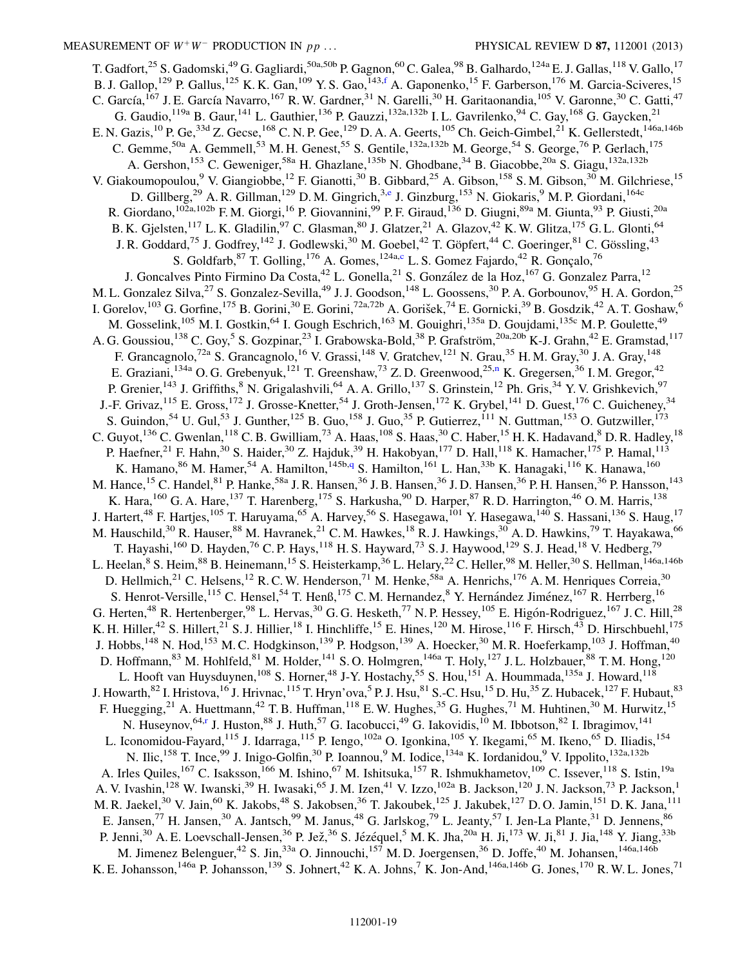<span id="page-18-1"></span><span id="page-18-0"></span>T. Gadfort,<sup>25</sup> S. Gadomski,<sup>49</sup> G. Gagliardi,<sup>50a,50b</sup> P. Gagnon,<sup>60</sup> C. Galea,<sup>98</sup> B. Galhardo,<sup>124a</sup> E. J. Gallas,<sup>118</sup> V. Gallo,<sup>17</sup> B. J. Gallop,<sup>129</sup> P. Gallus,<sup>125</sup> K. K. Gan,<sup>109</sup> Y. S. Gao,<sup>143,[f](#page-27-5)</sup> A. Gaponenko,<sup>15</sup> F. Garberson,<sup>176</sup> M. Garcia-Sciveres,<sup>15</sup> C. García,<sup>167</sup> J. E. García Navarro,<sup>167</sup> R. W. Gardner,<sup>31</sup> N. Garelli,<sup>30</sup> H. Garitaonandia,<sup>105</sup> V. Garonne,<sup>30</sup> C. Gatti,<sup>47</sup> G. Gaudio,  $^{119a}$  B. Gaur,  $^{141}$  L. Gauthier,  $^{136}$  P. Gauzzi,  $^{132a,132b}$  I. L. Gavrilenko,  $^{94}$  C. Gay,  $^{168}$  G. Gaycken,  $^{21}$ E. N. Gazis,<sup>10</sup> P. Ge,<sup>33d</sup> Z. Gecse,<sup>168</sup> C. N. P. Gee,<sup>129</sup> D. A. A. Geerts,<sup>105</sup> Ch. Geich-Gimbel,<sup>21</sup> K. Gellerstedt,<sup>146a,146b</sup> C. Gemme,<sup>50a</sup> A. Gemmell,<sup>53</sup> M. H. Genest,<sup>55</sup> S. Gentile,<sup>132a,132b</sup> M. George,<sup>54</sup> S. George,<sup>76</sup> P. Gerlach,<sup>175</sup> A. Gershon,<sup>153</sup> C. Geweniger,<sup>58a</sup> H. Ghazlane,<sup>135b</sup> N. Ghodbane,<sup>34</sup> B. Giacobbe,<sup>20a</sup> S. Giagu,<sup>132a,132b</sup> V. Giakoumopoulou,<sup>9</sup> V. Giangiobbe,<sup>12</sup> F. Gianotti,<sup>30</sup> B. Gibbard,<sup>25</sup> A. Gibson,<sup>158</sup> S. M. Gibson,<sup>30</sup> M. Gilchriese,<sup>15</sup> D. Gillb[e](#page-27-4)rg,<sup>29</sup> A. R. Gillman,<sup>129</sup> D. M. Gingrich,<sup>3,e</sup> J. Ginzburg,<sup>153</sup> N. Giokaris,<sup>9</sup> M. P. Giordani,<sup>164c</sup> R. Giordano,<sup>102a,102b</sup> F. M. Giorgi,<sup>16</sup> P. Giovannini,<sup>99</sup> P. F. Giraud,<sup>136</sup> D. Giugni,<sup>89a</sup> M. Giunta,<sup>93</sup> P. Giusti,<sup>20a</sup> B. K. Gjelsten,<sup>117</sup> L. K. Gladilin,<sup>97</sup> C. Glasman,<sup>80</sup> J. Glatzer,<sup>21</sup> A. Glazov,<sup>42</sup> K. W. Glitza,<sup>175</sup> G. L. Glonti,<sup>64</sup> J. R. Goddard,<sup>75</sup> J. Godfrey,<sup>142</sup> J. Godlewski,<sup>30</sup> M. Goebel,<sup>42</sup> T. Göpfert,<sup>44</sup> C. Goeringer,<sup>81</sup> C. Gössling,<sup>43</sup> S. Goldfarb,  $87$  T. Golling,  $176$  A. Gomes,  $124a$ ,[c](#page-27-2) L. S. Gomez Fajardo,  $42$  R. Gonçalo,  $76$ J. Goncalves Pinto Firmino Da Costa, <sup>42</sup> L. Gonella, <sup>21</sup> S. González de la Hoz, <sup>167</sup> G. Gonzalez Parra, <sup>12</sup> M. L. Gonzalez Silva,<sup>27</sup> S. Gonzalez-Sevilla,<sup>49</sup> J. J. Goodson,<sup>148</sup> L. Goossens,<sup>30</sup> P. A. Gorbounov,<sup>95</sup> H. A. Gordon,<sup>25</sup> I. Gorelov,<sup>103</sup> G. Gorfine,<sup>175</sup> B. Gorini,<sup>30</sup> E. Gorini,<sup>72a,72b</sup> A. Gorišek,<sup>74</sup> E. Gornicki,<sup>39</sup> B. Gosdzik,<sup>42</sup> A. T. Goshaw,<sup>6</sup> M. Gosselink,<sup>105</sup> M. I. Gostkin,<sup>64</sup> I. Gough Eschrich,<sup>163</sup> M. Gouighri,<sup>135a</sup> D. Goujdami,<sup>135c</sup> M. P. Goulette,<sup>49</sup> A. G. Goussiou,<sup>138</sup> C. Goy,<sup>5</sup> S. Gozpinar,<sup>23</sup> I. Grabowska-Bold,<sup>38</sup> P. Grafström,<sup>20a,20b</sup> K-J. Grahn,<sup>42</sup> E. Gramstad,<sup>117</sup> F. Grancagnolo,<sup>72a</sup> S. Grancagnolo,<sup>16</sup> V. Grassi,<sup>148</sup> V. Gratchev,<sup>121</sup> N. Grau,<sup>35</sup> H. M. Gray,<sup>30</sup> J. A. Gray,<sup>148</sup> E. Grazia[n](#page-27-13)i,<sup>134a</sup> O. G. Grebenyuk,<sup>121</sup> T. Greenshaw,<sup>73</sup> Z. D. Greenwood,<sup>25,n</sup> K. Gregersen,<sup>36</sup> I. M. Gregor,<sup>42</sup> P. Grenier,<sup>143</sup> J. Griffiths,<sup>8</sup> N. Grigalashvili,<sup>64</sup> A. A. Grillo,<sup>137</sup> S. Grinstein,<sup>12</sup> Ph. Gris,<sup>34</sup> Y. V. Grishkevich,<sup>97</sup> J.-F. Grivaz,<sup>115</sup> E. Gross,<sup>172</sup> J. Grosse-Knetter,<sup>54</sup> J. Groth-Jensen,<sup>172</sup> K. Grybel,<sup>141</sup> D. Guest,<sup>176</sup> C. Guicheney,<sup>34</sup> S. Guindon,<sup>54</sup> U. Gul,<sup>53</sup> J. Gunther,<sup>125</sup> B. Guo,<sup>158</sup> J. Guo,<sup>35</sup> P. Gutierrez,<sup>111</sup> N. Guttman,<sup>153</sup> O. Gutzwiller,<sup>173</sup> C. Guyot,  $^{136}$  C. Gwenlan,  $^{118}$  C. B. Gwilliam,  $^{73}$  A. Haas,  $^{108}$  S. Haas,  $^{30}$  C. Haber,  $^{15}$  H. K. Hadavand,  $^8$  D. R. Hadley,  $^{18}$ P. Haefner,<sup>21</sup> F. Hahn,<sup>30</sup> S. Haider,<sup>30</sup> Z. Hajduk,<sup>39</sup> H. Hakobyan,<sup>177</sup> D. Hall,<sup>118</sup> K. Hamacher,<sup>175</sup> P. Hamal,<sup>113</sup> K. Hamano,  $86$  M. Hamer,  $54$  A. Hamilton,  $145b,q$  $145b,q$  S. Hamilton,  $161$  L. Han,  $33b$  K. Hanagaki,  $116$  K. Hanawa,  $160$ M. Hance,<sup>15</sup> C. Handel,<sup>81</sup> P. Hanke,<sup>58a</sup> J. R. Hansen,<sup>36</sup> J. B. Hansen,<sup>36</sup> J. D. Hansen,<sup>36</sup> P. H. Hansen,<sup>36</sup> P. Hansson,<sup>143</sup> K. Hara, <sup>160</sup> G. A. Hare, <sup>137</sup> T. Harenberg, <sup>175</sup> S. Harkusha, <sup>90</sup> D. Harper, <sup>87</sup> R. D. Harrington, <sup>46</sup> O. M. Harris, <sup>138</sup> J. Hartert,<sup>48</sup> F. Hartjes,<sup>105</sup> T. Haruyama,<sup>65</sup> A. Harvey,<sup>56</sup> S. Hasegawa,<sup>101</sup> Y. Hasegawa,<sup>140</sup> S. Hassani,<sup>136</sup> S. Haug,<sup>17</sup> M. Hauschild,<sup>30</sup> R. Hauser,<sup>88</sup> M. Havranek,<sup>21</sup> C. M. Hawkes,<sup>18</sup> R. J. Hawkings,<sup>30</sup> A. D. Hawkins,<sup>79</sup> T. Hayakawa,<sup>66</sup> T. Hayashi,<sup>160</sup> D. Hayden,<sup>76</sup> C. P. Hays,<sup>118</sup> H. S. Hayward,<sup>73</sup> S. J. Haywood,<sup>129</sup> S. J. Head,<sup>18</sup> V. Hedberg,<sup>79</sup> L. Heelan,<sup>8</sup> S. Heim,<sup>88</sup> B. Heinemann,<sup>15</sup> S. Heisterkamp,<sup>36</sup> L. Helary,<sup>22</sup> C. Heller,<sup>98</sup> M. Heller,<sup>30</sup> S. Hellman,<sup>146a,146b</sup> D. Hellmich,<sup>21</sup> C. Helsens,<sup>12</sup> R. C. W. Henderson,<sup>71</sup> M. Henke,<sup>58a</sup> A. Henrichs,<sup>176</sup> A. M. Henriques Correia,<sup>30</sup> S. Henrot-Versille,<sup>115</sup> C. Hensel,<sup>54</sup> T. Henß,<sup>175</sup> C. M. Hernandez,<sup>8</sup> Y. Hernández Jiménez,<sup>167</sup> R. Herrberg,<sup>16</sup> G. Herten,<sup>48</sup> R. Hertenberger,<sup>98</sup> L. Hervas,<sup>30</sup> G. G. Hesketh,<sup>77</sup> N. P. Hessey,<sup>105</sup> E. Higón-Rodriguez,<sup>167</sup> J. C. Hill,<sup>28</sup> K. H. Hiller,<sup>42</sup> S. Hillert,<sup>21</sup> S. J. Hillier,<sup>18</sup> I. Hinchliffe,<sup>15</sup> E. Hines,<sup>120</sup> M. Hirose,<sup>116</sup> F. Hirsch,<sup>43</sup> D. Hirschbuehl,<sup>175</sup> J. Hobbs,<sup>148</sup> N. Hod,<sup>153</sup> M. C. Hodgkinson,<sup>139</sup> P. Hodgson,<sup>139</sup> A. Hoecker,<sup>30</sup> M. R. Hoeferkamp,<sup>103</sup> J. Hoffman,<sup>40</sup> D. Hoffmann,  $83$  M. Hohlfeld,  $81$  M. Holder,  $141$  S. O. Holmgren,  $146a$  T. Holy,  $127$  J. L. Holzbauer,  $88$  T. M. Hong,  $120$ L. Hooft van Huysduynen,<sup>108</sup> S. Horner,<sup>48</sup> J-Y. Hostachy,<sup>55</sup> S. Hou,<sup>151</sup> A. Hoummada,<sup>135a</sup> J. Howard,<sup>118</sup> J. Howarth, <sup>82</sup> I. Hristova, <sup>16</sup> J. Hrivnac, <sup>115</sup> T. Hryn'ova, <sup>5</sup> P. J. Hsu, <sup>81</sup> S.-C. Hsu, <sup>15</sup> D. Hu, <sup>35</sup> Z. Hubacek, <sup>127</sup> F. Hubaut, <sup>83</sup> F. Huegging,<sup>21</sup> A. Huettmann,<sup>42</sup> T. B. Huffman,<sup>118</sup> E. W. Hughes,<sup>35</sup> G. Hughes,<sup>71</sup> M. Huhtinen,<sup>30</sup> M. Hurwitz,<sup>15</sup> N. Huseynov,<sup>64,[r](#page-27-17)</sup> J. Huston,<sup>88</sup> J. Huth,<sup>57</sup> G. Iacobucci,<sup>49</sup> G. Iakovidis,<sup>10</sup> M. Ibbotson,<sup>82</sup> I. Ibragimov,<sup>141</sup> L. Iconomidou-Fayard,<sup>115</sup> J. Idarraga,<sup>115</sup> P. Iengo,<sup>102a</sup> O. Igonkina,<sup>105</sup> Y. Ikegami,<sup>65</sup> M. Ikeno,<sup>65</sup> D. Iliadis,<sup>154</sup> N. Ilic,<sup>158</sup> T. Ince,<sup>99</sup> J. Inigo-Golfin,<sup>30</sup> P. Ioannou,<sup>9</sup> M. Iodice,<sup>134a</sup> K. Iordanidou,<sup>9</sup> V. Ippolito,<sup>132a,132b</sup> A. Irles Quiles,<sup>167</sup> C. Isaksson,<sup>166</sup> M. Ishino,<sup>67</sup> M. Ishitsuka,<sup>157</sup> R. Ishmukhametov,<sup>109</sup> C. Issever,<sup>118</sup> S. Istin,<sup>19a</sup> A. V. Ivashin,<sup>128</sup> W. Iwanski,<sup>39</sup> H. Iwasaki,<sup>65</sup> J. M. Izen,<sup>41</sup> V. Izzo,<sup>102a</sup> B. Jackson,<sup>120</sup> J. N. Jackson,<sup>73</sup> P. Jackson,<sup>1</sup> M. R. Jaekel,<sup>30</sup> V. Jain,<sup>60</sup> K. Jakobs,<sup>48</sup> S. Jakobsen,<sup>36</sup> T. Jakoubek,<sup>125</sup> J. Jakubek,<sup>127</sup> D. O. Jamin,<sup>151</sup> D. K. Jana,<sup>111</sup> E. Jansen,<sup>77</sup> H. Jansen,<sup>30</sup> A. Jantsch,<sup>99</sup> M. Janus,<sup>48</sup> G. Jarlskog,<sup>79</sup> L. Jeanty,<sup>57</sup> I. Jen-La Plante,<sup>31</sup> D. Jennens,<sup>86</sup> P. Jenni,<sup>30</sup> A. E. Loevschall-Jensen,<sup>36</sup> P. Jež,<sup>36</sup> S. Jézéquel,<sup>5</sup> M. K. Jha,<sup>20a</sup> H. Ji,<sup>173</sup> W. Ji,<sup>81</sup> J. Jia,<sup>148</sup> Y. Jiang,<sup>33b</sup> M. Jimenez Belenguer,<sup>42</sup> S. Jin,<sup>33a</sup> O. Jinnouchi,<sup>157</sup> M. D. Joergensen,<sup>36</sup> D. Joffe,<sup>40</sup> M. Johansen,<sup>146a,146b</sup> K. E. Johansson,<sup>146a</sup> P. Johansson,<sup>139</sup> S. Johnert,<sup>42</sup> K. A. Johns,<sup>7</sup> K. Jon-And,<sup>146a,146b</sup> G. Jones,<sup>170</sup> R. W. L. Jones,<sup>71</sup>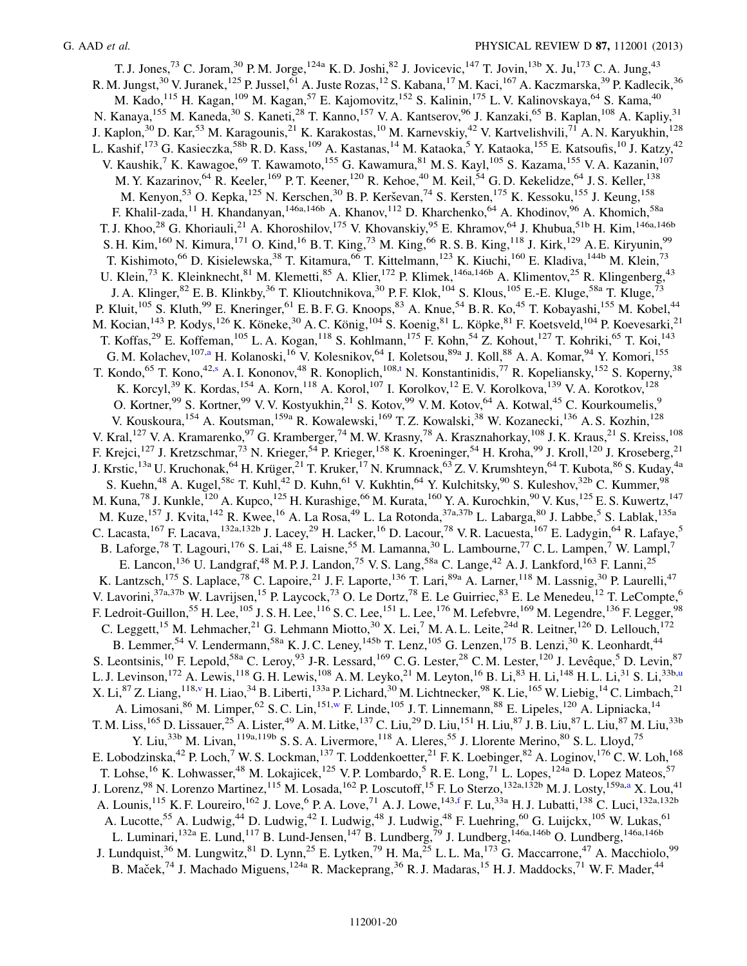<span id="page-19-3"></span><span id="page-19-2"></span><span id="page-19-1"></span><span id="page-19-0"></span>T. J. Jones,<sup>73</sup> C. Joram,<sup>30</sup> P. M. Jorge,<sup>124a</sup> K. D. Joshi,<sup>82</sup> J. Jovicevic,<sup>147</sup> T. Jovin,<sup>13b</sup> X. Ju,<sup>173</sup> C. A. Jung,<sup>43</sup> R. M. Jungst,<sup>30</sup> V. Juranek,<sup>125</sup> P. Jussel,<sup>61</sup> A. Juste Rozas,<sup>12</sup> S. Kabana,<sup>17</sup> M. Kaci,<sup>167</sup> A. Kaczmarska,<sup>39</sup> P. Kadlecik,<sup>36</sup> M. Kado,<sup>115</sup> H. Kagan,<sup>109</sup> M. Kagan,<sup>57</sup> E. Kajomovitz,<sup>152</sup> S. Kalinin,<sup>175</sup> L. V. Kalinovskaya,<sup>64</sup> S. Kama,<sup>40</sup> N. Kanaya, <sup>155</sup> M. Kaneda, <sup>30</sup> S. Kaneti, <sup>28</sup> T. Kanno, <sup>157</sup> V. A. Kantserov, <sup>96</sup> J. Kanzaki, <sup>65</sup> B. Kaplan, <sup>108</sup> A. Kapliy, <sup>31</sup> J. Kaplon,<sup>30</sup> D. Kar,<sup>53</sup> M. Karagounis,<sup>21</sup> K. Karakostas,<sup>10</sup> M. Karnevskiy,<sup>42</sup> V. Kartvelishvili,<sup>71</sup> A. N. Karyukhin,<sup>128</sup> L. Kashif,<sup>173</sup> G. Kasieczka,<sup>58b</sup> R. D. Kass,<sup>109</sup> A. Kastanas,<sup>14</sup> M. Kataoka,<sup>5</sup> Y. Kataoka,<sup>155</sup> E. Katsoufis,<sup>10</sup> J. Katzy,<sup>42</sup> V. Kaushik,<sup>7</sup> K. Kawagoe,<sup>69</sup> T. Kawamoto,<sup>155</sup> G. Kawamura,<sup>81</sup> M. S. Kayl,<sup>105</sup> S. Kazama,<sup>155</sup> V. A. Kazanin,<sup>107</sup> M. Y. Kazarinov,<sup>64</sup> R. Keeler,<sup>169</sup> P. T. Keener,<sup>120</sup> R. Kehoe,<sup>40</sup> M. Keil,<sup>54</sup> G. D. Kekelidze,<sup>64</sup> J. S. Keller,<sup>138</sup> M. Kenyon,<sup>53</sup> O. Kepka,<sup>125</sup> N. Kerschen,<sup>30</sup> B. P. Kerševan,<sup>74</sup> S. Kersten,<sup>175</sup> K. Kessoku,<sup>155</sup> J. Keung,<sup>158</sup> F. Khalil-zada,<sup>11</sup> H. Khandanyan,<sup>146a,146b</sup> A. Khanov,<sup>112</sup> D. Kharchenko,<sup>64</sup> A. Khodinov,<sup>96</sup> A. Khomich,<sup>58a</sup> T. J. Khoo,<sup>28</sup> G. Khoriauli,<sup>21</sup> A. Khoroshilov,<sup>175</sup> V. Khovanskiy,<sup>95</sup> E. Khramov,<sup>64</sup> J. Khubua,<sup>51b</sup> H. Kim,<sup>146a,146b</sup> S. H. Kim,<sup>160</sup> N. Kimura,<sup>171</sup> O. Kind,<sup>16</sup> B. T. King,<sup>73</sup> M. King,<sup>66</sup> R. S. B. King,<sup>118</sup> J. Kirk,<sup>129</sup> A. E. Kiryunin,<sup>99</sup> T. Kishimoto,<sup>66</sup> D. Kisielewska,<sup>38</sup> T. Kitamura,<sup>66</sup> T. Kittelmann,<sup>123</sup> K. Kiuchi,<sup>160</sup> E. Kladiva,<sup>144b</sup> M. Klein,<sup>73</sup> U. Klein,<sup>73</sup> K. Kleinknecht,<sup>81</sup> M. Klemetti,<sup>85</sup> A. Klier,<sup>172</sup> P. Klimek,<sup>146a,146b</sup> A. Klimentov,<sup>25</sup> R. Klingenberg,<sup>43</sup> J. A. Klinger,<sup>82</sup> E. B. Klinkby,<sup>36</sup> T. Klioutchnikova,<sup>30</sup> P. F. Klok,<sup>104</sup> S. Klous,<sup>105</sup> E.-E. Kluge,<sup>58a</sup> T. Kluge,<sup>73</sup> P. Kluit,<sup>105</sup> S. Kluth,<sup>99</sup> E. Kneringer,<sup>61</sup> E. B. F. G. Knoops,<sup>83</sup> A. Knue,<sup>54</sup> B. R. Ko,<sup>45</sup> T. Kobayashi,<sup>155</sup> M. Kobel,<sup>44</sup> M. Kocian,<sup>143</sup> P. Kodys,<sup>126</sup> K. Köneke,<sup>30</sup> A. C. König,<sup>104</sup> S. Koenig,<sup>81</sup> L. Köpke,<sup>81</sup> F. Koetsveld,<sup>104</sup> P. Koevesarki,<sup>21</sup> T. Koffas,<sup>29</sup> E. Koffeman,<sup>105</sup> L. A. Kogan,<sup>118</sup> S. Kohlmann,<sup>175</sup> F. Kohn,<sup>54</sup> Z. Kohout,<sup>127</sup> T. Kohriki,<sup>65</sup> T. Koi,<sup>143</sup> G. M. Kol[a](#page-27-1)chev,<sup>107,a</sup> H. Kolanoski,<sup>16</sup> V. Kolesnikov,<sup>64</sup> I. Koletsou,<sup>89a</sup> J. Koll,<sup>88</sup> A. A. Komar,<sup>94</sup> Y. Komori,<sup>155</sup> T. Kondo,<sup>65</sup> T. Kono,<sup>42[,s](#page-27-18)</sup> A. I. Kononov,<sup>48</sup> R. Konoplich,<sup>108[,t](#page-27-19)</sup> N. Konstantinidis,<sup>77</sup> R. Kopeliansky,<sup>152</sup> S. Koperny,<sup>38</sup> K. Korcyl,<sup>39</sup> K. Kordas,<sup>154</sup> A. Korn,<sup>118</sup> A. Korol,<sup>107</sup> I. Korolkov,<sup>12</sup> E. V. Korolkova,<sup>139</sup> V. A. Korotkov,<sup>128</sup> O. Kortner,<sup>99</sup> S. Kortner,<sup>99</sup> V. V. Kostyukhin,<sup>21</sup> S. Kotov,<sup>99</sup> V. M. Kotov,<sup>64</sup> A. Kotwal,<sup>45</sup> C. Kourkoumelis,<sup>9</sup> V. Kouskoura, <sup>154</sup> A. Koutsman, <sup>159a</sup> R. Kowalewski, <sup>169</sup> T. Z. Kowalski, <sup>38</sup> W. Kozanecki, <sup>136</sup> A. S. Kozhin, <sup>128</sup> V. Kral,<sup>127</sup> V. A. Kramarenko,<sup>97</sup> G. Kramberger,<sup>74</sup> M. W. Krasny,<sup>78</sup> A. Krasznahorkay,<sup>108</sup> J. K. Kraus,<sup>21</sup> S. Kreiss,<sup>108</sup> F. Krejci,<sup>127</sup> J. Kretzschmar,<sup>73</sup> N. Krieger,<sup>54</sup> P. Krieger,<sup>158</sup> K. Kroeninger,<sup>54</sup> H. Kroha,<sup>99</sup> J. Kroll,<sup>120</sup> J. Kroseberg,<sup>21</sup> J. Krstic,<sup>13a</sup> U. Kruchonak, <sup>64</sup> H. Krüger, <sup>21</sup> T. Kruker, <sup>17</sup> N. Krumnack, <sup>63</sup> Z. V. Krumshteyn, <sup>64</sup> T. Kubota, <sup>86</sup> S. Kuday, <sup>4a</sup> S. Kuehn,<sup>48</sup> A. Kugel,<sup>58c</sup> T. Kuhl,<sup>42</sup> D. Kuhn,<sup>61</sup> V. Kukhtin,<sup>64</sup> Y. Kulchitsky,<sup>90</sup> S. Kuleshov,<sup>32b</sup> C. Kummer,<sup>98</sup> M. Kuna,<sup>78</sup> J. Kunkle,<sup>120</sup> A. Kupco,<sup>125</sup> H. Kurashige,<sup>66</sup> M. Kurata,<sup>160</sup> Y. A. Kurochkin,<sup>90</sup> V. Kus,<sup>125</sup> E. S. Kuwertz,<sup>147</sup> M. Kuze,<sup>157</sup> J. Kvita,<sup>142</sup> R. Kwee,<sup>16</sup> A. La Rosa,<sup>49</sup> L. La Rotonda,<sup>37a,37b</sup> L. Labarga,<sup>80</sup> J. Labbe,<sup>5</sup> S. Lablak,<sup>135a</sup> C. Lacasta,<sup>167</sup> F. Lacava,<sup>132a,132b</sup> J. Lacey,<sup>29</sup> H. Lacker,<sup>16</sup> D. Lacour,<sup>78</sup> V. R. Lacuesta,<sup>167</sup> E. Ladygin,<sup>64</sup> R. Lafaye,<sup>5</sup> B. Laforge,<sup>78</sup> T. Lagouri,<sup>176</sup> S. Lai,<sup>48</sup> E. Laisne,<sup>55</sup> M. Lamanna,<sup>30</sup> L. Lambourne,<sup>77</sup> C. L. Lampen,<sup>7</sup> W. Lampl,<sup>7</sup> E. Lancon,<sup>136</sup> U. Landgraf,<sup>48</sup> M. P. J. Landon,<sup>75</sup> V. S. Lang,<sup>58a</sup> C. Lange,<sup>42</sup> A. J. Lankford,<sup>163</sup> F. Lanni,<sup>25</sup> K. Lantzsch,<sup>175</sup> S. Laplace,<sup>78</sup> C. Lapoire,<sup>21</sup> J. F. Laporte,<sup>136</sup> T. Lari,<sup>89a</sup> A. Larner,<sup>118</sup> M. Lassnig,<sup>30</sup> P. Laurelli,<sup>47</sup> V. Lavorini,<sup>37a,37b</sup> W. Lavrijsen,<sup>15</sup> P. Laycock,<sup>73</sup> O. Le Dortz,<sup>78</sup> E. Le Guirriec,<sup>83</sup> E. Le Menedeu,<sup>12</sup> T. LeCompte,<sup>6</sup> F. Ledroit-Guillon,<sup>55</sup> H. Lee,<sup>105</sup> J. S. H. Lee,<sup>116</sup> S. C. Lee,<sup>151</sup> L. Lee,<sup>176</sup> M. Lefebvre,<sup>169</sup> M. Legendre,<sup>136</sup> F. Legger,<sup>98</sup> C. Leggett,<sup>15</sup> M. Lehmacher,<sup>21</sup> G. Lehmann Miotto,<sup>30</sup> X. Lei,<sup>7</sup> M. A. L. Leite,<sup>24d</sup> R. Leitner,<sup>126</sup> D. Lellouch,<sup>172</sup> B. Lemmer,<sup>54</sup> V. Lendermann,<sup>58a</sup> K. J. C. Leney,<sup>145b</sup> T. Lenz,<sup>105</sup> G. Lenzen,<sup>175</sup> B. Lenzi,<sup>30</sup> K. Leonhardt,<sup>44</sup> S. Leontsinis,<sup>10</sup> F. Lepold,<sup>58a</sup> C. Leroy,<sup>93</sup> J-R. Lessard,<sup>169</sup> C. G. Lester,<sup>28</sup> C. M. Lester,<sup>120</sup> J. Levêque,<sup>5</sup> D. Levin,<sup>87</sup> L. J. Levinson,<sup>172</sup> A. Lewis,<sup>118</sup> G. H. Lewis,<sup>108</sup> A. M. Leyko,<sup>21</sup> M. Leyton,<sup>16</sup> B. Li,<sup>83</sup> H. Li,<sup>148</sup> H. L. Li,<sup>31</sup> S. Li,<sup>33b[,u](#page-27-20)</sup> X. Li,<sup>87</sup> Z. Liang,<sup>118[,v](#page-27-21)</sup> H. Liao,<sup>34</sup> B. Liberti,<sup>133a</sup> P. Lichard,<sup>30</sup> M. Lichtnecker,<sup>98</sup> K. Lie,<sup>165</sup> W. Liebig,<sup>14</sup> C. Limbach,<sup>21</sup> A. Limosani,<sup>86</sup> M. Limper,<sup>62</sup> S. C. Lin,<sup>151[,w](#page-27-22)</sup> F. Linde,<sup>105</sup> J. T. Linnemann,<sup>88</sup> E. Lipeles,<sup>120</sup> A. Lipniacka,<sup>14</sup> T. M. Liss,<sup>165</sup> D. Lissauer,<sup>25</sup> A. Lister,<sup>49</sup> A. M. Litke,<sup>137</sup> C. Liu,<sup>29</sup> D. Liu,<sup>151</sup> H. Liu,<sup>87</sup> J. B. Liu,<sup>87</sup> L. Liu,<sup>87</sup> M. Liu,<sup>33b</sup> Y. Liu,<sup>33b</sup> M. Livan,<sup>119a,119b</sup> S. S. A. Livermore,<sup>118</sup> A. Lleres,<sup>55</sup> J. Llorente Merino,<sup>80</sup> S. L. Lloyd,<sup>75</sup> E. Lobodzinska,  $^{42}$  P. Loch, $^{7}$  W. S. Lockman,  $^{137}$  T. Loddenkoetter,  $^{21}$  F. K. Loebinger,  $^{82}$  A. Loginov,  $^{176}$  C. W. Loh,  $^{168}$ T. Lohse,<sup>16</sup> K. Lohwasser,<sup>48</sup> M. Lokajicek,<sup>125</sup> V. P. Lombardo,<sup>5</sup> R. E. Long,<sup>71</sup> L. Lopes,<sup>124a</sup> D. Lopez Mateos,<sup>57</sup> J. Lorenz, <sup>98</sup> N. Lorenzo M[a](#page-27-1)rtinez, <sup>115</sup> M. Losada, <sup>162</sup> P. Loscutoff, <sup>15</sup> F. Lo Sterzo, <sup>132a,132b</sup> M. J. Losty, <sup>159a,a</sup> X. Lou,<sup>41</sup> A. Lounis, <sup>115</sup> K. F. Loureiro, <sup>162</sup> J. Love, <sup>6</sup> P. A. Love, <sup>71</sup> A. J. Lowe, <sup>143,[f](#page-27-5)</sup> F. Lu, <sup>33a</sup> H. J. Lubatti, <sup>138</sup> C. Luci, <sup>132a,132b</sup> A. Lucotte,<sup>55</sup> A. Ludwig,<sup>44</sup> D. Ludwig,<sup>42</sup> I. Ludwig,<sup>48</sup> J. Ludwig,<sup>48</sup> F. Luehring,<sup>60</sup> G. Luickx,<sup>105</sup> W. Lukas.<sup>61</sup> L. Luminari,<sup>132a</sup> E. Lund,<sup>117</sup> B. Lund-Jensen,<sup>147</sup> B. Lundberg,<sup>79</sup> J. Lundberg,<sup>146a,146b</sup> O. Lundberg,<sup>146a,146b</sup> J. Lundquist,  $36$  M. Lungwitz,  $81$  D. Lynn,  $25$  E. Lytken,  $79$  H. Ma,  $25$  L. L. Ma,  $173$  G. Maccarrone,  $47$  A. Macchiolo,  $99$ B. Maček,<sup>74</sup> J. Machado Miguens,<sup>124a</sup> R. Mackeprang,<sup>36</sup> R. J. Madaras,<sup>15</sup> H. J. Maddocks,<sup>71</sup> W. F. Mader,<sup>44</sup>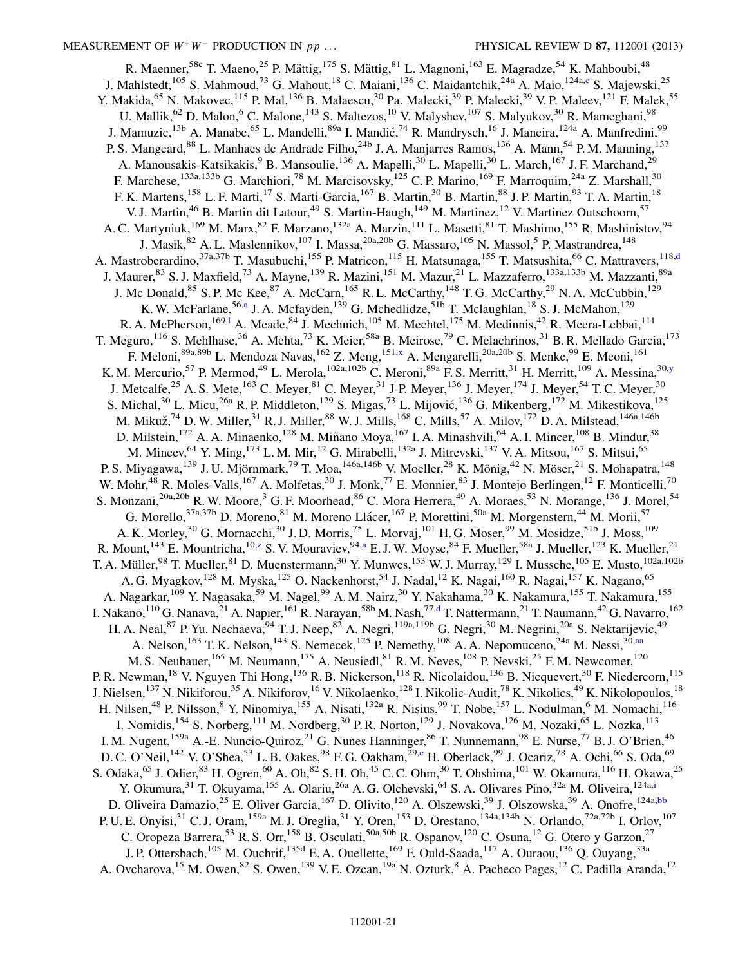<span id="page-20-4"></span><span id="page-20-3"></span><span id="page-20-2"></span><span id="page-20-1"></span><span id="page-20-0"></span>R. Maenner,<sup>58c</sup> T. Maeno,<sup>25</sup> P. Mättig,<sup>175</sup> S. Mättig,<sup>81</sup> L. Magnoni,<sup>163</sup> E. Magradze,<sup>54</sup> K. Mahboubi,<sup>48</sup> J. Mahlstedt,<sup>105</sup> S. Mahmoud,<sup>73</sup> G. Mahout,<sup>18</sup> C. Maiani,<sup>136</sup> C. Maidantchik,<sup>24a</sup> A. Maio,<sup>124a[,c](#page-27-2)</sup> S. Majewski,<sup>25</sup> Y. Makida,<sup>65</sup> N. Makovec,<sup>115</sup> P. Mal,<sup>136</sup> B. Malaescu,<sup>30</sup> Pa. Malecki,<sup>39</sup> P. Malecki,<sup>39</sup> V. P. Maleev,<sup>121</sup> F. Malek,<sup>55</sup> U. Mallik,<sup>62</sup> D. Malon,<sup>6</sup> C. Malone,<sup>143</sup> S. Maltezos,<sup>10</sup> V. Malyshev,<sup>107</sup> S. Malyukov,<sup>30</sup> R. Mameghani,<sup>98</sup> J. Mamuzic, <sup>13b</sup> A. Manabe, <sup>65</sup> L. Mandelli, <sup>89a</sup> I. Mandić, <sup>74</sup> R. Mandrysch, <sup>16</sup> J. Maneira, <sup>124a</sup> A. Manfredini, <sup>99</sup> P. S. Mangeard,<sup>88</sup> L. Manhaes de Andrade Filho,<sup>24b</sup> J. A. Manjarres Ramos,<sup>136</sup> A. Mann,<sup>54</sup> P. M. Manning,<sup>137</sup> A. Manousakis-Katsikakis,<sup>9</sup> B. Mansoulie,<sup>136</sup> A. Mapelli,<sup>30</sup> L. Mapelli,<sup>30</sup> L. March,<sup>167</sup> J. F. Marchand,<sup>29</sup> F. Marchese,<sup>133a,133b</sup> G. Marchiori,<sup>78</sup> M. Marcisovsky,<sup>125</sup> C. P. Marino,<sup>169</sup> F. Marroquim,<sup>24a</sup> Z. Marshall,<sup>30</sup> F. K. Martens,<sup>158</sup> L. F. Marti,<sup>17</sup> S. Marti-Garcia,<sup>167</sup> B. Martin,<sup>30</sup> B. Martin,<sup>88</sup> J. P. Martin,<sup>93</sup> T. A. Martin,<sup>18</sup> V. J. Martin,<sup>46</sup> B. Martin dit Latour,<sup>49</sup> S. Martin-Haugh,<sup>149</sup> M. Martinez,<sup>12</sup> V. Martinez Outschoorn,<sup>57</sup> A. C. Martyniuk,<sup>169</sup> M. Marx,<sup>82</sup> F. Marzano,<sup>132a</sup> A. Marzin,<sup>111</sup> L. Masetti,<sup>81</sup> T. Mashimo,<sup>155</sup> R. Mashinistov,<sup>94</sup> J. Masik, <sup>82</sup> A. L. Maslennikov, <sup>107</sup> I. Massa, <sup>20a, 20b</sup> G. Massaro, <sup>105</sup> N. Massol, <sup>5</sup> P. Mastrandrea, <sup>148</sup> A. Mastroberardino,<sup>37a,37b</sup> T. Masubuchi,<sup>155</sup> P. Matricon,<sup>115</sup> H. Matsunaga,<sup>155</sup> T. Matsushita,<sup>66</sup> C. Mattravers,<sup>118[,d](#page-27-3)</sup> J. Maurer, <sup>83</sup> S. J. Maxfield,<sup>73</sup> A. Mayne,<sup>139</sup> R. Mazini,<sup>151</sup> M. Mazur,<sup>21</sup> L. Mazzaferro,<sup>133a,133b</sup> M. Mazzanti,<sup>89a</sup> J. Mc Donald,  $85$  S. P. Mc Kee,  $87$  A. McCarn,  $165$  R. L. McCarthy,  $148$  T. G. McCarthy,  $29$  N. A. McCubbin,  $129$ K. W. McF[a](#page-27-1)rlane,<sup>56,a</sup> J. A. Mcfayden,<sup>139</sup> G. Mchedlidze,<sup>51b</sup> T. Mclaughlan,<sup>18</sup> S. J. McMahon,<sup>129</sup> R. A. McPherson,<sup>169,1</sup> A. Meade,<sup>84</sup> J. Mechnich,<sup>105</sup> M. Mechte[l](#page-27-11),<sup>175</sup> M. Medinnis,<sup>42</sup> R. Meera-Lebbai,<sup>111</sup> T. Meguro,<sup>116</sup> S. Mehlhase,<sup>36</sup> A. Mehta,<sup>73</sup> K. Meier,<sup>58a</sup> B. Meirose,<sup>79</sup> C. Melachrinos,<sup>31</sup> B. R. Mellado Garcia,<sup>173</sup> F. Meloni,<sup>89a,89b</sup> L. Mendoza Navas, <sup>162</sup> Z. Meng, <sup>151[,x](#page-27-23)</sup> A. Mengarelli,<sup>20a,20b</sup> S. Menke,<sup>99</sup> E. Meoni, <sup>161</sup> K. M. Mercurio,<sup>57</sup> P. Mermod,<sup>49</sup> L. Merola,<sup>102a,102b</sup> C. Meroni,<sup>89a</sup> F. S. Merritt,<sup>31</sup> H. Merritt,<sup>109</sup> A. Messina,<sup>30,[y](#page-27-24)</sup> J. Metcalfe,<sup>25</sup> A. S. Mete,<sup>163</sup> C. Meyer,<sup>81</sup> C. Meyer,<sup>31</sup> J-P. Meyer,<sup>136</sup> J. Meyer,<sup>174</sup> J. Meyer,<sup>54</sup> T. C. Meyer,<sup>30</sup> S. Michal,<sup>30</sup> L. Micu,<sup>26a</sup> R. P. Middleton,<sup>129</sup> S. Migas,<sup>73</sup> L. Mijović,<sup>136</sup> G. Mikenberg,<sup>172</sup> M. Mikestikova,<sup>125</sup> M. Mikuž,<sup>74</sup> D. W. Miller,<sup>31</sup> R. J. Miller,<sup>88</sup> W. J. Mills,<sup>168</sup> C. Mills,<sup>57</sup> A. Milov,<sup>172</sup> D. A. Milstead,<sup>146a,146b</sup> D. Milstein,<sup>172</sup> A. A. Minaenko,<sup>128</sup> M. Miñano Moya,<sup>167</sup> I. A. Minashvili,<sup>64</sup> A. I. Mincer,<sup>108</sup> B. Mindur,<sup>38</sup> M. Mineev, <sup>64</sup> Y. Ming, <sup>173</sup> L. M. Mir, <sup>12</sup> G. Mirabelli, <sup>132a</sup> J. Mitrevski, <sup>137</sup> V. A. Mitsou, <sup>167</sup> S. Mitsui, <sup>65</sup> P. S. Miyagawa,<sup>139</sup> J. U. Mjörnmark,<sup>79</sup> T. Moa,<sup>146a,146b</sup> V. Moeller,<sup>28</sup> K. Mönig,<sup>42</sup> N. Möser,<sup>21</sup> S. Mohapatra,<sup>148</sup> W. Mohr,<sup>48</sup> R. Moles-Valls,<sup>167</sup> A. Molfetas,<sup>30</sup> J. Monk,<sup>77</sup> E. Monnier,<sup>83</sup> J. Montejo Berlingen,<sup>12</sup> F. Monticelli,<sup>70</sup> S. Monzani,<sup>20a,20b</sup> R. W. Moore,<sup>3</sup> G. F. Moorhead,<sup>86</sup> C. Mora Herrera,<sup>49</sup> A. Moraes,<sup>53</sup> N. Morange,<sup>136</sup> J. Morel,<sup>54</sup> G. Morello,  $37a,37b$  D. Moreno,  $81M$ . Moreno Llácer,  $167$  P. Morettini,  $50a$  M. Morgenstern,  $44M$ . Morii,  $57$ A. K. Morley,<sup>30</sup> G. Mornacchi,<sup>30</sup> J. D. Morris,<sup>75</sup> L. Morvaj,<sup>101</sup> H. G. Moser,<sup>99</sup> M. Mosidze,<sup>51b</sup> J. Moss,<sup>109</sup> R. Mount,<sup>143</sup> E. Mountricha,<sup>10[,z](#page-28-0)</sup> S. V. Mour[a](#page-27-1)viev,<sup>94,a</sup> E. J. W. Moyse,<sup>84</sup> F. Mueller,<sup>58a</sup> J. Mueller,<sup>123</sup> K. Mueller,<sup>21</sup> T. A. Müller,<sup>98</sup> T. Mueller,<sup>81</sup> D. Muenstermann,<sup>30</sup> Y. Munwes,<sup>153</sup> W. J. Murray,<sup>129</sup> I. Mussche,<sup>105</sup> E. Musto,<sup>102a,102b</sup> A. G. Myagkov,  $^{128}$  M. Myska,  $^{125}$  O. Nackenhorst,  $^{54}$  J. Nadal,  $^{12}$  K. Nagai,  $^{160}$  R. Nagai,  $^{157}$  K. Nagano,  $^{65}$ A. Nagarkar,<sup>109</sup> Y. Nagasaka,<sup>59</sup> M. Nagel,<sup>99</sup> A. M. Nairz,<sup>30</sup> Y. Nakahama,<sup>30</sup> K. Nakamura,<sup>155</sup> T. Nakamura,<sup>155</sup> I. Nakano,<sup>110</sup> G. Nanava,<sup>21</sup> A. Napier,<sup>161</sup> R. Narayan,<sup>58b</sup> M. Nash,<sup>77,[d](#page-27-3)</sup> T. Nattermann,<sup>21</sup> T. Naumann,<sup>42</sup> G. Navarro,<sup>162</sup> H. A. Neal, <sup>87</sup> P. Yu. Nechaeva,  $94$  T. J. Neep,  $82$  A. Negri,  $119a,119b$  G. Negri,  $30$  M. Negrini,  $20a$  S. Nektarijevic,  $49$ A. Nelson,<sup>163</sup> T. K. Nelson,<sup>143</sup> S. Nemecek,<sup>125</sup> P. Nemethy,<sup>108</sup> A. A. Nepomuceno,<sup>24a</sup> M. Nessi,<sup>30</sup>,[aa](#page-28-1) M. S. Neubauer,<sup>165</sup> M. Neumann,<sup>175</sup> A. Neusiedl,<sup>81</sup> R. M. Neves,<sup>108</sup> P. Nevski,<sup>25</sup> F. M. Newcomer,<sup>120</sup> P. R. Newman,<sup>18</sup> V. Nguyen Thi Hong,<sup>136</sup> R. B. Nickerson,<sup>118</sup> R. Nicolaidou,<sup>136</sup> B. Nicquevert,<sup>30</sup> F. Niedercorn,<sup>115</sup> J. Nielsen,<sup>137</sup> N. Nikiforou,<sup>35</sup> A. Nikiforov,<sup>16</sup> V. Nikolaenko,<sup>128</sup> I. Nikolic-Audit,<sup>78</sup> K. Nikolics,<sup>49</sup> K. Nikolopoulos,<sup>18</sup> H. Nilsen,<sup>48</sup> P. Nilsson,<sup>8</sup> Y. Ninomiya,<sup>155</sup> A. Nisati,<sup>132a</sup> R. Nisius,<sup>99</sup> T. Nobe,<sup>157</sup> L. Nodulman,<sup>6</sup> M. Nomachi,<sup>116</sup> I. Nomidis,<sup>154</sup> S. Norberg,<sup>111</sup> M. Nordberg,<sup>30</sup> P. R. Norton,<sup>129</sup> J. Novakova,<sup>126</sup> M. Nozaki,<sup>65</sup> L. Nozka,<sup>113</sup> I. M. Nugent,<sup>159a</sup> A.-E. Nuncio-Quiroz,<sup>21</sup> G. Nunes Hanninger,<sup>86</sup> T. Nunnemann,<sup>98</sup> E. Nurse,<sup>77</sup> B. J. O'Brien,<sup>46</sup> D. C. O'N[e](#page-27-4)il,<sup>142</sup> V. O'Shea,<sup>53</sup> L. B. Oakes,<sup>98</sup> F. G. Oakham,<sup>29,e</sup> H. Oberlack,<sup>99</sup> J. Ocariz,<sup>78</sup> A. Ochi,<sup>66</sup> S. Oda,<sup>69</sup> S. Odaka, <sup>65</sup> J. Odier, <sup>83</sup> H. Ogren, <sup>60</sup> A. Oh, <sup>82</sup> S. H. Oh, <sup>45</sup> C. C. Ohm, <sup>30</sup> T. Ohshima, <sup>101</sup> W. Okamura, <sup>116</sup> H. Okawa, <sup>25</sup> Y. Okumura, <sup>31</sup> T. Okuyama, <sup>155</sup> A. Olariu, <sup>26a</sup> A. G. Olchevski, <sup>64</sup> S. A. Olivares Pino, <sup>32a</sup> M. Oliveira, <sup>124a[,i](#page-27-8)</sup> D. Oliveira Damazio,<sup>25</sup> E. Oliver Garcia,<sup>167</sup> D. Olivito,<sup>120</sup> A. Olszewski,<sup>39</sup> J. Olszowska,<sup>39</sup> A. Onofre,<sup>124a[,bb](#page-28-2)</sup> P. U. E. Onyisi,<sup>31</sup> C. J. Oram,<sup>159a</sup> M. J. Oreglia,<sup>31</sup> Y. Oren,<sup>153</sup> D. Orestano,<sup>134a,134b</sup> N. Orlando,<sup>72a,72b</sup> I. Orlov,<sup>107</sup> C. Oropeza Barrera,<sup>53</sup> R. S. Orr,<sup>158</sup> B. Osculati,<sup>50a,50b</sup> R. Ospanov,<sup>120</sup> C. Osuna,<sup>12</sup> G. Otero y Garzon,<sup>27</sup> J. P. Ottersbach,<sup>105</sup> M. Ouchrif,<sup>135d</sup> E. A. Ouellette,<sup>169</sup> F. Ould-Saada,<sup>117</sup> A. Ouraou,<sup>136</sup> O. Ouyang,<sup>33a</sup> A. Ovcharova, <sup>15</sup> M. Owen, <sup>82</sup> S. Owen, <sup>139</sup> V. E. Ozcan, <sup>19a</sup> N. Ozturk, <sup>8</sup> A. Pacheco Pages, <sup>12</sup> C. Padilla Aranda, <sup>12</sup>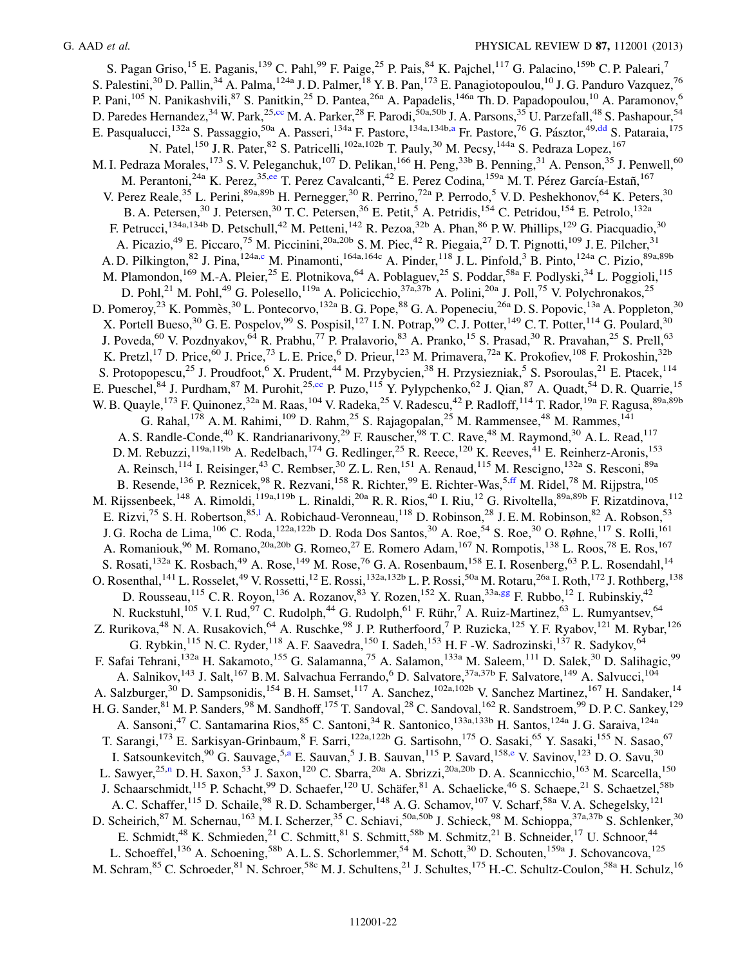<span id="page-21-4"></span><span id="page-21-3"></span><span id="page-21-2"></span><span id="page-21-1"></span><span id="page-21-0"></span>S. Pagan Griso,<sup>15</sup> E. Paganis,<sup>139</sup> C. Pahl,<sup>99</sup> F. Paige,<sup>25</sup> P. Pais,<sup>84</sup> K. Pajchel,<sup>117</sup> G. Palacino,<sup>159b</sup> C. P. Paleari,<sup>7</sup> S. Palestini,<sup>30</sup> D. Pallin,<sup>34</sup> A. Palma,<sup>124a</sup> J. D. Palmer,<sup>18</sup> Y. B. Pan,<sup>173</sup> E. Panagiotopoulou,<sup>10</sup> J. G. Panduro Vazquez,<sup>76</sup> P. Pani,<sup>105</sup> N. Panikashvili,<sup>87</sup> S. Panitkin,<sup>25</sup> D. Pantea,<sup>26a</sup> A. Papadelis,<sup>146a</sup> Th. D. Papadopoulou,<sup>10</sup> A. Paramonov,<sup>6</sup> D. Paredes Hernandez,<sup>34</sup> W. Park,<sup>25[,cc](#page-28-3)</sup> M. A. Parker,<sup>28</sup> F. Parodi,<sup>50a,50b</sup> J. A. Parsons,<sup>35</sup> U. Parzefall,<sup>48</sup> S. Pashapour,<sup>54</sup> E. P[a](#page-27-1)squalucci,<sup>132a</sup> S. Passaggio,<sup>50a</sup> A. Passeri,<sup>134a</sup> F. Pastore,<sup>134a,134b,a</sup> Fr. Pastore,<sup>76</sup> G. Pásztor,<sup>49[,dd](#page-28-4)</sup> S. Pataraia,<sup>175</sup> N. Patel,<sup>150</sup> J. R. Pater,<sup>82</sup> S. Patricelli,<sup>102a,102b</sup> T. Pauly,<sup>30</sup> M. Pecsy,<sup>144a</sup> S. Pedraza Lopez,<sup>167</sup> M. I. Pedraza Morales,<sup>173</sup> S. V. Peleganchuk,<sup>107</sup> D. Pelikan,<sup>166</sup> H. Peng,<sup>33b</sup> B. Penning,<sup>31</sup> A. Penson,<sup>35</sup> J. Penwell,<sup>60</sup> M. Perantoni,<sup>24a</sup> K. Perez,<sup>35,[ee](#page-28-5)</sup> T. Perez Cavalcanti,<sup>42</sup> E. Perez Codina,<sup>159a</sup> M. T. Pérez García-Estañ,<sup>167</sup> V. Perez Reale,<sup>35</sup> L. Perini,<sup>89a,89b</sup> H. Pernegger,<sup>30</sup> R. Perrino,<sup>72a</sup> P. Perrodo,<sup>5</sup> V.D. Peshekhonov,<sup>64</sup> K. Peters,<sup>30</sup> B. A. Petersen,<sup>30</sup> J. Petersen,<sup>30</sup> T. C. Petersen,<sup>36</sup> E. Petit,<sup>5</sup> A. Petridis,<sup>154</sup> C. Petridou,<sup>154</sup> E. Petrolo,<sup>132a</sup> F. Petrucci,<sup>134a,134b</sup> D. Petschull,<sup>42</sup> M. Petteni,<sup>142</sup> R. Pezoa,<sup>32b</sup> A. Phan,<sup>86</sup> P. W. Phillips,<sup>129</sup> G. Piacquadio,<sup>30</sup> A. Picazio,<sup>49</sup> E. Piccaro,<sup>75</sup> M. Piccinini,<sup>20a,20b</sup> S. M. Piec,<sup>42</sup> R. Piegaia,<sup>27</sup> D. T. Pignotti,<sup>109</sup> J. E. Pilcher,<sup>31</sup> A. D. Pilkington,<sup>82</sup> J. Pina,<sup>124a,[c](#page-27-2)</sup> M. Pinamonti,<sup>164a,164c</sup> A. Pinder,<sup>118</sup> J. L. Pinfold,<sup>3</sup> B. Pinto,<sup>124a</sup> C. Pizio,<sup>89a,89b</sup> M. Plamondon,<sup>169</sup> M.-A. Pleier,<sup>25</sup> E. Plotnikova,<sup>64</sup> A. Poblaguev,<sup>25</sup> S. Poddar,<sup>58a</sup> F. Podlyski,<sup>34</sup> L. Poggioli,<sup>115</sup> D. Pohl,<sup>21</sup> M. Pohl,<sup>49</sup> G. Polesello,<sup>119a</sup> A. Policicchio,<sup>37a,37b</sup> A. Polini,<sup>20a</sup> J. Poll,<sup>75</sup> V. Polychronakos,<sup>25</sup> D. Pomeroy,<sup>23</sup> K. Pommès,<sup>30</sup> L. Pontecorvo,<sup>132a</sup> B. G. Pope,<sup>88</sup> G. A. Popeneciu,<sup>26a</sup> D. S. Popovic,<sup>13a</sup> A. Poppleton,<sup>30</sup> X. Portell Bueso,<sup>30</sup> G. E. Pospelov,<sup>99</sup> S. Pospisil,<sup>127</sup> I. N. Potrap,<sup>99</sup> C. J. Potter,<sup>149</sup> C. T. Potter,<sup>114</sup> G. Poulard,<sup>30</sup> J. Poveda,<sup>60</sup> V. Pozdnyakov,<sup>64</sup> R. Prabhu,<sup>77</sup> P. Pralavorio,<sup>83</sup> A. Pranko,<sup>15</sup> S. Prasad,<sup>30</sup> R. Pravahan,<sup>25</sup> S. Prell,<sup>63</sup> K. Pretzl,<sup>17</sup> D. Price,<sup>60</sup> J. Price,<sup>73</sup> L. E. Price,<sup>6</sup> D. Prieur,<sup>123</sup> M. Primavera,<sup>72a</sup> K. Prokofiev,<sup>108</sup> F. Prokoshin,<sup>32b</sup> S. Protopopescu,<sup>25</sup> J. Proudfoot,<sup>6</sup> X. Prudent,<sup>44</sup> M. Przybycien,<sup>38</sup> H. Przysiezniak,<sup>5</sup> S. Psoroulas,<sup>21</sup> E. Ptacek,<sup>114</sup> E. Pueschel,<sup>84</sup> J. Purdham,<sup>87</sup> M. Purohit,<sup>25[,cc](#page-28-3)</sup> P. Puzo,<sup>115</sup> Y. Pylypchenko,<sup>62</sup> J. Qian,<sup>87</sup> A. Quadt,<sup>54</sup> D. R. Quarrie,<sup>15</sup> W. B. Quayle,<sup>173</sup> F. Quinonez,<sup>32a</sup> M. Raas,<sup>104</sup> V. Radeka,<sup>25</sup> V. Radescu,<sup>42</sup> P. Radloff,<sup>114</sup> T. Rador,<sup>19a</sup> F. Ragusa,<sup>89a,89b</sup> G. Rahal, <sup>178</sup> A. M. Rahimi, <sup>109</sup> D. Rahm, <sup>25</sup> S. Rajagopalan, <sup>25</sup> M. Rammensee, <sup>48</sup> M. Rammes, <sup>141</sup> A. S. Randle-Conde,<sup>40</sup> K. Randrianarivony,<sup>29</sup> F. Rauscher,<sup>98</sup> T. C. Rave,<sup>48</sup> M. Raymond,<sup>30</sup> A. L. Read,<sup>117</sup> D. M. Rebuzzi,<sup>119a,119b</sup> A. Redelbach,<sup>174</sup> G. Redlinger,<sup>25</sup> R. Reece,<sup>120</sup> K. Reeves,<sup>41</sup> E. Reinherz-Aronis,<sup>153</sup> A. Reinsch,<sup>114</sup> I. Reisinger,<sup>43</sup> C. Rembser,<sup>30</sup> Z. L. Ren,<sup>151</sup> A. Renaud,<sup>115</sup> M. Rescigno,<sup>132a</sup> S. Resconi,<sup>89a</sup> B. Resende, <sup>136</sup> P. Reznicek, <sup>98</sup> R. Rezvani, <sup>158</sup> R. Richter, <sup>99</sup> E. Richter-Was, <sup>5, ff</sup> M. Ridel, <sup>78</sup> M. Rijpstra, <sup>105</sup> M. Rijssenbeek,<sup>148</sup> A. Rimoldi,<sup>119a,119b</sup> L. Rinaldi,<sup>20a</sup> R. R. Rios,<sup>40</sup> I. Riu,<sup>12</sup> G. Rivoltella,<sup>89a,89b</sup> F. Rizatdinova,<sup>112</sup> E. Rizvi,<sup>75</sup> S. H. Robertson,<sup>85,1</sup> A. Robichaud-Veronneau,<sup>118</sup> D. Robinson,<sup>28</sup> J. E. M. Robinson,<sup>82</sup> A. Robson,<sup>53</sup> J. G. Rocha de Lima, <sup>106</sup> C. Roda,<sup>122a,122b</sup> D. Roda Dos Santos,<sup>30</sup> A. Roe,<sup>54</sup> S. Roe,<sup>30</sup> O. Røhne,<sup>117</sup> S. Rolli,<sup>161</sup> A. Romaniouk,<sup>96</sup> M. Romano,<sup>20a,20b</sup> G. Romeo,<sup>27</sup> E. Romero Adam,<sup>167</sup> N. Rompotis,<sup>138</sup> L. Roos,<sup>78</sup> E. Ros,<sup>167</sup> S. Rosati,<sup>132a</sup> K. Rosbach,<sup>49</sup> A. Rose,<sup>149</sup> M. Rose,<sup>76</sup> G. A. Rosenbaum,<sup>158</sup> E. I. Rosenberg,<sup>63</sup> P. L. Rosendahl,<sup>14</sup> O. Rosenthal,  $^{141}$  L. Rosselet,  $^{49}$  V. Rossetti,  $^{12}$  E. Rossi,  $^{132a,132b}$  L. P. Rossi, $^{50a}$  M. Rotaru, $^{26a}$  I. Roth, $^{172}$  J. Rothberg,  $^{138}$ D. Rousseau,<sup>115</sup> C. R. Royon,<sup>136</sup> A. Rozanov,<sup>83</sup> Y. Rozen,<sup>152</sup> X. Ruan,<sup>33a,[gg](#page-28-7)</sup> F. Rubbo,<sup>12</sup> I. Rubinskiy,<sup>42</sup> N. Ruckstuhl,<sup>105</sup> V. I. Rud,<sup>97</sup> C. Rudolph,<sup>44</sup> G. Rudolph,<sup>61</sup> F. Rühr,<sup>7</sup> A. Ruiz-Martinez,<sup>63</sup> L. Rumyantsev,<sup>64</sup> Z. Rurikova,<sup>48</sup> N. A. Rusakovich,<sup>64</sup> A. Ruschke,<sup>98</sup> J. P. Rutherfoord,<sup>7</sup> P. Ruzicka,<sup>125</sup> Y. F. Ryabov,<sup>121</sup> M. Rybar,<sup>126</sup> G. Rybkin,  $^{115}$  N. C. Ryder,  $^{118}$  A. F. Saavedra,  $^{150}$  I. Sadeh,  $^{153}$  H. F -W. Sadrozinski,  $^{137}$  R. Sadykov,  $^{64}$ F. Safai Tehrani,<sup>132a</sup> H. Sakamoto,<sup>155</sup> G. Salamanna,<sup>75</sup> A. Salamon,<sup>133a</sup> M. Saleem,<sup>111</sup> D. Salek,<sup>30</sup> D. Salihagic,<sup>99</sup> A. Salnikov,<sup>143</sup> J. Salt,<sup>167</sup> B. M. Salvachua Ferrando,<sup>6</sup> D. Salvatore,<sup>37a,37b</sup> F. Salvatore,<sup>149</sup> A. Salvucci,<sup>104</sup> A. Salzburger,<sup>30</sup> D. Sampsonidis,<sup>154</sup> B. H. Samset,<sup>117</sup> A. Sanchez,<sup>102a,102b</sup> V. Sanchez Martinez,<sup>167</sup> H. Sandaker,<sup>14</sup> H. G. Sander, <sup>81</sup> M. P. Sanders, <sup>98</sup> M. Sandhoff, <sup>175</sup> T. Sandoval, <sup>28</sup> C. Sandoval, <sup>162</sup> R. Sandstroem, <sup>99</sup> D. P. C. Sankey, <sup>129</sup> A. Sansoni,<sup>47</sup> C. Santamarina Rios,<sup>85</sup> C. Santoni,<sup>34</sup> R. Santonico,<sup>133a,133b</sup> H. Santos,<sup>124a</sup> J. G. Saraiva,<sup>124a</sup> T. Sarangi,<sup>173</sup> E. Sarkisyan-Grinbaum, <sup>8</sup> F. Sarri,<sup>122a,122b</sup> G. Sartisohn,<sup>175</sup> O. Sasaki,<sup>65</sup> Y. Sasaki,<sup>155</sup> N. Sasao,<sup>67</sup> I. Satsounkevitch,<sup>90</sup> G. Sauvage,<sup>5[,a](#page-27-1)</sup> E. Sauvan,<sup>5</sup> J. B. Sauvan,<sup>115</sup> P. Savard,<sup>158[,e](#page-27-4)</sup> V. Savinov,<sup>123</sup> D. O. Savu,<sup>30</sup> L. Sawyer,<sup>25[,n](#page-27-13)</sup> D. H. Saxon,<sup>53</sup> J. Saxon,<sup>120</sup> C. Sbarra,<sup>20a</sup> A. Sbrizzi,<sup>20a,20b</sup> D. A. Scannicchio,<sup>163</sup> M. Scarcella,<sup>150</sup> J. Schaarschmidt,<sup>115</sup> P. Schacht,<sup>99</sup> D. Schaefer,<sup>120</sup> U. Schäfer,<sup>81</sup> A. Schaelicke,<sup>46</sup> S. Schaepe,<sup>21</sup> S. Schaetzel,<sup>58b</sup> A. C. Schaffer,<sup>115</sup> D. Schaile,<sup>98</sup> R. D. Schamberger,<sup>148</sup> A. G. Schamov,<sup>107</sup> V. Scharf,<sup>58a</sup> V. A. Schegelsky,<sup>121</sup> D. Scheirich,<sup>87</sup> M. Schernau,<sup>163</sup> M. I. Scherzer,<sup>35</sup> C. Schiavi,<sup>50a,50b</sup> J. Schieck,<sup>98</sup> M. Schioppa,<sup>37a,37b</sup> S. Schlenker,<sup>30</sup> E. Schmidt,<sup>48</sup> K. Schmieden,<sup>21</sup> C. Schmitt,<sup>81</sup> S. Schmitt,<sup>58b</sup> M. Schmitz,<sup>21</sup> B. Schneider,<sup>17</sup> U. Schnoor,<sup>44</sup> L. Schoeffel,<sup>136</sup> A. Schoening,<sup>58b</sup> A. L. S. Schorlemmer,<sup>54</sup> M. Schott,<sup>30</sup> D. Schouten,<sup>159a</sup> J. Schovancova,<sup>125</sup> M. Schram, <sup>85</sup> C. Schroeder, <sup>81</sup> N. Schroer, <sup>58c</sup> M. J. Schultens, <sup>21</sup> J. Schultes, <sup>175</sup> H.-C. Schultz-Coulon, <sup>58a</sup> H. Schulz, <sup>16</sup>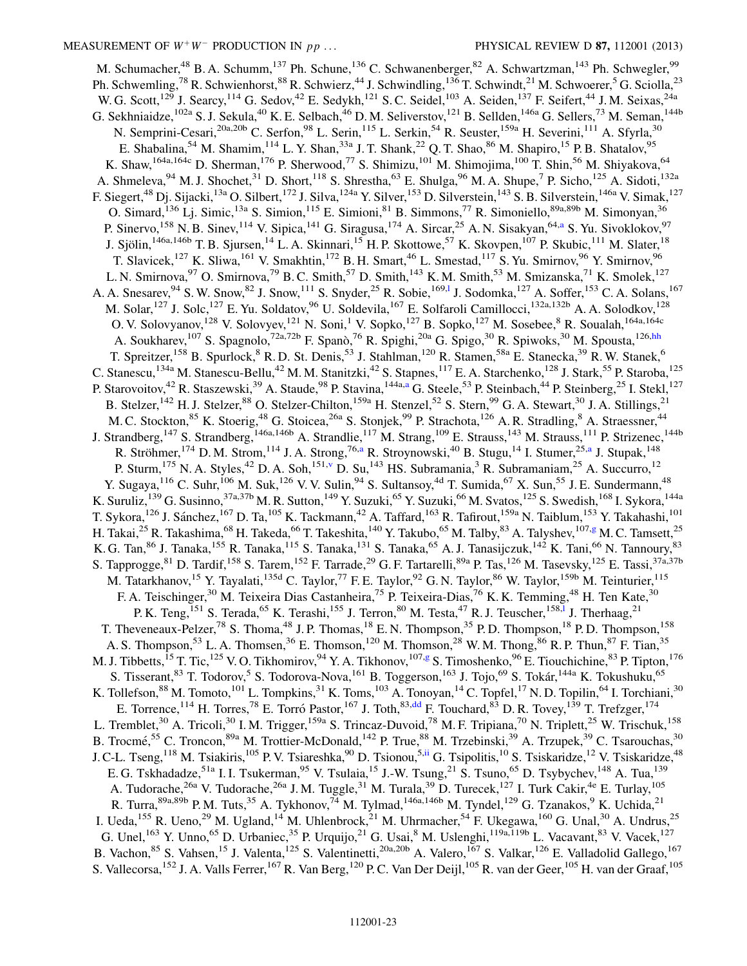<span id="page-22-1"></span><span id="page-22-0"></span>M. Schumacher,<sup>48</sup> B. A. Schumm,<sup>137</sup> Ph. Schune,<sup>136</sup> C. Schwanenberger,<sup>82</sup> A. Schwartzman,<sup>143</sup> Ph. Schwegler,<sup>99</sup> Ph. Schwemling,<sup>78</sup> R. Schwienhorst,<sup>88</sup> R. Schwierz,<sup>44</sup> J. Schwindling,<sup>136</sup> T. Schwindt,<sup>21</sup> M. Schwoerer,<sup>5</sup> G. Sciolla,<sup>23</sup> W. G. Scott,<sup>129</sup> J. Searcy,<sup>114</sup> G. Sedov,<sup>42</sup> E. Sedykh,<sup>121</sup> S. C. Seidel,<sup>103</sup> A. Seiden,<sup>137</sup> F. Seifert,<sup>44</sup> J. M. Seixas,<sup>24a</sup> G. Sekhniaidze,<sup>102a</sup> S. J. Sekula,<sup>40</sup> K. E. Selbach,<sup>46</sup> D. M. Seliverstov,<sup>121</sup> B. Sellden,<sup>146a</sup> G. Sellers,<sup>73</sup> M. Seman,<sup>144b</sup> N. Semprini-Cesari,<sup>20a,20b</sup> C. Serfon,<sup>98</sup> L. Serin,<sup>115</sup> L. Serkin,<sup>54</sup> R. Seuster,<sup>159a</sup> H. Severini,<sup>111</sup> A. Sfyrla,<sup>30</sup> E. Shabalina,<sup>54</sup> M. Shamim,<sup>114</sup> L. Y. Shan,<sup>33a</sup> J. T. Shank,<sup>22</sup> Q. T. Shao,<sup>86</sup> M. Shapiro,<sup>15</sup> P. B. Shatalov,<sup>95</sup> K. Shaw,<sup>164a,164c</sup> D. Sherman,<sup>176</sup> P. Sherwood,<sup>77</sup> S. Shimizu,<sup>101</sup> M. Shimojima,<sup>100</sup> T. Shin,<sup>56</sup> M. Shiyakova,<sup>64</sup> A. Shmeleva, <sup>94</sup> M. J. Shochet, <sup>31</sup> D. Short, <sup>118</sup> S. Shrestha, <sup>63</sup> E. Shulga, <sup>96</sup> M. A. Shupe, <sup>7</sup> P. Sicho, <sup>125</sup> A. Sidoti, <sup>132a</sup> F. Siegert,<sup>48</sup> Dj. Sijacki,<sup>13a</sup> O. Silbert,<sup>172</sup> J. Silva,<sup>124a</sup> Y. Silver,<sup>153</sup> D. Silverstein,<sup>143</sup> S. B. Silverstein,<sup>146a</sup> V. Simak,<sup>127</sup> O. Simard,<sup>136</sup> Lj. Simic,<sup>13a</sup> S. Simion,<sup>115</sup> E. Simioni,<sup>81</sup> B. Simmons,<sup>77</sup> R. Simoniello,<sup>89a,89b</sup> M. Simonyan,<sup>36</sup> P. Sinervo,<sup>158</sup> N. B. Sinev,<sup>114</sup> V. Sipic[a](#page-27-1),<sup>141</sup> G. Siragusa,<sup>174</sup> A. Sircar,<sup>25</sup> A. N. Sisakyan,<sup>64,a</sup> S. Yu. Sivoklokov,<sup>97</sup> J. Sjölin,<sup>146a,146b</sup> T. B. Sjursen,<sup>14</sup> L. A. Skinnari,<sup>15</sup> H. P. Skottowe,<sup>57</sup> K. Skovpen,<sup>107</sup> P. Skubic,<sup>111</sup> M. Slater,<sup>18</sup> T. Slavicek,<sup>127</sup> K. Sliwa,<sup>161</sup> V. Smakhtin,<sup>172</sup> B. H. Smart,<sup>46</sup> L. Smestad,<sup>117</sup> S. Yu. Smirnov,<sup>96</sup> Y. Smirnov,<sup>96</sup> L. N. Smirnova,  $97$  O. Smirnova,  $79$  B. C. Smith,  $57$  D. Smith,  $143$  K. M. Smith,  $53$  M. Smizanska,  $71$  K. Smolek,  $127$ A. A. Snesarev, <sup>94</sup> S. W. Snow, <sup>82</sup> J. Snow, <sup>111</sup> S. Snyder, <sup>25</sup> R. Sobie, <sup>169,1</sup> J. Sodomka, <sup>127</sup> A. Soffer, <sup>153</sup> C. A. So[l](#page-27-11)ans, <sup>167</sup> M. Solar,<sup>127</sup> J. Solc,<sup>127</sup> E. Yu. Soldatov,<sup>96</sup> U. Soldevila,<sup>167</sup> E. Solfaroli Camillocci,<sup>132a,132b</sup> A. A. Solodkov,<sup>128</sup> O. V. Solovyanov,<sup>128</sup> V. Solovyev,<sup>121</sup> N. Soni,<sup>1</sup> V. Sopko,<sup>127</sup> B. Sopko,<sup>127</sup> M. Sosebee,<sup>8</sup> R. Soualah,<sup>164a,164c</sup> A. Soukharev, <sup>107</sup> S. Spagnolo, <sup>72a, 72b</sup> F. Spanò, <sup>76</sup> R. Spighi, <sup>20a</sup> G. Spigo, <sup>30</sup> R. Spiwoks, <sup>30</sup> M. Spousta, <sup>126, hh</sup> T. Spreitzer,<sup>158</sup> B. Spurlock,<sup>8</sup> R. D. St. Denis,<sup>53</sup> J. Stahlman,<sup>120</sup> R. Stamen,<sup>58a</sup> E. Stanecka,<sup>39</sup> R. W. Stanek,<sup>6</sup> C. Stanescu,<sup>134a</sup> M. Stanescu-Bellu,<sup>42</sup> M. M. Stanitzki,<sup>42</sup> S. Stapnes,<sup>117</sup> E. A. Starchenko,<sup>128</sup> J. Stark,<sup>55</sup> P. Staroba,<sup>125</sup> P. Starovoitov,<sup>42</sup> R. Staszewski,<sup>39</sup> A. Staude,<sup>98</sup> P. Stavina,<sup>144a[,a](#page-27-1)</sup> G. Steele,<sup>53</sup> P. Steinbach,<sup>44</sup> P. Steinberg,<sup>25</sup> I. Stekl,<sup>127</sup> B. Stelzer,<sup>142</sup> H. J. Stelzer,<sup>88</sup> O. Stelzer-Chilton,<sup>159a</sup> H. Stenzel,<sup>52</sup> S. Stern,<sup>99</sup> G. A. Stewart,<sup>30</sup> J. A. Stillings,<sup>21</sup> M. C. Stockton, <sup>85</sup> K. Stoerig, <sup>48</sup> G. Stoicea, <sup>26a</sup> S. Stonjek, <sup>99</sup> P. Strachota, <sup>126</sup> A. R. Stradling, <sup>8</sup> A. Straessner, <sup>44</sup> J. Strandberg,<sup>147</sup> S. Strandberg,<sup>146a,146b</sup> A. Strandlie,<sup>117</sup> M. Strang,<sup>109</sup> E. Strauss,<sup>143</sup> M. Strauss,<sup>111</sup> P. Strizenec,<sup>144b</sup> R. Ströhmer,<sup>174</sup> D. M. Strom,<sup>114</sup> J. A. Strong,<sup>76,[a](#page-27-1)</sup> R. Stroynowski,<sup>40</sup> B. Stugu,<sup>14</sup> I. Stumer,<sup>25,a</sup> J. Stupak,<sup>148</sup> P. Sturm,<sup>175</sup> N. A. Styles,<sup>42</sup> D. A. Soh,<sup>151[,v](#page-27-21)</sup> D. Su,<sup>143</sup> HS. Subramania,<sup>3</sup> R. Subramaniam,<sup>25</sup> A. Succurro,<sup>12</sup> Y. Sugaya,  $^{116}$  C. Suhr,  $^{106}$  M. Suk,  $^{126}$  V. V. Sulin,  $^{94}$  S. Sultansoy,  $^{4d}$  T. Sumida,  $^{67}$  X. Sun,  $^{55}$  J. E. Sundermann,  $^{48}$ K. Suruliz,<sup>139</sup> G. Susinno,<sup>37a,37b</sup> M. R. Sutton,<sup>149</sup> Y. Suzuki,<sup>65</sup> Y. Suzuki,<sup>66</sup> M. Svatos,<sup>125</sup> S. Swedish,<sup>168</sup> I. Sykora,<sup>144a</sup> T. Sykora,<sup>126</sup> J. Sánchez,<sup>167</sup> D. Ta,<sup>105</sup> K. Tackmann,<sup>42</sup> A. Taffard,<sup>163</sup> R. Tafirout,<sup>159a</sup> N. Taiblum,<sup>153</sup> Y. Takahashi,<sup>101</sup> H. Takai,<sup>25</sup> R. Takashima,<sup>68</sup> H. Takeda,<sup>66</sup> T. Takeshita,<sup>140</sup> Y. Takubo,<sup>65</sup> M. Talby,<sup>83</sup> A. Talyshev,<sup>107[,g](#page-27-6)</sup> M. C. Tamsett,<sup>25</sup> K. G. Tan,<sup>86</sup> J. Tanaka,<sup>155</sup> R. Tanaka,<sup>115</sup> S. Tanaka,<sup>131</sup> S. Tanaka,<sup>65</sup> A. J. Tanasijczuk,<sup>142</sup> K. Tani,<sup>66</sup> N. Tannoury,<sup>83</sup> S. Tapprogge, <sup>81</sup> D. Tardif,<sup>158</sup> S. Tarem,<sup>152</sup> F. Tarrade,<sup>29</sup> G. F. Tartarelli,<sup>89a</sup> P. Tas,<sup>126</sup> M. Tasevsky,<sup>125</sup> E. Tassi,<sup>37a,37b</sup> M. Tatarkhanov,<sup>15</sup> Y. Tayalati,<sup>135d</sup> C. Taylor,<sup>77</sup> F.E. Taylor,<sup>92</sup> G. N. Taylor,<sup>86</sup> W. Taylor,<sup>159b</sup> M. Teinturier,<sup>115</sup> F. A. Teischinger,<sup>30</sup> M. Teixeira Dias Castanheira,<sup>75</sup> P. Teixeira-Dias,<sup>76</sup> K. K. Temming,<sup>48</sup> H. Ten Kate,<sup>30</sup> P. K. Teng,<sup>151</sup> S. Terada,<sup>65</sup> K. Terashi,<sup>155</sup> J. Terron,<sup>80</sup> M. Testa,<sup>47</sup> R. J. Teuscher,<sup>158,1</sup> J. Therhaag,<sup>21</sup> T. Theveneaux-Pelzer,<sup>78</sup> S. Thoma,<sup>48</sup> J. P. Thomas,<sup>18</sup> E. N. Thompson,<sup>35</sup> P. D. Thompson,<sup>18</sup> P. D. Thompson,<sup>158</sup> A. S. Thompson,<sup>53</sup> L. A. Thomsen,<sup>36</sup> E. Thomson,<sup>120</sup> M. Thomson,<sup>28</sup> W. M. Thong,<sup>86</sup> R. P. Thun,<sup>87</sup> F. Tian,<sup>35</sup> M. J. Tibbetts,<sup>15</sup> T. Tic,<sup>125</sup> V. O. Tikhomirov,<sup>94</sup> Y. A. Tikhonov,<sup>107,[g](#page-27-6)</sup> S. Timoshenko,<sup>96</sup> E. Tiouchichine,<sup>83</sup> P. Tipton,<sup>176</sup> S. Tisserant, <sup>83</sup> T. Todorov, <sup>5</sup> S. Todorova-Nova, <sup>161</sup> B. Toggerson, <sup>163</sup> J. Tojo, <sup>69</sup> S. Tokár, <sup>144a</sup> K. Tokushuku, <sup>65</sup> K. Tollefson,  $88$  M. Tomoto,  $101$  L. Tompkins,  $31$  K. Toms,  $103$  A. Tonoyan,  $14$  C. Topfel,  $17$  N. D. Topilin,  $64$  I. Torchiani,  $30$ E. Torrence,<sup>114</sup> H. Torres,<sup>78</sup> E. Torró Pastor,<sup>167</sup> J. Toth,<sup>83,[dd](#page-28-4)</sup> F. Touchard,<sup>83</sup> D. R. Tovey,<sup>139</sup> T. Trefzger,<sup>174</sup> L. Tremblet,<sup>30</sup> A. Tricoli,<sup>30</sup> I. M. Trigger,<sup>159a</sup> S. Trincaz-Duvoid,<sup>78</sup> M. F. Tripiana,<sup>70</sup> N. Triplett,<sup>25</sup> W. Trischuk,<sup>158</sup> B. Trocmé,<sup>55</sup> C. Troncon,<sup>89a</sup> M. Trottier-McDonald,<sup>142</sup> P. True,<sup>88</sup> M. Trzebinski,<sup>39</sup> A. Trzupek,<sup>39</sup> C. Tsarouchas,<sup>30</sup> J. C-L. Tseng,<sup>118</sup> M. Tsiakiris,<sup>105</sup> P. V. Tsiareshka,<sup>90</sup> D. Tsionou,<sup>5,[ii](#page-28-9)</sup> G. Tsipolitis,<sup>10</sup> S. Tsiskaridze,<sup>12</sup> V. Tsiskaridze,<sup>48</sup> E. G. Tskhadadze,<sup>51a</sup> I. I. Tsukerman,<sup>95</sup> V. Tsulaia,<sup>15</sup> J.-W. Tsung,<sup>21</sup> S. Tsuno,<sup>65</sup> D. Tsybychev,<sup>148</sup> A. Tua,<sup>139</sup> A. Tudorache,<sup>26a</sup> V. Tudorache,<sup>26a</sup> J. M. Tuggle,<sup>31</sup> M. Turala,<sup>39</sup> D. Turecek,<sup>127</sup> I. Turk Cakir,<sup>4e</sup> E. Turlay,<sup>105</sup> R. Turra,  $89a,89b$  P. M. Tuts,  $35$  A. Tykhonov,  $74$  M. Tylmad,  $146a,146b$  M. Tyndel,  $129$  G. Tzanakos,  $9$  K. Uchida,  $21$ I. Ueda,<sup>155</sup> R. Ueno,<sup>29</sup> M. Ugland,<sup>14</sup> M. Uhlenbrock,<sup>21</sup> M. Uhrmacher,<sup>54</sup> F. Ukegawa,<sup>160</sup> G. Unal,<sup>30</sup> A. Undrus,<sup>25</sup> G. Unel,<sup>163</sup> Y. Unno,<sup>65</sup> D. Urbaniec,<sup>35</sup> P. Urquijo,<sup>21</sup> G. Usai,<sup>8</sup> M. Uslenghi,<sup>119a,119b</sup> L. Vacavant,<sup>83</sup> V. Vacek,<sup>127</sup> B. Vachon,  $85$  S. Vahsen, <sup>15</sup> J. Valenta, <sup>125</sup> S. Valentinetti, <sup>20a, 20b</sup> A. Valero, <sup>167</sup> S. Valkar, <sup>126</sup> E. Valladolid Gallego, <sup>167</sup> S. Vallecorsa,<sup>152</sup> J. A. Valls Ferrer,<sup>167</sup> R. Van Berg,<sup>120</sup> P. C. Van Der Deijl,<sup>105</sup> R. van der Geer,<sup>105</sup> H. van der Graaf,<sup>105</sup>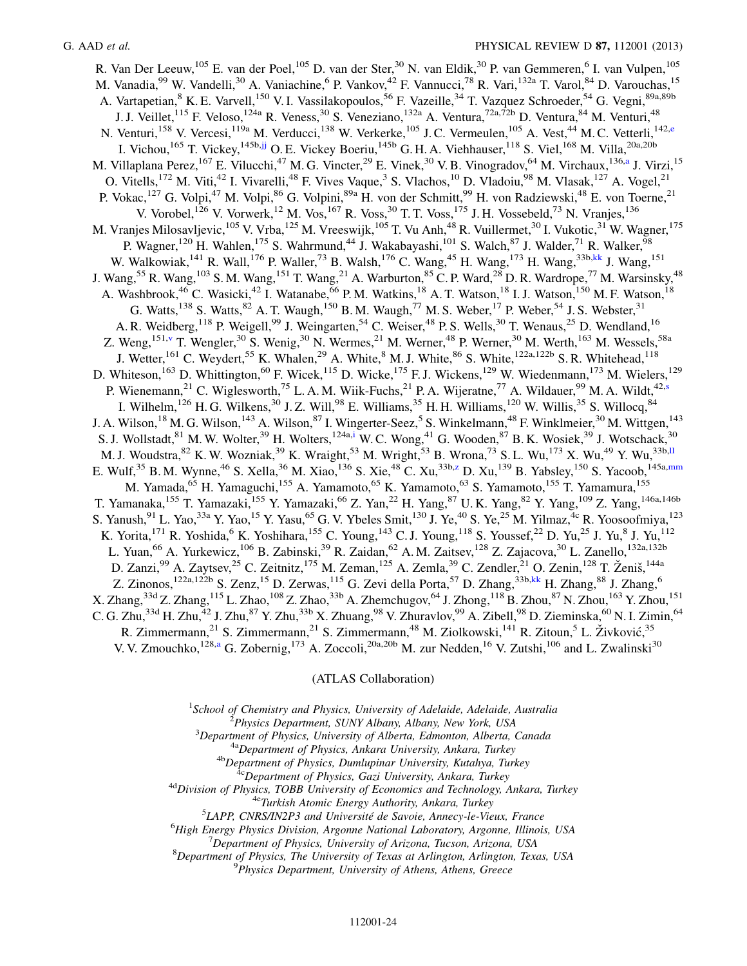<span id="page-23-0"></span>R. Van Der Leeuw,<sup>105</sup> E. van der Poel,<sup>105</sup> D. van der Ster,<sup>30</sup> N. van Eldik,<sup>30</sup> P. van Gemmeren,<sup>6</sup> I. van Vulpen,<sup>105</sup> M. Vanadia, <sup>99</sup> W. Vandelli, <sup>30</sup> A. Vaniachine, <sup>6</sup> P. Vankov, <sup>42</sup> F. Vannucci, <sup>78</sup> R. Vari, <sup>132a</sup> T. Varol, <sup>84</sup> D. Varouchas, <sup>15</sup> A. Vartapetian,<sup>8</sup> K. E. Varvell,<sup>150</sup> V. I. Vassilakopoulos,<sup>56</sup> F. Vazeille,<sup>34</sup> T. Vazquez Schroeder,<sup>54</sup> G. Vegni,<sup>89a,89b</sup> J. J. Veillet,<sup>115</sup> F. Veloso,<sup>124a</sup> R. Veness,<sup>30</sup> S. Veneziano,<sup>132a</sup> A. Ventura,<sup>72a,72b</sup> D. Ventura,<sup>84</sup> M. Venturi,<sup>48</sup> N. V[e](#page-27-4)nturi,<sup>158</sup> V. Vercesi,<sup>119a</sup> M. Verducci,<sup>138</sup> W. Verkerke,<sup>105</sup> J.C. Vermeulen,<sup>105</sup> A. Vest,<sup>44</sup> M.C. Vetterli,<sup>142,e</sup> I. Vichou,<sup>165</sup> T. Vickey,<sup>145b[,jj](#page-28-10)</sup> O. E. Vickey Boeriu,<sup>145b</sup> G. H. A. Viehhauser,<sup>118</sup> S. Viel,<sup>168</sup> M. Villa,<sup>20a,20b</sup> M. Vill[a](#page-27-1)plana Perez, <sup>167</sup> E. Vilucchi, <sup>47</sup> M. G. Vincter, <sup>29</sup> E. Vinek, <sup>30</sup> V. B. Vinogradov, <sup>64</sup> M. Virchaux, <sup>136,a</sup> J. Virzi, <sup>15</sup> O. Vitells,<sup>172</sup> M. Viti,<sup>42</sup> I. Vivarelli,<sup>48</sup> F. Vives Vaque,<sup>3</sup> S. Vlachos,<sup>10</sup> D. Vladoiu,<sup>98</sup> M. Vlasak,<sup>127</sup> A. Vogel,<sup>21</sup> P. Vokac,<sup>127</sup> G. Volpi,<sup>47</sup> M. Volpi,<sup>86</sup> G. Volpini,<sup>89a</sup> H. von der Schmitt,<sup>99</sup> H. von Radziewski,<sup>48</sup> E. von Toerne,<sup>21</sup> V. Vorobel,<sup>126</sup> V. Vorwerk,<sup>12</sup> M. Vos,<sup>167</sup> R. Voss,<sup>30</sup> T. T. Voss,<sup>175</sup> J. H. Vossebeld,<sup>73</sup> N. Vranjes,<sup>136</sup> M. Vranjes Milosavljevic,<sup>105</sup> V. Vrba,<sup>125</sup> M. Vreeswijk,<sup>105</sup> T. Vu Anh,<sup>48</sup> R. Vuillermet,<sup>30</sup> I. Vukotic,<sup>31</sup> W. Wagner,<sup>175</sup> P. Wagner,<sup>120</sup> H. Wahlen,<sup>175</sup> S. Wahrmund,<sup>44</sup> J. Wakabayashi,<sup>101</sup> S. Walch,<sup>87</sup> J. Walder,<sup>71</sup> R. Walker,<sup>98</sup> W. Walkowiak,<sup>141</sup> R. Wall,<sup>176</sup> P. Waller,<sup>73</sup> B. Walsh,<sup>176</sup> C. Wang,<sup>45</sup> H. Wang,<sup>173</sup> H. Wang,<sup>33b[,kk](#page-28-11)</sup> J. Wang,<sup>151</sup> J. Wang,<sup>55</sup> R. Wang,<sup>103</sup> S. M. Wang,<sup>151</sup> T. Wang,<sup>21</sup> A. Warburton,<sup>85</sup> C. P. Ward,<sup>28</sup> D. R. Wardrope,<sup>77</sup> M. Warsinsky,<sup>48</sup> A. Washbrook,<sup>46</sup> C. Wasicki,<sup>42</sup> I. Watanabe,<sup>66</sup> P. M. Watkins,<sup>18</sup> A. T. Watson,<sup>18</sup> I. J. Watson,<sup>150</sup> M. F. Watson,<sup>18</sup> G. Watts,<sup>138</sup> S. Watts,<sup>82</sup> A. T. Waugh,<sup>150</sup> B. M. Waugh,<sup>77</sup> M. S. Weber,<sup>17</sup> P. Weber,<sup>54</sup> J. S. Webster,<sup>31</sup> A. R. Weidberg,<sup>118</sup> P. Weigell,<sup>99</sup> J. Weingarten,<sup>54</sup> C. Weiser,<sup>48</sup> P. S. Wells,<sup>30</sup> T. Wenaus,<sup>25</sup> D. Wendland,<sup>16</sup> Z. Weng,<sup>151,[v](#page-27-21)</sup> T. Wengler,<sup>30</sup> S. Wenig,<sup>30</sup> N. Wermes,<sup>21</sup> M. Werner,<sup>48</sup> P. Werner,<sup>30</sup> M. Werth,<sup>163</sup> M. Wessels,<sup>58a</sup> J. Wetter,<sup>161</sup> C. Weydert,<sup>55</sup> K. Whalen,<sup>29</sup> A. White,<sup>8</sup> M. J. White,<sup>86</sup> S. White,<sup>122a,122b</sup> S. R. Whitehead,<sup>118</sup> D. Whiteson,<sup>163</sup> D. Whittington,<sup>60</sup> F. Wicek,<sup>115</sup> D. Wicke,<sup>175</sup> F. J. Wickens,<sup>129</sup> W. Wiedenmann,<sup>173</sup> M. Wielers,<sup>129</sup> P. Wienemann,<[s](#page-27-18)up>21</sup> C. Wiglesworth,<sup>75</sup> L. A. M. Wiik-Fuchs,<sup>21</sup> P. A. Wijeratne,<sup>77</sup> A. Wildauer,<sup>99</sup> M. A. Wildt,<sup>42,s</sup> I. Wilhelm,<sup>126</sup> H. G. Wilkens,<sup>30</sup> J. Z. Will,<sup>98</sup> E. Williams,<sup>35</sup> H. H. Williams,<sup>120</sup> W. Willis,<sup>35</sup> S. Willocq,<sup>84</sup> J. A. Wilson,<sup>18</sup> M. G. Wilson,<sup>143</sup> A. Wilson,<sup>87</sup> I. Wingerter-Seez,<sup>5</sup> S. Winkelmann,<sup>48</sup> F. Winklmeier,<sup>30</sup> M. Wittgen,<sup>143</sup> S. J. Wollstadt, <sup>81</sup> M. W. Wolter, <sup>39</sup> H. Wolters, <sup>124a[,i](#page-27-8)</sup> W. C. Wong, <sup>41</sup> G. Wooden, <sup>87</sup> B. K. Wosiek, <sup>39</sup> J. Wotschack, <sup>30</sup> M. J. Woudstra,  $82$  K. W. Wozniak,  $39$  K. Wraight,  $53$  M. Wright,  $53$  B. Wrona,  $73$  S. L. Wu,  $173$  X. Wu,  $49$  Y. Wu,  $33b,11$ E. Wulf,<sup>35</sup> B. M. Wynne,<sup>46</sup> S. Xella,<sup>36</sup> M. Xiao,<sup>136</sup> S. Xie,<sup>48</sup> C. Xu,<sup>33b,[z](#page-28-0)</sup> D. Xu,<sup>139</sup> B. Yabsley,<sup>150</sup> S. Yacoob,<sup>145a,[mm](#page-28-13)</sup> M. Yamada,<sup>65</sup> H. Yamaguchi,<sup>155</sup> A. Yamamoto,<sup>65</sup> K. Yamamoto,<sup>63</sup> S. Yamamoto,<sup>155</sup> T. Yamamura,<sup>155</sup> T. Yamanaka,<sup>155</sup> T. Yamazaki,<sup>155</sup> Y. Yamazaki,<sup>66</sup> Z. Yan,<sup>22</sup> H. Yang,<sup>87</sup> U.K. Yang,<sup>82</sup> Y. Yang,<sup>109</sup> Z. Yang,<sup>146a,146b</sup> S. Yanush, <sup>91</sup> L. Yao, <sup>33a</sup> Y. Yao, <sup>15</sup> Y. Yasu, <sup>65</sup> G. V. Ybeles Smit, <sup>130</sup> J. Ye, <sup>40</sup> S. Ye, <sup>25</sup> M. Yilmaz, <sup>4c</sup> R. Yoosoofmiya, <sup>123</sup> K. Yorita,<sup>171</sup> R. Yoshida,<sup>6</sup> K. Yoshihara,<sup>155</sup> C. Young,<sup>143</sup> C.J. Young,<sup>118</sup> S. Youssef,<sup>22</sup> D. Yu,<sup>25</sup> J. Yu,<sup>8</sup> J. Yu,<sup>112</sup> L. Yuan,<sup>66</sup> A. Yurkewicz,<sup>106</sup> B. Zabinski,<sup>39</sup> R. Zaidan,<sup>62</sup> A. M. Zaitsev,<sup>128</sup> Z. Zajacova,<sup>30</sup> L. Zanello,<sup>132a,132b</sup> D. Zanzi,<sup>99</sup> A. Zaytsev,<sup>25</sup> C. Zeitnitz,<sup>175</sup> M. Zeman,<sup>125</sup> A. Zemla,<sup>39</sup> C. Zendler,<sup>21</sup> O. Zenin,<sup>128</sup> T. Ženiš,<sup>144a</sup> Z. Zinonos,<sup>122a,122b</sup> S. Zenz,<sup>15</sup> D. Zerwas,<sup>115</sup> G. Zevi della Porta,<sup>57</sup> D. Zhang,<sup>33b,[kk](#page-28-11)</sup> H. Zhang,<sup>88</sup> J. Zhang,<sup>6</sup> X. Zhang,  $33d$  Z. Zhang,  $115$  L. Zhao,  $108$  Z. Zhao,  $33b$  A. Zhemchugov,  $64$  J. Zhong,  $118$  B. Zhou,  $87$  N. Zhou,  $163$  Y. Zhou,  $151$ C. G. Zhu, $^{33d}$  H. Zhu, $^{42}$  J. Zhu, $^{87}$  Y. Zhu, $^{33b}$  X. Zhuang, $^{98}$  V. Zhuravlov, $^{99}$  A. Zibell, $^{98}$  D. Zieminska, $^{60}$  N. I. Zimin, $^{64}$ R. Zimmermann,<sup>21</sup> S. Zimmermann,<sup>21</sup> S. Zimmermann,<sup>48</sup> M. Ziolkowski,<sup>141</sup> R. Zitoun,<sup>5</sup> L. Živković,<sup>35</sup> V. V. Zmouchko,<sup>128,[a](#page-27-1)</sup> G. Zobernig,<sup>173</sup> A. Zoccoli,<sup>20a,20b</sup> M. zur Nedden,<sup>16</sup> V. Zutshi,<sup>106</sup> and L. Zwalinski<sup>30</sup>

#### (ATLAS Collaboration)

<span id="page-23-3"></span><span id="page-23-2"></span><span id="page-23-1"></span><sup>1</sup>School of Chemistry and Physics, University of Adelaide, Adelaide, Australia<br> $\frac{2 \text{ 2 \text{ 2 \text{ 2}}}{2}$ 

<sup>2</sup>Physics Department, SUNY Albany, Albany, New York, USA<br><sup>3</sup>Department of Physics, University of Alberta, Edmonton, Alberta, Canada

<sup>4a</sup>Department of Physics, Ankara University, Ankara, Turkey<br><sup>4b</sup>Department of Physics, Dumlupinar University, Kutahya, Turkey<br><sup>4c</sup>Department of Physics, Gazi University, Ankara, Turkey<br><sup>4d</sup>Division of Physics, TOBB Unive

 ${}^{5}$ LAPP, CNRS/IN2P3 and Université de Savoie, Annecy-le-Vieux, France

<sup>6</sup>High Energy Physics Division, Argonne National Laboratory, Argonne, Illinois, USA

 $17$ Department of Physics, University of Arizona, Tucson, Arizona, USA

 ${}^{8}$ Department of Physics, The University of Texas at Arlington, Arlington, Texas, USA  $^{9}$ Physics Department, University of Athens, Athens, Greece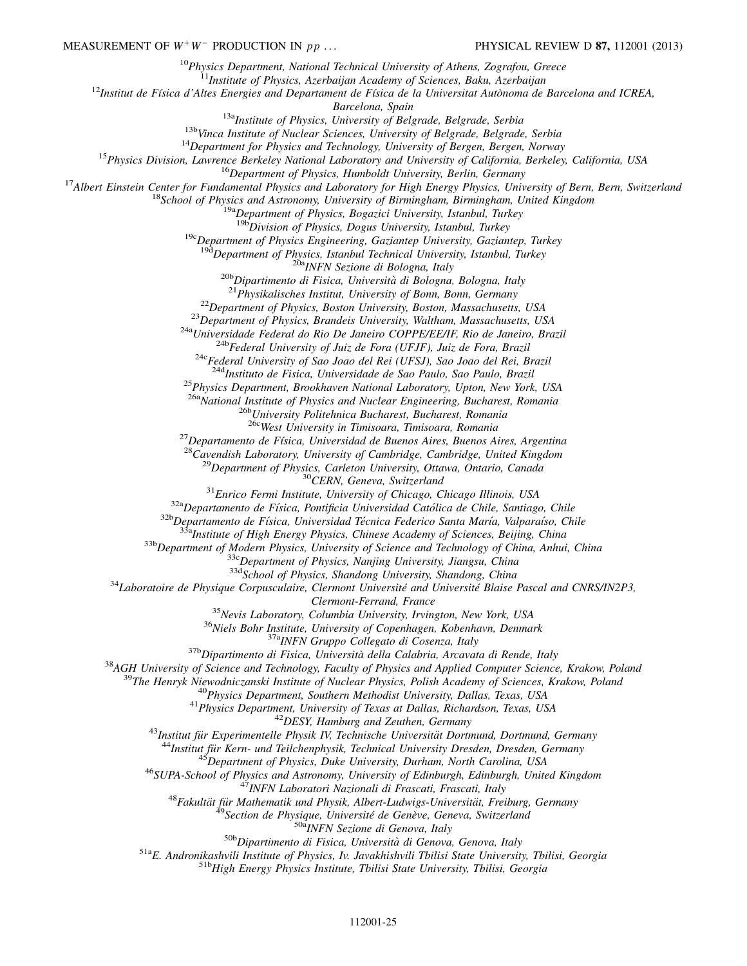<sup>10</sup>Physics Department, National Technical University of Athens, Zografou, Greece<br><sup>11</sup>Institute of Physics, Azerbaijan Academy of Sciences, Baku, Azerbaijan<br><sup>12</sup>Institut de Física d'Altes Energies and Departament de Físic

<sup>13a</sup>*Institute of Physics, University of Belgrade, Belgrade, Serbia*<br><sup>13</sup><sup>13</sup>*Vinca Institute of Nuclear Sciences, University of Belgrade, Belgrade, Serbia*<br><sup>14</sup>*Department for Physics and Technology, University of Bergen* 

<sup>19c</sup>Department of Physics Engineering, Gaziantep University, Gaziantep, Turkey  $\frac{19d}$ Department of Physics, Istanbul Technical University, Istanbul, Turkey

<sup>20b</sup>Dipartimento di Fisica, Università di Bologna, Bologna, Italy<br><sup>20b</sup>Dipartimento di Fisica, Università di Bologna, Bologna, Italy<br><sup>21</sup> Physikalisches Institut, University of Bonn, Bonn, Germany<br><sup>22</sup> Department of Phys

<sup>25</sup>Physics Department, Brookhaven National Laboratory, Upton, New York, USA

<sup>26a</sup>National Institute of Physics and Nuclear Engineering, Bucharest, Romania<br><sup>26b</sup>University Politehnica Bucharest, Bucharest, Romania<br><sup>26c</sup>West University in Timisoara, Timisoara, Romania

<sup>26</sup>Contained de Física, University in Timisoara, Romania<br><sup>27</sup>Departamento de Física, Universidad de Buenos Aires, Buenos Aires, Argentina<br><sup>28</sup>Cavendish Laboratory, University of Cambridge, Cambridge, United Kingdom<br><sup>29</sup>De

Clemnon-Ferrand, France<br>
<sup>35</sup>Nevis Laboratory, Columbia University, Trungton, New York, USA<br>
<sup>36</sup>Niels Bohr Institute, University of Copenhagen, Kobenhavn, Denmark<br>
<sup>376</sup>Niels Bohr Institute, University of Copenhagen, Kob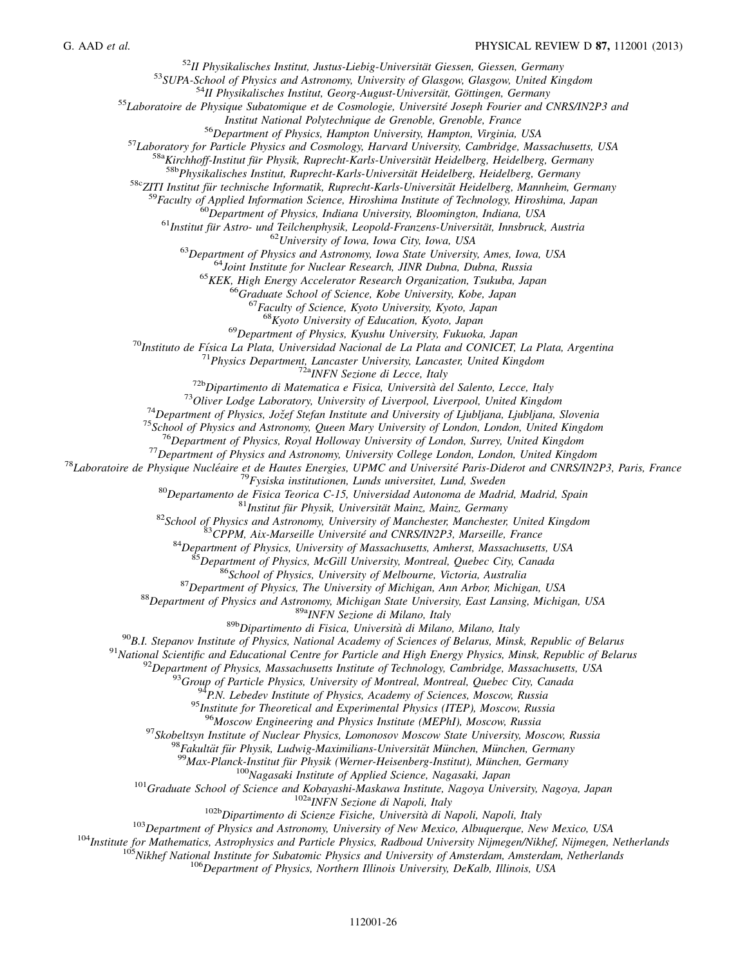<sup>52</sup>II Physikalisches Institut, Justus-Liebig-Universität Giessen, Giessen, Germany<br><sup>53</sup>SUPA-School of Physics and Astronomy, University of Glasgow, Glasgow, United Kingdom<br><sup>54</sup>II Physikalisches Institut, Georg-August-Uni

 $\begin{array}{c} \textit{Institut National Polytechnique}\textit{de Grenoble}, \textit{Grenoble}, \textit{France}\\ \textit{56} \textit{Department of Physics}, \textit{Hampton University}, \textit{Hampton, Virginia}, \textit{USA}\\ \textit{58} \textit{Laboratory for Particle Physics and Cosmology}, \textit{Harvard University}, \textit{Cambridge}, \textit{Massachusetus}, \textit{USA}\\ \textit{58} \textit{58} \textit{Airchhoff-Institut für Proysick, Ruprecht-Karls-Universität Heidelberg}, \textit{Heidelberg}, \textit{Germany}\\ \textit{58} \textit{58} \textit{Physikalisches Institut, Ruprecht-K$ 

<sup>68</sup>Kyoto University of Education, Kyoto, Japan<br><sup>69</sup>Department of Physics, Kyushu University, Fukuoka, Japan<br><sup>70</sup>Instituto de Física La Plata, Universidad Nacional de La Plata and CONICET, La Plata, Argentina<br><sup>71</sup>Physics

<sup>71</sup>Physics Department, Lancaster University, Lancaster United Kingdom<br>
<sup>723</sup>Physics Department Lancaster United Kingdom<br>
<sup>723</sup>Physics and Matematica et Fisica, University of Liverpool, Liverpool, United Kingdom<br>
<sup>723</sup>Ol

<sup>96</sup>Moscow Engineering and Physics Institute (MEPhI), Moscow, Russia<br><sup>97</sup>Skobeltsyn Institute of Nuclear Physics, Lomonosov Moscow State University, Moscow, Russia<br><sup>98</sup>Fakultät für Physik, Ludwig-Maximilians-Universität M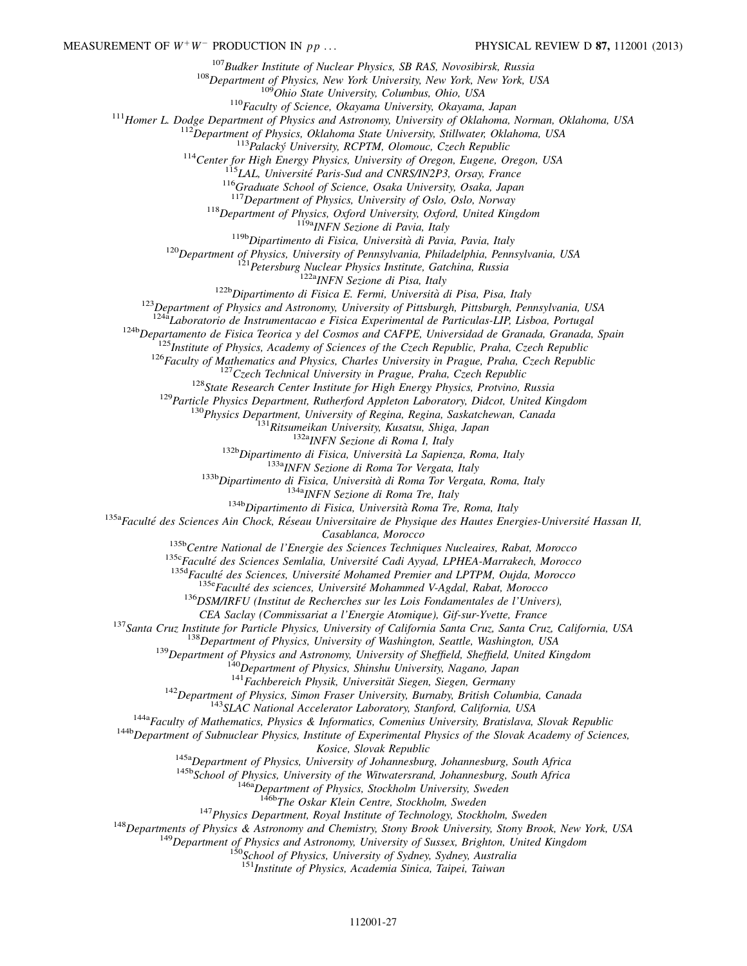<sup>107</sup>Budker Institute of Nuclear Physics, SB RAS, Novosibirsk, Russia<br><sup>108</sup>Department of Physics, New York University, New York, New York, USA<br><sup>109</sup>Ohio State University, Columbus, Ohio, USA<br><sup>109</sup>Ohio State University, Col

<sup>118</sup>Department of Physics, Oxford University, Oxford, United Kingdom<br><sup>119</sup><sup>119</sup>Dipartimento di Fisica, Università di Pavia, Italy<br><sup>119</sup>Department of Physics, University of Pennsylvania, Philadelphia, Pennsylvania, USA<br><sup>1</sup>

<sup>124h</sup> Laboratorio de Instrumentacao e Fisica Experimental de Particulas-LIP, Lisboa, Portugal<br><sup>124</sup>h Departamento de Fisica Teorica y del Cosmos and CAFPE, Universidad de Granada, Granada, Spain<br><sup>125</sup>Institute of Physics

Casablanca, Morocco<br>
<sup>135b</sup>Centre National de l'Energie des Sciences Techniques Nucleaires, Rabat, Morocco<br>
<sup>135c</sup>Faculté des Sciences Semlalia, Université Cadi Ayyad, LPHEA-Marrakech, Morocco<br>
<sup>135d</sup>Faculté des Sciences,

CEA Saclay (Commissariat a l'Energie Atomique), Gif-sur-Yvette, France<br>
<sup>137</sup>Santa Cruz, Institute for Particle Physics, University of California Santa Cruz, Santa Cruz, California, USA<br>
<sup>138</sup>Department of Physics, Univers

Kosice, Slovak Republic<br><sup>145a</sup>Department of Physics, University of Johannesburg, Johannesburg, South Africa<br><sup>145b</sup>School of Physics, University of the Witwatersrand, Johannesburg, South Africa<br><sup>146b</sup>Department of Physics,

<sup>147</sup> Physics Department, Royal Institute of Technology, Stockholm, Sweden<br><sup>148</sup> Departments of Physics & Astronomy and Chemistry, Stony Brook University, Stony Brook, New York, USA<br><sup>149</sup> Department of Physics and Astrono

<sup>151</sup>Institute of Physics, Academia Sinica, Taipei, Taiwan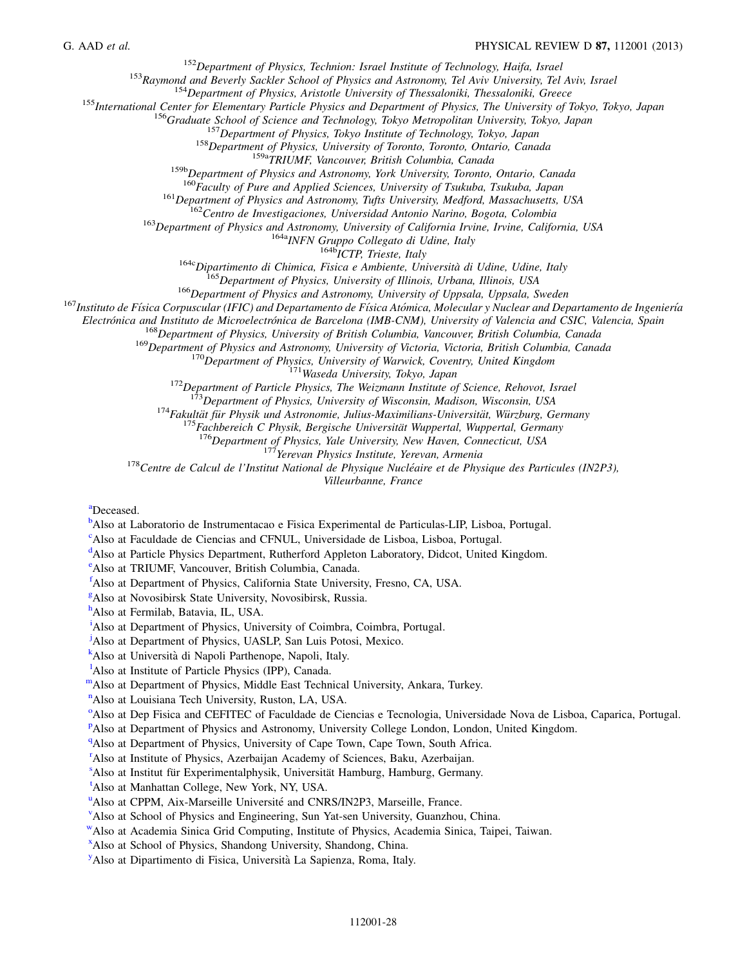<sup>152</sup>Department of Physics, Technion: Israel Institute of Technology, Haifa, Israel<br><sup>152</sup>Department of Physics, Aristotle University of Thessaloniki, Thessaloniki, Greece<br><sup>154</sup>Department of Physics, Aristotle University o

<sup>161</sup>Department of Physics and Astronomy, Tufts University, Medford, Massachusetts, USA<br><sup>162</sup>Centro de Investigaciones, Universidad Antonio Narino, Bogota, Colombia<br><sup>163</sup>Department of Physics and Astronomy, University of

Electrónica and Instituto de Microelectrónica de Barcelona (IMB-CNM), University of Valencia and CSIC, Valencia, Spain<br><sup>168</sup>Department of Physics, University of British Columbia, Vancouver, British Columbia, Canada<br><sup>169</sup>De

<sup>173</sup>Department of Physics, University of Wisconsin, Madison, Wisconsin, USA<br><sup>174</sup>Fakultät für Physik und Astronomie, Julius-Maximilians-Universität, Würzburg, Germany<br><sup>175</sup>Fachbereich C Physik, Bergische Universität Wupp

Villeurbanne, France

<span id="page-27-1"></span>[a](#page-15-32)Deceased.

<span id="page-27-0"></span><sup>[b](#page-15-33)</sup>Also at Laboratorio de Instrumentacao e Fisica Experimental de Particulas-LIP, Lisboa, Portugal.

<span id="page-27-2"></span><sup>[c](#page-15-34)</sup>Also at Faculdade de Ciencias and CFNUL, Universidade de Lisboa, Lisboa, Portugal.

<span id="page-27-3"></span><sup>[d](#page-15-35)</sup>Also at Particle Physics Department, Rutherford Appleton Laboratory, Didcot, United Kingdom.

<span id="page-27-4"></span>[e](#page-15-36) Also at TRIUMF, Vancouver, British Columbia, Canada.

<span id="page-27-5"></span>[f](#page-16-0) Also at Department of Physics, California State University, Fresno, CA, USA.

<span id="page-27-6"></span>[g](#page-16-1) Also at Novosibirsk State University, Novosibirsk, Russia.

<span id="page-27-7"></span>[h](#page-16-2)<br>Also at Fermilab, Batavia, IL, USA.

<span id="page-27-8"></span><sup>[i](#page-16-3)</sup>Also at Department of Physics, University of Coimbra, Coimbra, Portugal.

<span id="page-27-9"></span><sup>[j](#page-16-4)</sup>Also at Department of Physics, UASLP, San Luis Potosi, Mexico.

<span id="page-27-10"></span><sup>[k](#page-17-0)</sup>Also at Università di Napoli Parthenope, Napoli, Italy.

<span id="page-27-11"></span><sup>1</sup>A[l](#page-17-1)so at Institute of Particle Physics (IPP), Canada.

<span id="page-27-13"></span><span id="page-27-12"></span>[mA](#page-17-2)lso at Department of Physics, Middle East Technical University, Ankara, Turkey.

<sup>[n](#page-17-3)</sup>Also at Louisiana Tech University, Ruston, LA, USA.

<span id="page-27-14"></span><sup>[o](#page-17-4)</sup>Also at Dep Fisica and CEFITEC of Faculdade de Ciencias e Tecnologia, Universidade Nova de Lisboa, Caparica, Portugal.

<span id="page-27-15"></span><su[p](#page-17-4)>P</sup>Also at Department of Physics and Astronomy, University College London, London, United Kingdom.

<span id="page-27-16"></span><sup>[q](#page-18-0)</sup>Also at Department of Physics, University of Cape Town, Cape Town, South Africa.

<span id="page-27-17"></span><sup>[r](#page-18-1)</sup>Also at Institute of Physics, Azerbaijan Academy of Sciences, Baku, Azerbaijan.

<span id="page-27-18"></span><[s](#page-19-0)up>s</sup> Also at Institut für Experimentalphysik, Universität Hamburg, Hamburg, Germany.

<span id="page-27-19"></span>[t](#page-19-0) Also at Manhattan College, New York, NY, USA.

<span id="page-27-20"></span><s[u](#page-19-1)p>u</sup>Also at CPPM, Aix-Marseille Université and CNRS/IN2P3, Marseille, France.

<span id="page-27-21"></span>[v](#page-19-2) Also at School of Physics and Engineering, Sun Yat-sen University, Guanzhou, China.

<span id="page-27-22"></span>[wA](#page-19-3)lso at Academia Sinica Grid Computing, Institute of Physics, Academia Sinica, Taipei, Taiwan.

<span id="page-27-23"></span>[x](#page-20-0) Also at School of Physics, Shandong University, Shandong, China.

<span id="page-27-24"></span><sup>[y](#page-20-1)</sup>Also at Dipartimento di Fisica, Università La Sapienza, Roma, Italy.